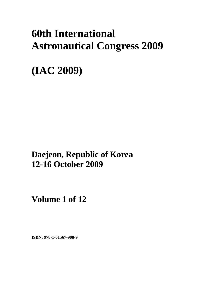# **60th International Astronautical Congress 2009**

**(IAC 2009)** 

**Daejeon, Republic of Korea 12-16 October 2009**

**Volume 1 of 12** 

**ISBN: 978-1-61567-908-9**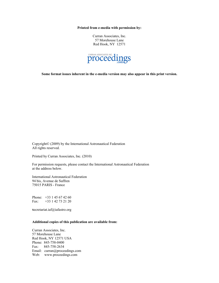**Printed from e-media with permission by:** 

Curran Associates, Inc. 57 Morehouse Lane Red Hook, NY 12571



**Some format issues inherent in the e-media version may also appear in this print version.** 

Copyright© (2009) by the International Astronautical Federation All rights reserved.

Printed by Curran Associates, Inc. (2010)

For permission requests, please contact the International Astronautical Federation at the address below.

International Astronautical Federation 94 bis, Avenue de Suffren 75015 PARIS - France

Phone: +33 1 45 67 42 60 Fax: +33 1 42 73 21 20

**S**ecretariat.iaf@iafastro.org

## **Additional copies of this publication are available from:**

Curran Associates, Inc. 57 Morehouse Lane Red Hook, NY 12571 USA Phone: 845-758-0400 Fax: 845-758-2634 Email: curran@proceedings.com Web: www.proceedings.com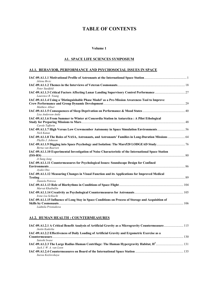# **TABLE OF CONTENTS**

#### **Volume 1**

## **A1. SPACE LIFE SCIENCES SYMPOSIUM**

## **A1.1. BEHAVIOR, PERFORMANCE AND PSYCHOSOCIAL ISSUES IN SPACE**

| Peter Suedfeld<br>Laurence R. Young<br>IAC-09.A1.1.4 Using a 'Distinguishable Phase Model' as a Pre-Mission Awareness Tool to Improve |  |
|---------------------------------------------------------------------------------------------------------------------------------------|--|
|                                                                                                                                       |  |
|                                                                                                                                       |  |
| Matthew Allner                                                                                                                        |  |
| Lisa Anderson-Antle                                                                                                                   |  |
| IAC-09.A1.1.6 From Summer to Winter at Concordia Station in Antarctica : A Pilot Ethological<br>Carole Tafforin                       |  |
| IAC-09.A1.1.7 High Versus Low Crewmember Autonomy in Space Simulation Environments 56<br>Nick Kanas                                   |  |
| IAC-09.A1.1.8 The Roles of NASA, Astronauts, and Astronauts' Families in Long-Duration Missions  64<br>Phyllis J. Johnson             |  |
| Berna van Baarsen                                                                                                                     |  |
| IAC-09.A1.1.10 Experimental Investigation of Noise Characteristic of the International Space Station<br>Ji Sung Jang                  |  |
| IAC-09.A1.1.11 Countermeasures for Psychological Issues: Soundscape Design for Confined<br>Avako Ono                                  |  |
| IAC-09.A1.1.12 Measuring Changes in Visual Function and its Applications for Improved Medical                                         |  |
| Daniela Petrova<br>Marvat Khaibullin                                                                                                  |  |
| Irene Lia Schlacht                                                                                                                    |  |
| IAC-09.A1.1.15 Influence of Long Stay in Space Conditions on Process of Storage and Acquisition of<br>Ludmila Prisniakova             |  |

## **A1.2. HUMAN HEALTH : COUNTERMEASURES**

| IAC-09.A1.2.1 A Critical Benefit Analysis of Artificial Gravity as a Microgravity Countermeasure 115<br>Justin Kaderka |  |
|------------------------------------------------------------------------------------------------------------------------|--|
| IAC-09.A1.2.2 Effectiveness of Daily Loading of Artificial Gravity and Ergometric Exercise as a                        |  |
|                                                                                                                        |  |
| Satoshi Iwase                                                                                                          |  |
|                                                                                                                        |  |
| Jack J. W. A. van Loon                                                                                                 |  |
|                                                                                                                        |  |
| Inessa Kozlovskava                                                                                                     |  |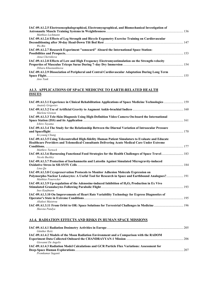| IAC-09.A1.2.5 Electroencephalographical, Electromyographical, and Biomechanical Investigation of |  |
|--------------------------------------------------------------------------------------------------|--|
|                                                                                                  |  |
| Matthias Lochmann                                                                                |  |
| IAC-09.A1.2.6 Effects of Leg Strength and Bicycle Ergometry Exercise Training on Cardiovascular  |  |
|                                                                                                  |  |
| Wu Bin                                                                                           |  |
| IAC-09.A1.2.7 Research Experiment "sonocard" Aboard the International Space Station:             |  |
|                                                                                                  |  |
| Anna Chernikova                                                                                  |  |
| IAC-09.A1.2.8 Effects of Low and High Frequency Electromyostimulation on the Strength-velocity   |  |
|                                                                                                  |  |
| Diliara Khusnutdinova                                                                            |  |
| IAC-09.A1.2.9 Dissociation of Peripheral and Central Cardiovascular Adaptation During Long Term  |  |
|                                                                                                  |  |
| Jens Tank                                                                                        |  |

#### **A1.3. APPLICATIONS OF SPACE MEDICINE TO EARTH-RELATED HEALTH ISSUES**

| IAC-09.A1.3.1 Experience in Clinical Rehabilitation Applications of Space Medicine Technologies  159<br><b>Anatoly Grigoriev</b> |  |
|----------------------------------------------------------------------------------------------------------------------------------|--|
| Marlene Grenon                                                                                                                   |  |
| IAC-09.A1.3.3 Tele-Skin Diagnosis Using High-Definition Video Camera On-board the International                                  |  |
| Ichiro Tavama                                                                                                                    |  |
| IAC-09.A1.3.4 The Study for the Relationship Between the Diurnal Variation of Intraocular Pressure                               |  |
|                                                                                                                                  |  |
| Ki-voung Chung                                                                                                                   |  |
| IAC-09.A1.3.5 Using Telecontrolled High-fidelity Human Patient Simulators to Evaluate and Educate                                |  |
| Healthcare Providers and Telemedical Consultants Delivering Acute Medical Care Under Extreme                                     |  |
|                                                                                                                                  |  |
| Matthew Turnock                                                                                                                  |  |
| Nicole Buckley                                                                                                                   |  |
| IAC-09.A1.3.7 Protection of Isorhamnetin and Luteolin Against Simulated Microgravity-induced                                     |  |
| Lina Ou                                                                                                                          |  |
| IAC-09.A1.3.8 Cryopreservation Protocols to Monitor Adhesion Molecule Expression on                                              |  |
| Polymorpho-Nuclear Leukocytes: A Useful Tool for Research in Space and Earthbound Analogues? 191<br>Matthias Feuerecker          |  |
| IAC-09.A1.3.9 Up-regulation of the Adenosine-induced Inhibition of $H_2O_2$ Production in Ex Vivo                                |  |
| Ines Kaufmann                                                                                                                    |  |
| IAC-09.A1.3.10 On Improvements of Heart Rate Variability Technology for Express Diagnostics of                                   |  |
|                                                                                                                                  |  |
| Aliaksei Maistrou                                                                                                                |  |
| Shawna Pandva                                                                                                                    |  |

## **A1.4. RADIATION EFFECTS AND RISKS IN HUMAN SPACE MISSIONS**

| Günther Reitz                                                                               |  |
|---------------------------------------------------------------------------------------------|--|
| IAC-09.A1.4.2 Models of the Moon Radiation Environment and a Comparison with the RADOM      |  |
|                                                                                             |  |
| Giovanni De Angelis                                                                         |  |
| IAC-09.A1.4.3 Radiation Model Calculations and GCR Particle Flux Variations: Assessment for |  |
|                                                                                             |  |
| Premkumar Saganti                                                                           |  |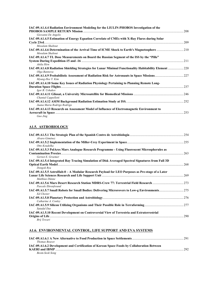| IAC-09.A1.4.4 Radiation Environment Modeling for the LIULIN-PHOBOS Investigation of the                                | 208  |
|------------------------------------------------------------------------------------------------------------------------|------|
| Giovanni De Angelis                                                                                                    |      |
| IAC-09.A1.4.5 Estimation of Energy Equation Correlate of CMEs with X-Ray Flares during Solar                           |      |
|                                                                                                                        |      |
| Mosalam Shaltout                                                                                                       |      |
| Mosalam Shaltout                                                                                                       |      |
| IAC-09.A1.4.7 TL Dose Measurements on Board the Russian Segment of the ISS by the "Pille"                              |      |
| Attila Hirn                                                                                                            | 211  |
| IAC-09.A1.4.8 Radiation Shielding Strategies for Lunar Minimal Functionality Habitability Element  220<br>Olga Bannova |      |
| Myung-Hee Y. Kim                                                                                                       |      |
| IAC-09.A1.4.10 Some Key Issues of Radiation Physiology Pertaining to Planning Remote Long-                             |      |
| Igor B. Ushakov                                                                                                        | 237  |
| Chantal Cappelletti                                                                                                    | .246 |
| Juana Maria Rodrigo Rodrigo                                                                                            |      |
| IAC-09.A1.4.13 Research on Assessment Model of Influence of Electromagnetic Environment to                             | 253  |
| Guo Jing                                                                                                               |      |

# **A1.5. ASTROBIOLOGY**

| Alvaro Giménez                                                                                                  |     |
|-----------------------------------------------------------------------------------------------------------------|-----|
| Otto Koudelka                                                                                                   |     |
| IAC-09.A1.5.3 PolAres Mars Analogue Research Programme - Using Fluorescent Microspherules as                    |     |
| Gernot E. Groemer                                                                                               |     |
| IAC-09.A1.5.4 Integrated Ray Tracing Simulation of Disk Averaged Spectral Signatures from Full 3D<br>Dongok Ryu |     |
| IAC-09.A1.5.5 AstroHab-0 – A Modular Research Payload for LEO Purposes as Pre-stage of a Later                  | 269 |
| Matthias Dünne<br>Pascale Ehrenfreund                                                                           | 273 |
| <b>Ed Chester</b>                                                                                               |     |
| Catharine A. Conley                                                                                             |     |
| Satadal Das                                                                                                     |     |
| IAC-09.A1.5.10 Recent Development on Controversial View of Terrestria and Extraterrestrial                      |     |
| Brij Tewari                                                                                                     |     |

## **A1.6. ENVIRONMENTAL CONTROL, LIFE SUPPORT AND EVA SYSTEMS**

| <b>Thomas Bouvet</b>                                                                       |     |
|--------------------------------------------------------------------------------------------|-----|
| IAC-09.A1.6.2 Development and Certification of Korean Space Foods by Collaboration Between |     |
|                                                                                            | 292 |
| Beom-Seok Song                                                                             |     |
|                                                                                            |     |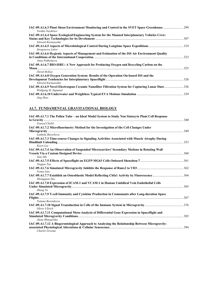| Yordan Naydenov                                                                                |  |
|------------------------------------------------------------------------------------------------|--|
| IAC-09.A1.6.4 Space Ecological/Engineering System for the Manned Interplanetary Vehicles Crew: |  |
|                                                                                                |  |
| Edward Kurmazenko                                                                              |  |
| Strogonova Lubov                                                                               |  |
| IAC-09.A1.6.6 Hygienic Aspects of Management and Estimation of the ISS Air Environment Quality |  |
| Anna Pakhomova                                                                                 |  |
| IAC-09.A1.6.7 BIO-ISRU: A New Approach for Producing Oxygen and Recycling Carbon on the        |  |
|                                                                                                |  |
| David McKay                                                                                    |  |
| IAC-09.A1.6.8 Oxygen Generation System: Results of the Operation On-board ISS and the          |  |
| Edward Kurmazenko                                                                              |  |
| Wolfgang M. Sigmund                                                                            |  |
| Jing Zhao                                                                                      |  |

# **A1.7. FUNDAMENTAL GRAVITATIONAL BIOLOGY**

| IAC-09.A1.7.1 The Pollen Tube - an Ideal Model System to Study Non Statocyte Plant Cell Response |     |
|--------------------------------------------------------------------------------------------------|-----|
|                                                                                                  |     |
| Youssef Chebli                                                                                   |     |
| IAC-09.A1.7.2 Microfluorimetry Method for the Investigation of the Cell Changes Under            |     |
|                                                                                                  | 349 |
| Ludmila Buravkova                                                                                |     |
| IAC-09.A1.7.3 Time-course Changes in Signaling Activities Associated with Muscle Atrophy During  |     |
|                                                                                                  | 353 |
| Kisoo Lee                                                                                        |     |
| IAC-09.A1.7.4 An Observation of Suspended Microcarriers' Secondary Motions in Rotating Wall      |     |
| Xiao Ma                                                                                          |     |
|                                                                                                  |     |
| Yingjun Tan                                                                                      |     |
|                                                                                                  |     |
| Feima Guo                                                                                        |     |
|                                                                                                  |     |
| Zhongquan Dai                                                                                    |     |
| IAC-09.A1.7.8 Expression of ICAM-1 and VCAM-1 in Human Umbilical Vein Endothelial Cells          |     |
|                                                                                                  |     |
| Zhang Yu                                                                                         |     |
| IAC-09.A1.7.9 T-cell Immunity and Cytokine Production in Cosmonauts after Long-duration Space    |     |
|                                                                                                  |     |
| Tatiana Berendeeva                                                                               |     |
|                                                                                                  |     |
| Oliver Ullrich                                                                                   |     |
| IAC-09.A1.7.11 Computational Meta-Analysis of Differential Gene Expression in Spaceflight and    |     |
|                                                                                                  | 385 |
| Alena Shmygelska                                                                                 |     |
| IAC-09.A1.7.12 A Biogerontological Approach to Analysing the Relationship Between Microgravity-  |     |
| Charles Groome                                                                                   | 394 |
|                                                                                                  |     |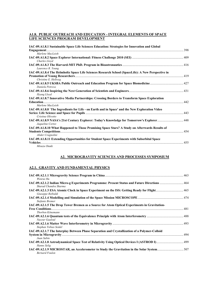## **A1.8. PUBLIC OUTREACH AND EDUCATION - INTEGRAL ELEMENTS OF SPACE LIFE SCIENCES PROGRAM DEVELOPMENT**

| IAC-09.A1.8.1 Sustainable Space Life Sciences Education: Strategies for Innovation and Global                 | 398 |
|---------------------------------------------------------------------------------------------------------------|-----|
| Marlene MacLeish                                                                                              |     |
| Charles Lloyd                                                                                                 |     |
| Laurence R. Young                                                                                             |     |
| IAC-09.A1.8.4 The Helmholtz Space Life Sciences Research School (SpaceLife): A New Perspective in             |     |
| Christine E. Hellweg                                                                                          | 419 |
| Daniela Petrova                                                                                               |     |
| Hyang Lloyd                                                                                                   |     |
| IAC-09.A1.8.7 Innovative Media Partnerships: Crossing Borders to Transform Space Exploration                  |     |
| Marlene MacLeish                                                                                              | 442 |
| IAC-09.A1.8.8 'The Ingredients for Life - on Earth and in Space' and the New Exploration Video                |     |
| Cristina Olivotto                                                                                             | 443 |
| IAC-09.A1.8.9 NASA's 21st Century Explorer: Today's Knowledge for Tomorrow's Explorer 448<br>Jaqueline Cortez |     |
| IAC-09.A1.8.10 What Happened to Those Promising Space Stars? A Study on Afterwards Results of                 |     |
| Alider Cragnolini                                                                                             | 454 |
| IAC-09.A1.8.11 Extending Opportunities for Student Space Experiments with Suborbital Space                    |     |
| <b>Vehicles</b>                                                                                               | 455 |
| Misuzu Onuki                                                                                                  |     |

## **A2. MICROGRAVITY SCIENCES AND PROCESSES SYMPOSIUM**

## **A2.1. GRAVITY AND FUNDAMENTAL PHYSICS**

| Wenrui Hu                                                                                                              |  |
|------------------------------------------------------------------------------------------------------------------------|--|
| IAC-09.A2.1.2 Indian Micro-g Experiments Programme: Present Status and Future Directions  464<br>Sharad Chandra Sharma |  |
| Giuseppe Reibaldi                                                                                                      |  |
| Stefanie Bremer                                                                                                        |  |
| IAC-09.A2.1.5 The Drop Tower Bremen as a Source for Atom Optical Experiments in Gravitation-                           |  |
|                                                                                                                        |  |
| Thorben Könemann                                                                                                       |  |
| Naceur Gaaloul                                                                                                         |  |
| Stephan Tobias Seidel                                                                                                  |  |
| IAC-09.A2.1.7 The Interplay Between Phase Separation and Crystallization of a Polymer-Colloid                          |  |
|                                                                                                                        |  |
| Juan Sabin                                                                                                             |  |
| IAC-09.A2.1.8 Astrodynamical Space Test of Relativity Using Optical Devices I (ASTROD I) 499                           |  |
| Hanns Selig                                                                                                            |  |
| <b>Bernard Foulon</b>                                                                                                  |  |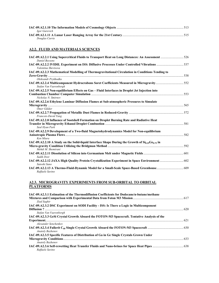| <i>Igor Gurevich</i> |  |
|----------------------|--|
|                      |  |
| Douglas Currie       |  |

## **A2.2. FLUID AND MATERIALS SCIENCES**

| 14C-09.A2.2.1 Using Supercritical Fluids to Transport Heat on Long Distances: An Assessment  526<br><b>Daniel Beysens</b> |  |
|---------------------------------------------------------------------------------------------------------------------------|--|
| 1AC-09.A2.2.2 IVIDIL Experiment on ISS: Diffusive Processes Under Controlled Vibrations 537<br>Valentina Sheytsova        |  |
| IAC-09.A2.2.3 Mathematical Modelling of Thermogravitational Circulation in Conditions Tending to                          |  |
|                                                                                                                           |  |
| Oleksandr Prykhodko                                                                                                       |  |
| Stefan Van Vaerenbergh                                                                                                    |  |
| IAC-09.A2.2.5 Non-equilibrium Effects on Gas - Fluid Interfaces in Droplet Jet Injection into                             |  |
| Nickolay N. Smirnov                                                                                                       |  |
| IAC-09.A2.2.6 Ethylene Laminar Diffusion Flames at Sub-atmospheric Pressures to Simulate                                  |  |
| Ömer Gülder                                                                                                               |  |
| Francois-David Tang                                                                                                       |  |
| IAC-09.A2.2.8 Influence of Sootshell Formation on Droplet Burning Rate and Radiative Heat                                 |  |
| Seul Hyun Park                                                                                                            |  |
| IAC-09.A2.2.9 Development of a Two-fluid Magnetohydrodynamics Model for Non-equilibrium                                   |  |
|                                                                                                                           |  |
| Ken Miura                                                                                                                 |  |
| IAC-09.A2.2.10 A Study on the Solid-liquid Interface Shape During the Growth of $Si_{0.25}Ge_{0.75}$ in                   |  |
| Mehdi M. Shemirani                                                                                                        |  |
| Sadik Dost                                                                                                                |  |
| Satoshi Sano                                                                                                              |  |
| Raffaele Savino                                                                                                           |  |

#### **A2.3. MICROGRAVITY EXPERIMENTS FROM SUB-ORBITAL TO ORBITAL PLATFORMS**

| IAC-09.A2.3.1 Estimation of the Thermodiffusion Coefficients for Dodecane/n-butane/methane  |  |
|---------------------------------------------------------------------------------------------|--|
|                                                                                             |  |
| Ziad Saghir                                                                                 |  |
| IAC-09.A2.3.2 DSC Experiment on SODI Facility - ISS: Is There a Logic in Multicomponent     |  |
|                                                                                             |  |
| Stefan Van Vaerenbergh                                                                      |  |
| IAC-09.A2.3.3 GeSi Crystal Growth Aboard the FOTON-M3 Spacecraft. Tentative Analysis of the |  |
| Alexander Senchenkov                                                                        |  |
| <b>Anatoly Bazhenov</b>                                                                     |  |
| IAC-09.A2.3.5 Specific Features of Distribution of Ga in Ge Single Crystals Grown Under     |  |
| <b>Anatoly Bazhenov</b>                                                                     |  |
| Raffaele Savino                                                                             |  |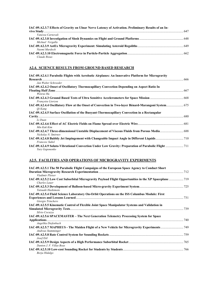| IAC-09.A2.3.7 Effects of Gravity on Ulnar Nerve Latency of Activation. Preliminary Results of an In- |  |
|------------------------------------------------------------------------------------------------------|--|
|                                                                                                      |  |
| Vanessa Carnevali                                                                                    |  |
|                                                                                                      |  |
| Michael Vergalla                                                                                     |  |
|                                                                                                      |  |
| Naomi Murdoch                                                                                        |  |
|                                                                                                      |  |
| Claude Rioux                                                                                         |  |

# **A2.4. SCIENCE RESULTS FROM GROUND BASED RESEARCH**

| IAC-09.A2.4.1 Parabolic Flights with Aerobatic Airplanes: An Innovative Platform for Microgravity                     |  |
|-----------------------------------------------------------------------------------------------------------------------|--|
|                                                                                                                       |  |
| Jan Walter Schroeder                                                                                                  |  |
| IAC-09.A2.4.2 Onset of Oscillatory Thermocapillary Convection Depending on Aspect Ratio In                            |  |
|                                                                                                                       |  |
| Wenrui Hu                                                                                                             |  |
| Françoise Liorzou                                                                                                     |  |
| 140.09.A2.4.4 Oscillatory Flow at the Onset of Convection in Two-layer Bénard-Marangoni System 675<br>Oi Kang         |  |
| IAC-09.A2.4.5 Surface Oscillation of the Buoyant-Thermocapillary Convection in a Rectangular                          |  |
|                                                                                                                       |  |
| Li Duan                                                                                                               |  |
| Min Kuk Kim                                                                                                           |  |
| Nickolay N. Smirnov                                                                                                   |  |
| Francesc Suñol                                                                                                        |  |
| IAC-09.A2.4.9 Soluto-Vibrational Convection Under Low Gravity: Preparation of Parabolic Flight  711<br>Yury Gaponenko |  |

# **A2.5. FACILITIES AND OPERATIONS OF MICROGRAVITY EXPERIMENTS**

| IAC-09.A2.5.1 The 50 Parabolic Flight Campaigns of the European Space Agency to Conduct Short                         |  |
|-----------------------------------------------------------------------------------------------------------------------|--|
|                                                                                                                       |  |
| Vladimir Pletser                                                                                                      |  |
| IAC-09.A2.5.2 Low Cost Suborbital Microgravity Payload Flight Opportunities in the XP Spaceplane 719<br>Charles Lauer |  |
| Tatsuaki Hashimoto                                                                                                    |  |
| IAC-09.A2.5.4 Fluid Science Laboratory On-Orbit Operations on the ISS Columbus Module: First                          |  |
| Giorgio Trinchero                                                                                                     |  |
| IAC-09.A2.5.5 Kinematic Control of Flexible Joint Space Manipulator Systems and Validation in                         |  |
| Silvio Cocuzza                                                                                                        |  |
| IAC-09.A2.5.6 SPACEMASTER – The Next Generation Telemetry Processing System for Space                                 |  |
| Angelika Diefenbach                                                                                                   |  |
| Andreas Stamminger                                                                                                    |  |
| Josef Ettl                                                                                                            |  |
| Danton J. F. Villas Boas                                                                                              |  |
| Borja Hidalgo                                                                                                         |  |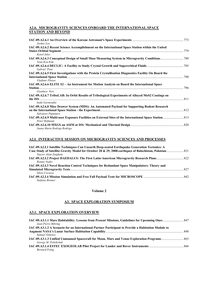## **A2.6. MICROGRAVITY SCIENCES ONBOARD THE INTERNATIONAL SPACE STATION AND BEYOND**

| Joohee Lee                                                                                                                |     |
|---------------------------------------------------------------------------------------------------------------------------|-----|
| IAC-09.A2.6.2 Recent Science Accomplishment on the International Space Station within the United                          |     |
| Kenol Jules                                                                                                               |     |
| Youn Kyu Kim                                                                                                              |     |
| Gabriel Pont                                                                                                              |     |
| IAC-09.A2.6.5 First Investigations with the Protein Crystallisation Diagnostics Facility On Board the<br>Vladimir Pletser | 790 |
| IAC-09.A2.6.6 ELITE S2 – An Instrument for Motion Analysis on Board the International Space                               |     |
| Gianluca Neri                                                                                                             |     |
| IAC-09.A2.6.7 TriboLAB: In Orbit Results of Tribological Experiments of Alloved MoS2 Coatings on<br>Inaki Garmendia       |     |
| IAC-09.A2.6.8 Mice Drawer System (MDS): An Automated Payload for Supporting Rodent Research<br>Salvatore Pignataro        |     |
| IAC-09.A2.6.9 Multi-user Exposure Facilities on External Sites of the International Space Station  813<br>Peter Hofmann   |     |
| Juana Maria Rodrigo Rodrigo                                                                                               |     |

## **A2.I. INTERACTIVE SESSION ON MICROGRAVITY SCIENCES AND PROCESSES**

| IAC-09.A2.I.1 Satellite Techniques Can Unearth Deep-seated Earthquake Generation Tectonics: A |  |
|-----------------------------------------------------------------------------------------------|--|
|                                                                                               |  |
| Nayyer Alam Zaigham                                                                           |  |
|                                                                                               |  |
| Ronnie Nader                                                                                  |  |
| IAC-09.A2.I.3 Novel Reaction Control Techniques for Redundant Space Manipulators: Theory and  |  |
|                                                                                               |  |
| Silvio Cocuzza                                                                                |  |
|                                                                                               |  |
| Stefanie Bremer                                                                               |  |

#### **Volume 2**

## **A3. SPACE EXPLORATION SYMPOSIUM**

## **A3.1. SPACE EXPLORATION OVERVIEW**

| Jean-Pierre Bibring                                                                                 |  |
|-----------------------------------------------------------------------------------------------------|--|
| IAC-09.A3.1.2 A Scenario for an International Partner Participant to Provide a Habitation Module to |  |
|                                                                                                     |  |
| Samuel Ximenes                                                                                      |  |
|                                                                                                     |  |
| Georgy M. Polishchuk                                                                                |  |
| <b>Bernard Foing</b>                                                                                |  |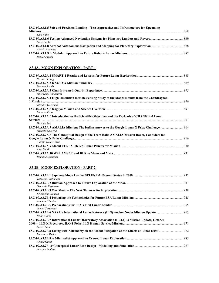| IAC-09.A3.1.5 Soft and Precision Landing – Test Approaches and Infrastructure for Upcoming |  |
|--------------------------------------------------------------------------------------------|--|
|                                                                                            |  |
| Lars Witte                                                                                 |  |
| <b>Steve Parkes</b>                                                                        |  |
| Alessio Aboudan                                                                            |  |
| Dexter Jagula                                                                              |  |

# **A3.2A. MOON EXPLORATION - PART 1**

| <b>Bernard Foing</b>                                                                                           |  |
|----------------------------------------------------------------------------------------------------------------|--|
| Susumu Sasaki                                                                                                  |  |
| Mylswamy Annadurai                                                                                             |  |
| IAC-09.A3.2A.4 High Resolution Remote Sensing Study of the Moon: Results from the Chandrayaan-                 |  |
| Jitendra Goswami                                                                                               |  |
| Manabu Kato                                                                                                    |  |
| IAC-09.A3.2A.6 Introduction to the Scientific Objectives and the Payloads of CHANG'E-2 Lunar                   |  |
| Huixian Sun                                                                                                    |  |
| 14C-09.A3.2A.7 AMALIA Mission: The Italian Answer to the Google Lunar X Prize Challenge 914<br>Michèle Lavagna |  |
| IAC-09.A3.2A.8 The Conceptual Design of the Team Italia AMALIA Mission Rover, Candidate for                    |  |
| Alberto Della Torre                                                                                            |  |
| Alan Smith                                                                                                     |  |
| Dominik Quantius                                                                                               |  |

## **A3.2B. MOON EXPLORATION - PART 2**

| Tatsuaki Hashimoto                                                                           |  |
|----------------------------------------------------------------------------------------------|--|
| Gennady Raykunov                                                                             |  |
| Friedhelm Claasen                                                                            |  |
| Joachim Thaeter                                                                              |  |
| James Carpenter                                                                              |  |
| <b>Brian Morse</b>                                                                           |  |
| IAC-09.A3.2B.7 International Lunar Observatory Association (ILOA): 3 Mission Update, October |  |
| <b>Steve Durst</b>                                                                           |  |
| Lawrence Taylor                                                                              |  |
| Arthur Guest                                                                                 |  |
| Juergen Schlutz                                                                              |  |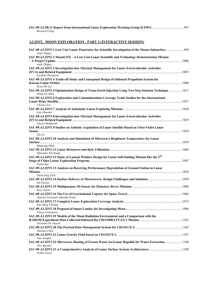| Bernard Foing |  |  |
|---------------|--|--|

## **A3.2INT. MOON EXPLORATION - PART 3 (INTERACTIVE SESSION)**

| 1999. LAC-09.A3.2INT.1 Low Cost Lunar Penetrator for Scientific Investigation of the Moons Subsurface  999<br><b>Andy Phipps</b> |  |
|----------------------------------------------------------------------------------------------------------------------------------|--|
| IAC-09.A3.2INT.2 MoonLITE - A Low Cost Lunar Scientific and Technology Demonstration Mission<br>1000                             |  |
| <b>Andy Phipps</b>                                                                                                               |  |
| IAC-09.A3.2INT.3 Investigation into Thermal Management for Lunar Extravehicular Activities                                       |  |
| Lachlan Thompson                                                                                                                 |  |
| IAC-09.A3.2INT.4 Trade-off Study and Conceptual Design of Onboard Propulsion System for                                          |  |
| Kyun Ho Lee                                                                                                                      |  |
| IAC-09.A3.2INT.5 Optimization Design of Trans-Earth Injection Using Two Step Solution Technique 1017<br>Hong-xin Shen            |  |
| IAC-09.A3.2INT.6 Exploration and Communications Coverage Trade Studies for the International                                     |  |
| Charles Lee                                                                                                                      |  |
| Gao Zhaohui                                                                                                                      |  |
| IAC-09.A3.2INT.8 Investigation into Thermal Management for Lunar Extravehicular Activities                                       |  |
| Alexey Makhnutin                                                                                                                 |  |
| IAC-09.A3.2INT.9 Studies on Attitude Acquisition of Lunar Satellite Based on Ultra-Violet Lunar                                  |  |
| Xin Lu                                                                                                                           |  |
| IAC-09.A3.2INT.10 Analysis and Simulation of Microwave Brightness Temperature for Lunar                                          |  |
|                                                                                                                                  |  |
| Mingxing Zhou                                                                                                                    |  |
| Maninder Pal Singh                                                                                                               |  |
| IAC-09.A3.2INT.12 Study of Launch Window Design for Lunar Soft-landing Mission like the 2 <sup>nd</sup>                          |  |
| Yuzhu Bai                                                                                                                        |  |
| IAC-09.A3.2INT.13 Analysis on Receiving Performance Degradation of Ground Station in Lunar                                       |  |
|                                                                                                                                  |  |
| Durk-Jong Park                                                                                                                   |  |
| <b>Ed Chester</b>                                                                                                                |  |
| Ross Taylor                                                                                                                      |  |
| Antonio Fernando Almeida Prado                                                                                                   |  |
| Kar-Ming Cheung                                                                                                                  |  |
|                                                                                                                                  |  |
| Tetsuo Yoshimitsu<br>IAC-09.A3.2INT.19 Models of the Moon Radiation Environment and a Comparison with the                        |  |
|                                                                                                                                  |  |
| Giovanni De Angelis<br>Xiaomin Chen                                                                                              |  |
|                                                                                                                                  |  |
| Yan Jianguo                                                                                                                      |  |
| IAC-09.A3.2INT.22 Microwave Heating of Frozen Water Ice/Lunar Regolith for Water Extraction 1108<br>Alex Ignatiev                |  |
| Arthur Guest                                                                                                                     |  |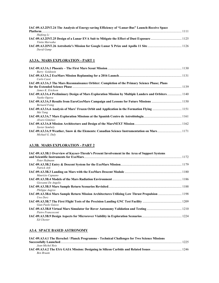| IAC-09.A3.2INT.24 The Analysis of Energy-saving Efficiency of "Lunar-Bus" Launch-Receive Space |      |
|------------------------------------------------------------------------------------------------|------|
|                                                                                                | 1111 |
| Huifeng Li                                                                                     |      |
| IAC-09.A3.2INT.25 Design of a Lunar EVA Suit to Mitigate the Effect of Dust Exposure  1125     |      |
| Vinita Marwaha                                                                                 |      |
| David Gump                                                                                     |      |
|                                                                                                |      |

## **A3.3A. MARS EXPLORATION - PART 1**

| Barry Goldstein                                                                                                        |  |
|------------------------------------------------------------------------------------------------------------------------|--|
| Carlo Cassi                                                                                                            |  |
| IAC-09.A3.3A.3 The Mars Reconnaissance Orbiter: Completion of the Primary Science Phase; Plans                         |  |
| James K. Erickson                                                                                                      |  |
| 140 IAC-09.A3.3A.4 Preliminary Design of Mars Exploration Mission by Multiple Landers and Orbiters 1140<br>Naoko Ogawa |  |
| <b>Bernard Foing</b>                                                                                                   |  |
| Mei Yang                                                                                                               |  |
| Alvaro Giménez                                                                                                         |  |
| Xavier Sembely                                                                                                         |  |
| IAC-09.A3.3A.9 Weather, Snow & the Elements: Canadian Science Instrumentation on Mars 1171<br>Michael G. Dalv          |  |

## **A3.3B. MARS EXPLORATION - PART 2**

| IAC-09.A3.3B.1 Overview of Kayser-Threde's Present Involvement in the Area of Support Systems |  |
|-----------------------------------------------------------------------------------------------|--|
|                                                                                               |  |
| Peter Hofmann                                                                                 |  |
| Patrick Arfi                                                                                  |  |
|                                                                                               |  |
| Maurizio Capuano                                                                              |  |
| Giovanni De Angelis                                                                           |  |
|                                                                                               |  |
| Philippe Augros                                                                               |  |
| IAC-09.A3.3B.6 Mars Sample Return Mission Architectures Utilizing Low Thrust Propulsion  1198 |  |
| Uwe Derz                                                                                      |  |
|                                                                                               |  |
| Gian Paolo Guizzo                                                                             |  |
|                                                                                               |  |
| Pietro Francesconi                                                                            |  |
|                                                                                               |  |
| <b>Ed Chester</b>                                                                             |  |

## **A3.4. SPACE BASED ASTRONOMY**

| IAC-09.A3.4.1 The Herschel / Planck Programme - Technical Challenges for Two Science Missions |      |
|-----------------------------------------------------------------------------------------------|------|
|                                                                                               | 1225 |
| Jean-Michel Reix                                                                              |      |
|                                                                                               |      |
| Ben Braam                                                                                     |      |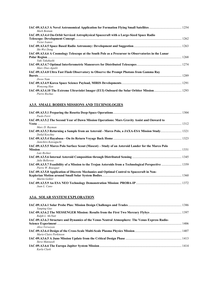| Mark Bentum                                                                                        |  |
|----------------------------------------------------------------------------------------------------|--|
| IAC-09.A3.4.4 On-Orbit Serviced Astrophysical Spacecraft with a Large-Sized Space Radio            |  |
|                                                                                                    |  |
| Victor Ivanov                                                                                      |  |
| Shi-Wei Dong                                                                                       |  |
| IAC-09.A3.4.6 A Cosmology Telescope at the South Pole as a Precursor to Observatories in the Lunar |  |
| Yuki Takahashi                                                                                     |  |
| Marc Diaz-Aguiló                                                                                   |  |
| IAC-09.A3.4.8 Ultra Fast Flash Observatory to Observe the Prompt Photons from Gamma Ray            |  |
|                                                                                                    |  |
| Jiwoo Nam                                                                                          |  |
| Wonyong Han                                                                                        |  |
| Pierre Rochus                                                                                      |  |

# **A3.5. SMALL BODIES MISSIONS AND TECHNOLOGIES**

| Paolo Ferri                                                                                                                 |  |
|-----------------------------------------------------------------------------------------------------------------------------|--|
| IAC-09.A3.5.2 The Second Year of Dawn Mission Operations: Mars Gravity Assist and Onward to                                 |  |
| Marc D. Rayman                                                                                                              |  |
| Detlef Koschnv                                                                                                              |  |
| Junichiro Kawaguchi                                                                                                         |  |
| IAC-09.A3.5.5 Marco Polo Surface Scout (Mascot) – Study of an Asteroid Lander for the Marco Polo                            |  |
| Lutz Richter                                                                                                                |  |
| Julie Bellerose                                                                                                             |  |
| IAC-09.A3.5.7 Feasibility of a Mission to the Trojan Asteroids from a Technological Perspective  1359<br>Pierre W. Bousquet |  |
| IAC-09.A3.5.8 Application of Discrete Mechanics and Optimal Control to Spacecraft in Non-                                   |  |
| Martin Gehler                                                                                                               |  |
| Juan L. Cano                                                                                                                |  |

# **A3.6. SOLAR SYSTEM EXPLORATION**

| Yanping Guo                                                                                    |  |
|------------------------------------------------------------------------------------------------|--|
| Ralph L. McNutt                                                                                |  |
| IAC-09.A3.6.3 Structure and Dynamics of the Venus Neutral Atmosphere: The Venus Express Radio- |  |
|                                                                                                |  |
| Alice Verweven                                                                                 |  |
| Marie-Claire Perkinson                                                                         |  |
| <b>Steve Matousek</b>                                                                          |  |
|                                                                                                |  |
| Karla Clark                                                                                    |  |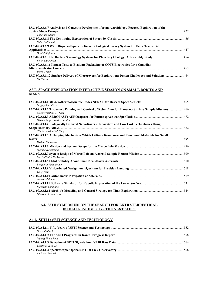| IAC-09.A3.6.7 Analysis and Concepts Development for an Astrobiology-Focused Exploration of the |  |
|------------------------------------------------------------------------------------------------|--|
|                                                                                                |  |
| Caroline Lange                                                                                 |  |
|                                                                                                |  |
| Robert Mitchell                                                                                |  |
| IAC-09.A3.6.9 Wide Dispersal Space Delivered Geological Survey System for Extra Terrestrial    |  |
|                                                                                                |  |
| Daniel Stojanov                                                                                |  |
| Peter Batenburg                                                                                |  |
| IAC-09.A3.6.11 Impact Tests to Evaluate Packaging of COTS Electronics for a Canadian           |  |
|                                                                                                |  |
| Dave Grove                                                                                     |  |
|                                                                                                |  |
| <b>Ed Chester</b>                                                                              |  |

## **A3.I. SPACE EXPLORATION INTERACTIVE SESSION ON SMALL BODIES AND MARS**

| Sergev Surzhikov                                                                                                                |  |
|---------------------------------------------------------------------------------------------------------------------------------|--|
| IAC-09.A3.I.2 Trajectory Panning and Control of Robot Arm for Planetary Surface Sample Missions  1466<br>Chakravarthini M. Saaj |  |
| Hélène Réquiston-Costantini                                                                                                     |  |
| IAC-09.A3.I.4 Biologically Inspired Nano-Rovers: Innovative and Low Cost Technologies Using<br>Chakravarthini M. Saaj           |  |
| IAC-09.A3.I.5 A Hopping Mechanism Which Utilize a Resonance and Functional Materials for Small                                  |  |
| Yoshiki Sugawara                                                                                                                |  |
| Markus Katzkowski                                                                                                               |  |
| Marie-Claire Perkinson                                                                                                          |  |
| Benjamin Vanoutryve                                                                                                             |  |
| Yang Tian                                                                                                                       |  |
| Jeroen Melman                                                                                                                   |  |
| Riccardo Lombardi                                                                                                               |  |
| Giacomo Colombatti                                                                                                              |  |

### **A4. 38TH SYMPOSIUM ON THE SEARCH FOR EXTRATERRESTRIAL INTELLIGENCE (SETI) – THE NEXT STEPS**

## **A4.1. SETI I : SETI SCIENCE AND TECHNOLOGY**

| H. Paul Shuch    |  |
|------------------|--|
|                  |  |
| Myung-Hyun Rhee  |  |
|                  |  |
| Yukitoshi Kan-ya |  |
| Andrew Howard    |  |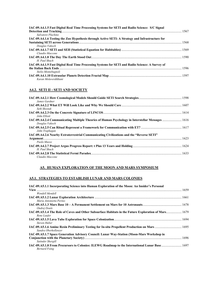| IAC-09.A4.1.5 Fast Digital Real Time Processing Systems for SETI and Radio Science: S/C Signal  |  |
|-------------------------------------------------------------------------------------------------|--|
|                                                                                                 |  |
| Salvatore Pluchino                                                                              |  |
| IAC-09.A4.1.6 Testing the Zoo Hypothesis through Active SETI: A Strategy and Infrastructure for |  |
|                                                                                                 |  |
| Douglas Vakoch                                                                                  |  |
|                                                                                                 |  |
| Claudio Maccone                                                                                 |  |
|                                                                                                 |  |
| H. Paul Shuch                                                                                   |  |
| IAC-09.A4.1.9 Fast Digital Real Time Processing Systems for SETI and Radio Science: A Survey of |  |
|                                                                                                 |  |
| Stelio Montebugnoli                                                                             |  |
|                                                                                                 |  |
| Karan Molaverdikhani                                                                            |  |

## **A4.2. SETI II : SETI AND SOCIETY**

| James Gardner                                                                                           |  |
|---------------------------------------------------------------------------------------------------------|--|
| Seth Shostak                                                                                            |  |
| John Elliott                                                                                            |  |
| Douglas Vakoch                                                                                          |  |
| John Traphagan                                                                                          |  |
| IAC-09.A4.2.6 Nearby Extraterrestrial Communicating Civilizations and the "Reverse SETI"<br>Paolo Musso |  |
| H. Paul Shuch                                                                                           |  |
| Claudio Maccone                                                                                         |  |

## **A5. HUMAN EXPLORATION OF THE MOON AND MARS SYMPOSIUM**

## **A5.1. STRATEGIES TO ESTABLISH LUNAR AND MARS COLONIES**

## **IAC-09.A5.1.1 Incorporating Science into Human Exploration of the Moon: An Insider's Personal**

| Wendell Mendell                                                                                                            |  |
|----------------------------------------------------------------------------------------------------------------------------|--|
| Maria Antonietta Perino                                                                                                    |  |
| Ondrej Doule                                                                                                               |  |
| 1679 IAC-09.A5.1.4 The Role of Caves and Other Subsurface Habitats in the Future Exploration of Mars 1679<br>Rene Laufer   |  |
| Steven Huber                                                                                                               |  |
| Sandra Oberhollenzer                                                                                                       |  |
| IAC-09.A5.1.7 Space Generation Advisory Council: Lunar Way-Station (Moon-Mars Workshop in                                  |  |
| Satinder Shergill                                                                                                          |  |
| 1697 IAC-09.A5.1.8 From Precursors to Colonies: ILEWG Roadmap to the International Lunar Base 1697<br><b>Bernard Foing</b> |  |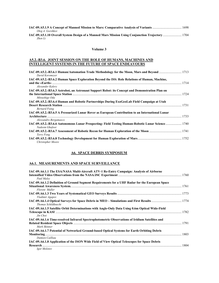| Oleg A. Gorshkov                                                                                       |  |
|--------------------------------------------------------------------------------------------------------|--|
| 1704. LAC-09.A5.1.10 Overall System Design of a Manned Mars Mission Using Conjunction Trajectory  1704 |  |

**IAC-09.A5.1.10 Overall System Design of a Manned Mars Mission Using Conjunction Trajectory** ....................... 1704 *Zhen Li* 

## **Volume 3**

## **A5.2.-B3.6. JOINT SESSION ON THE ROLE OF HUMANS, MACHINES AND INTELLIGENT SYSTEMS IN THE FUTURE OF SPACE ENDEAVOURS**

| IAC-09.A5.2.-B3.6.1 Human/Automation Trade Methodology for the Moon, Mars and Beyond  1713<br>David Korsmeyer      |  |
|--------------------------------------------------------------------------------------------------------------------|--|
| IAC-09.A5.2.-B3.6.2 Human Space Exploration Beyond the ISS: Role Relations of Human, Machine,                      |  |
| Alexander Kalery                                                                                                   |  |
| IAC-09.A5.2.-B3.6.3 Astrobot, an Astronaut Support Robot: its Concept and Demonstration Plan on                    |  |
| Mitsushige Oda                                                                                                     |  |
| IAC-09.A5.2.-B3.6.4 Human and Robotic Partnerships During ExoGeoLab Field Campaign at Utah                         |  |
| <b>Bernard Foing</b>                                                                                               |  |
| IAC-09.A5.2.-B3.6.5 A Pressurized Lunar Rover as European Contribution to an International Lunar                   |  |
| Alessandro Bergamasco                                                                                              |  |
| IAC-09.A5.2.-B3.6.6 Autonomous Lunar Prospecting: Field Testing Human-Robotic Lunar Science 1740<br>Nadeem Ghafoor |  |
| Terry Fong                                                                                                         |  |
| Christopher Moore                                                                                                  |  |

## **A6. SPACE DEBRIS SYMPOSIUM**

## **A6.1. MEASUREMENTS AND SPACE SURVEILLANCE**

| IAC-09.A6.1.1 The ESA/NASA Multi-Aircraft ATV-1 Re-Entry Campaign: Analysis of Airborne         |      |
|-------------------------------------------------------------------------------------------------|------|
| Paul Malev                                                                                      |      |
| IAC-09.A6.1.2 Definition of Ground Segment Requirements for a UHF Radar for the European Space  |      |
| Florent Muller                                                                                  |      |
| Vladimir Agapov                                                                                 |      |
| Thomas Schildknecht                                                                             |      |
| IAC-09.A6.1.5 Satellite Orbit Determinations with Angle-Only Data Using 0.6m Optical Wide-Field |      |
| Jin Choi                                                                                        |      |
| IAC-09.A6.1.6 Time-resolved Infrared Spectrophotometric Observations of Iridium Satellites and  |      |
| Mark Skinner                                                                                    |      |
| IAC-09.A6.1.7 Potential of Networked Ground-based Optical Systems for Earth Orbiting Debris     |      |
| Damien Cailliau                                                                                 |      |
| IAC-09.A6.1.8 Application of the ISON Wide Field of View Optical Telescopes for Space Debris    |      |
| Igor Molotov                                                                                    | 1804 |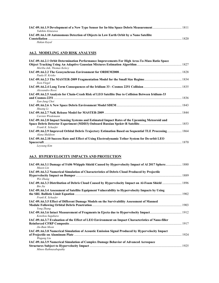| Yukihito Kitazawa                                                                     |       |
|---------------------------------------------------------------------------------------|-------|
| IAC-09.A6.1.10 Autonomous Detection of Objects in Low Earth Orbit by a Nano Satellite |       |
|                                                                                       | 1820. |
| Hakan Kaval                                                                           |       |

## **A6.2. MODELING AND RISK ANALYSIS**

| IAC-09.A6.2.1 Orbit Determination Performance Improvements For High Area-To-Mass Ratio Space<br>Moriba Jah, Thomas Kelecy     |  |
|-------------------------------------------------------------------------------------------------------------------------------|--|
| Paula H. Krisko                                                                                                               |  |
| Sven Flegel                                                                                                                   |  |
| Alessandro Rossi                                                                                                              |  |
| IAC-09.A6.2.5 Analysis for Chain-Crash Risk of LEO Satellite Due to Collision Between Iridium-33<br>Eun-Jung Choi             |  |
| Shuang Li                                                                                                                     |  |
| Carsten Wiedemann                                                                                                             |  |
| IAC-09.A6.2.8 Impact Sensing Systems and Estimated Impact Rates of the Upcoming Meteoroid and<br>Frank K. Schaefer            |  |
| 1864  1864 Index 1.2.9 Improved Orbital Debris Trajectory Estimation Based on Sequential TLE Processing 1864<br>Alana Muldoon |  |
| IAC-09.A6.2.10 Success Rate and Effect of Using Electrodynamic Tether System for De-orbit LEO<br>Leyoung Kim                  |  |

# **A6.3. HYPERVELOCITY IMPACTS AND PROTECTION**

| Musen Lin                                                                                          |  |
|----------------------------------------------------------------------------------------------------|--|
| IAC-09.A6.3.2 Numerical Simulation of Characteristics of Debris Cloud Produced by Projectile       |  |
| Wei Zhang                                                                                          |  |
| Bin Jia                                                                                            |  |
| IAC-09.A6.3.4 Assessment of Satellite Equipment Vulnerability to Hypervelocity Impacts by Using    |  |
| Frank K. Schaefer                                                                                  |  |
| IAC-09.A6.3.5 Effect of Different Damage Models on the Survivability Assessment of Manned          |  |
| Yong Zhang                                                                                         |  |
| Kenshou Sugahara                                                                                   |  |
| IAC-09.A6.3.7 Evaluation of the Effect of LEO Environment on Impact Characteristics of Nano-filler |  |
| Jin-Bum Moon                                                                                       |  |
| IAC-09.A6.3.8 Numerical Simulation of Acoustic Emission Signal Produced by Hypervelocity Impact    |  |
| Wugang Liu                                                                                         |  |
| IAC-09.A6.3.9 Numerical Simulation of Complex Damage Behavior of Advanced Aerospace                |  |
|                                                                                                    |  |
| Minoo Rathnasabapathy                                                                              |  |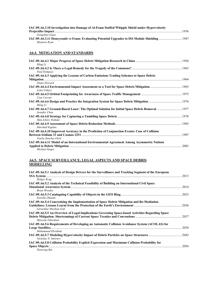| IAC-09.A6.3.10 Investigation into Damage of Al-Foam Stuffed Whipple Shield under Hypervelocity |      |
|------------------------------------------------------------------------------------------------|------|
|                                                                                                | 1936 |
| Gongshun Guan                                                                                  |      |
|                                                                                                |      |
| Shannon Rvan                                                                                   |      |

## **A6.4. MITIGATION AND STANDARDS**

| Ming Li                                                                                                             |      |
|---------------------------------------------------------------------------------------------------------------------|------|
| Paul Dempsey                                                                                                        |      |
| IAC-09.A6.4.3 Applying the Lessons of Carbon Emissions Trading Schemes to Space Debris                              |      |
| Diane Howard                                                                                                        |      |
| Lotta Viikari                                                                                                       |      |
| Cian Curran                                                                                                         |      |
| Meng Li                                                                                                             |      |
| Jennifer Chan                                                                                                       |      |
| Shin-Ichiro Nishida                                                                                                 |      |
| Marshall Kaplan                                                                                                     |      |
| IAC-09.A6.4.10 Improved Accuracy in the Prediction of Conjunction Events: Case of Collision<br>Noelia Sánchez-Ortiz |      |
| IAC-09.A6.4.11 Model of an International Environmental Agreement Among Asymmetric Nations<br>Michael Singer         | 2003 |
|                                                                                                                     |      |

## **A6.5. SPACE SURVEILLANCE, LEGAL ASPECTS AND SPACE DEBRIS MODELLING**

| IAC-09.A6.5.1 Analysis of Design Drivers for the Surveillance and Tracking Segment of the European                                                                                                | 2013 |
|---------------------------------------------------------------------------------------------------------------------------------------------------------------------------------------------------|------|
| Holger Krag                                                                                                                                                                                       |      |
| IAC-09.A6.5.2 Analysis of the Technical Feasibility of Building an International Civil Space                                                                                                      |      |
| Brian Weeden                                                                                                                                                                                      | 2014 |
| Estrella Olmedo                                                                                                                                                                                   | 2023 |
| IAC-09.A6.5.4 Concretising the Implementation of Space Debris Mitigation and Re-Mediation                                                                                                         |      |
| Guidelines: Lessons Learnt from the Protection of the Earth's Environment <b>Euronalists</b> Lessons Learnt from the Protection of the Earth's Environment <b>Europe</b><br>Gérardine Meishan Goh | 2036 |
| IAC-09.A6.5.5 An Overview of Legal Implications Governing Space-based Activities Regarding Space                                                                                                  |      |
| Maryam Tabeshian                                                                                                                                                                                  | 2037 |
| IAC-09.A6.5.6 Requirements of Developing an Automatic Collision Avoidance System (ACOLAS) for                                                                                                     |      |
| Mohammad Ebrahimi                                                                                                                                                                                 | 2038 |
| Nickolay N. Smirnov                                                                                                                                                                               | 2043 |
| IAC-09.A6.5.8 Collision Probability Explicit Expression and Maximum Collision Probability for                                                                                                     |      |
| Xianzong Bai                                                                                                                                                                                      | 2056 |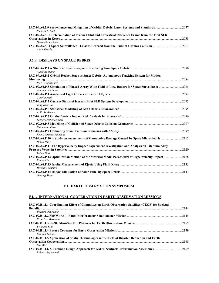| Richard L. Fork                                                                                  |      |
|--------------------------------------------------------------------------------------------------|------|
| IAC-09.A6.5.10 Determination of Precise Orbit and Terrestrial Reference Frame from the First SLR |      |
|                                                                                                  | 2058 |
| Hyeon-Seock Jeon                                                                                 |      |
|                                                                                                  |      |
| Adam Gorski                                                                                      |      |

## **A6.P. DISPLAYS ON SPACE DEBRIS**

| Xiaobing Wang                                                                                                      |       |
|--------------------------------------------------------------------------------------------------------------------|-------|
| IAC-09.A6.P.2 Orbital Rocket Stage as Space Debris: Autonomous Tracking System for Motion                          |       |
|                                                                                                                    | 2084  |
| Igor V. Belokonov                                                                                                  |       |
| IAC-09.A6.P.3 Simulation of Phased-Array Wide-Field of View Radars for Space Surveillance 2085<br>Johannes Gelhaus |       |
| Carolin Früh                                                                                                       |       |
| Jung Hyun Jo                                                                                                       | .2093 |
| A. K. Anilkumar                                                                                                    |       |
| Sergey Meshcheryakov                                                                                               |       |
| Fatoumata Kebe                                                                                                     |       |
| Fran Martinez-Fadrique                                                                                             |       |
| IAC-09.A6.P.10 A Study on Assessments of Cumulative Damage Caused by Space Micro-debris  2112<br>Hewei Pang        |       |
| IAC-09.A6.P.11 The Hypervelocity Impact Experiment Investigation and Analysis on Titanium Alloy                    |       |
| Yuhua Huo                                                                                                          | 2120  |
| IAC-09.A6.P.12 Optimization Method of the Material Model Parameters at Hypervelocity Impact<br>Bintao Liu          | .2128 |
| Hiroshi Takakura                                                                                                   |       |
| JiJoong Moon                                                                                                       |       |

## **B1. EARTH OBSERVATION SYMPOSIUM**

## **B1.1. INTERNATIONAL COOPERATION IN EARTH OBSERVATION MISSIONS**

| IAC-09.B1.1.1 Coordination Effort of Committee on Earth Observation Satellites (CEOS) for Societal |      |
|----------------------------------------------------------------------------------------------------|------|
|                                                                                                    |      |
| Darasri Dowreang                                                                                   |      |
|                                                                                                    |      |
| Francisco Bermudo                                                                                  |      |
|                                                                                                    |      |
| Byungjin Kim                                                                                       |      |
|                                                                                                    |      |
| Carsten Tobehn                                                                                     |      |
| IAC-09.B1.1.5 Application of Spatial Technologies in the Field of Disaster Reduction and Earth     |      |
|                                                                                                    | 2168 |
| Min Wei                                                                                            |      |
|                                                                                                    |      |
| Roberto Sigismondi                                                                                 |      |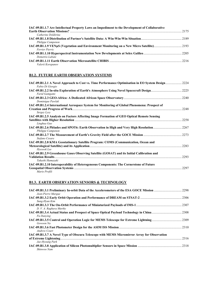| 2175                |
|---------------------|
|                     |
| Catherine Doldirina |
|                     |
| Philippe Campenon   |
|                     |
| Ferrier Pierric     |
|                     |
| Demetrio Labate     |
|                     |
| Valerii Korepanov   |

## **B1.2. FUTURE EARTH OBSERVATION SYSTEMS**

| IAC-09.B1.2.1 A Novel Approach to Cost vs. Time Performance Optimisation in EO System Design 2224<br>Fabio Di Giorgio |      |
|-----------------------------------------------------------------------------------------------------------------------|------|
| Farid Gamgami                                                                                                         |      |
| Dominique Pawlak                                                                                                      |      |
| IAC-09.B1.2.4 International Aerospace System for Monitoring of Global Phenomena: Prospect of                          |      |
| Sergey Lysy                                                                                                           | 2248 |
| IAC-09.B1.2.5 Analysis on Factors Affecting Image Formation of GEO Optical Remote Sensing                             |      |
| Linghua Guo                                                                                                           | 2258 |
| IAC-09.B1.2.6 Pléiades and SPOT6: Earth Observation in High and Very High Resolution 2267<br>Philippe Campenon        |      |
| Stefano Cesare                                                                                                        |      |
| IAC-09.B1.2.8 KMA Geostationary Satellite Program: COMS (Communication, Ocean and                                     |      |
| Hyesook Lee                                                                                                           |      |
| IAC-09.B1.2.9 Greenhouse Gases Observing Satellite (GOSAT) and its Initial Calibration and                            |      |
| <b>Validation Results.</b><br>Takashi Hamazaki                                                                        |      |
| IAC-09.B1.2.10 Interoperability of Heterogeneous Components: The Cornerstone of Future                                |      |
| Mario Profili                                                                                                         | 2297 |

## **B1.3. EARTH OBSERVATION SENSORS & TECHNOLOGY**

| Jean-Pierre Marque                                                                                             |       |
|----------------------------------------------------------------------------------------------------------------|-------|
| Sung-Hyun Kim                                                                                                  | 2306  |
| D. V. A. Raghava Murthy                                                                                        |       |
| Fu Danving                                                                                                     |       |
| IAC-09.B1.3.5 Control and Operation Logic for MEMS Telescope for Extreme Lightning<br>Gowoon Na                | 2309  |
| Andrew Court                                                                                                   | .2310 |
| IAC-09.B1.3.7 A Novel Type of Obscura Telescope with MEMS Micromirror Array for Observation<br>Jae-Hyoung Park | 2316  |
| Shinwoo Nam                                                                                                    |       |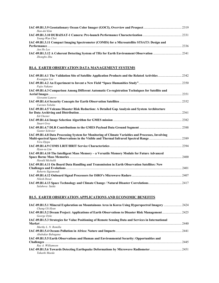| Han-dol Kim                                                                                 |      |
|---------------------------------------------------------------------------------------------|------|
|                                                                                             |      |
| Young-Wan Choi                                                                              |      |
| IAC-09.B1.3.11 Compact Imaging Spectrometer (COMIS) for a Microsatellite STSAT3: Design and |      |
| Performance                                                                                 | 2336 |
| Jun Ho Lee                                                                                  |      |
|                                                                                             |      |
| Zhongbo Zhu                                                                                 |      |

## **B1.4. EARTH OBSERVATION DATA MANAGEMENT SYSTEMS**

| Kwangjae Lee                                                                                                    | 2342 |
|-----------------------------------------------------------------------------------------------------------------|------|
| Fujio Nakano                                                                                                    | 2350 |
| IAC-09.B1.4.3 Comparison Among Different Automatic Co-registration Techniques for Satellite and                 |      |
|                                                                                                                 | 2351 |
| Giovanni Laneve                                                                                                 |      |
| Carsten Tobehn                                                                                                  | 2352 |
| IAC-09.B1.4.5 Volcano Disaster Risk Reduction: A Detailed Gap Analysis and System Architecture                  |      |
| <b>Ed Chester</b>                                                                                               | 2361 |
| <b>Stuart Grev</b>                                                                                              | 2382 |
| Gunter Schreier                                                                                                 |      |
| IAC-09.B1.4.8 Data Processing System for Monitoring of Climate Variables and Processes, Involving<br>Vera Diepa | 2389 |
| Hyun-su Lim                                                                                                     |      |
| IAC-09.B1.4.10 The Intelligent Mass Memory - a Versatile Memory Module for Future Advanced                      | 2400 |
| <b>Harald Michalik</b>                                                                                          |      |
| IAC-09.B1.4.11 On Board Data Handling and Transmission in Earth Observation Satellites: New                     | 2401 |
| Roberto Sigismondi                                                                                              |      |
| Nilesh Desai                                                                                                    |      |
| Salahova Saida                                                                                                  | 2417 |

## **B1.5. EARTH OBSERVATION APPLICATIONS AND ECONOMIC BENEFITS**

| Chang-Uk Hyun                                                                                       |       |
|-----------------------------------------------------------------------------------------------------|-------|
| George Dyke                                                                                         |       |
| IAC-09.B1.5.3 Strategies for Value Positioning of Remote Sensing Data and Services in International | 2.440 |
| Murthy L. N. Remilla                                                                                |       |
| Abubakar Babagana                                                                                   |       |
| IAC-09.B1.5.5 Earth Observations and Human and Environmental Security: Opportunities and            |       |
|                                                                                                     | 2445  |
| Ray A. Williamson                                                                                   |       |
| IAC-09.B1.5.6 Towards Detecting Earthquake Deformations by Microwave Radiometer<br>Takashi Maeda    | .2451 |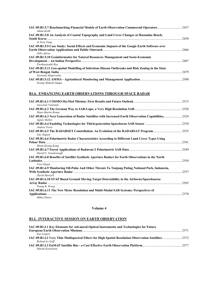| IAC-09.B1.5.7 Benchmarking Financial Models of Earth Observation Commercial Operators<br>Adam Keith | 2457 |
|-----------------------------------------------------------------------------------------------------|------|
| IAC-09.B1.5.8 An Analysis of Coastal Topography and Land Cover Changes at Haeundae Beach,           |      |
|                                                                                                     | 2458 |
| Ji Yeon Yang                                                                                        |      |
| IAC-09.B1.5.9 Case Study: Social Effects and Economic Impacts of the Google Earth Software over     |      |
|                                                                                                     | 2466 |
| Julio Aprea                                                                                         |      |
| IAC-09.B1.5.10 Geoinformatics for Natural Resources Management and Socio-Economic                   |      |
|                                                                                                     | 2467 |
| Parthasarathi Rov                                                                                   |      |
| IAC-09.B1.5.11 Geo-spatial Modelling of Infectious Disease Outbreaks and Risk Zoning in the State   |      |
|                                                                                                     | 2479 |
| Jevaram Alagarsamy                                                                                  |      |
|                                                                                                     |      |
| Swamy Rakesh Adapa                                                                                  |      |
|                                                                                                     |      |

## **B1.6. ENHANCING EARTH OBSERVATIONS THROUGH SPACE RADAR**

| Giovanni Valentini                                                                                              | 2515 |
|-----------------------------------------------------------------------------------------------------------------|------|
| Hans-Martin Braun                                                                                               | 2520 |
| IAC-09.B1.6.3 Next Generation of Radar Satellites with Increased Earth Observation Capabilities<br>Agnès Mellot | 2524 |
| Andrea Torre                                                                                                    | 2530 |
| Guy Séguin                                                                                                      |      |
| IAC-09.B1.6.6 Polarimetric Radar Characteristics According to Different Land Cover Types Using                  | 2541 |
| Moon-Kyung Kang<br>David G. Goodenough                                                                          | 2549 |
| IAC-09.B1.6.8 Benefits of Satellite Synthetic Aperture Radars for Earth Observations in the North               | 2550 |
| Vera Diepa<br>IAC-09.B1.6.9 Monitoring Oil-Palm And Other Threats To Tanjung Puting National Park, Indonesia,   | 2557 |
| David Hartzell<br>IAC-09.B1.6.10 STAP Based Ground Moving Target Detectability in the Airborne/Spacebourne      | 2565 |
| Young K. Kwag<br>IAC-09.B1.6.11 The New Meter Resolution and Multi-Modal SAR Systems: Perspectives of           | 2570 |
| Mihai Datcu                                                                                                     |      |

## **Volume 4**

## **B1.I. INTERACTIVE SESSION ON EARTH OBSERVATION**

| IAC-09.B1.I.1 Key Elements for Advanced Optical Instruments and Technologies for Future |      |
|-----------------------------------------------------------------------------------------|------|
|                                                                                         | 2571 |
| Kai Lenfert                                                                             |      |
|                                                                                         |      |
| Roland Le Goff                                                                          |      |
|                                                                                         |      |
| Martin Kassebom                                                                         |      |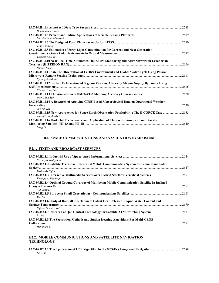|                                                                                                                    | 2588 |
|--------------------------------------------------------------------------------------------------------------------|------|
| Dominique Pawlak                                                                                                   |      |
| Massimiliano Marcozzi                                                                                              |      |
| Jong-Pil Kong                                                                                                      | 2590 |
| IAC-09.B1.I.8 Estimation of Stray Light Contamination for Current and Next Generation                              |      |
| Yukveong Jeong                                                                                                     | 2597 |
| IAC-09.B1.I.10 Near Real Time Automated Online UV Monitoring and Alert Network in Ecuadorian                       | 2606 |
| Ronnie Nader                                                                                                       |      |
| IAC-09.B1.I.11 Satellite Observation of Earth's Environment and Global Water Cycle Using Passive                   | 2611 |
| Kyoung-Wook Jin                                                                                                    |      |
| IAC-09.B1.I.12 Surface Deformation of Seguam Volcano, Alaska by Magma Supply Dynamics Using                        |      |
| Chang-Wook Lee                                                                                                     | 2616 |
| Doo-Chun Seo                                                                                                       |      |
| IAC-09.B1.I.14 A Research of Applying GNSS Based Meteorological Data on Operational Weather                        |      |
| Jaewon Lee                                                                                                         | 2630 |
| IAC-09.B1.I.15 New Approaches for Space Earth Observation Profitability: The E-CORCE Case<br>Jean-Pierre Antikidis | 2635 |
| IAC-09.B1.I.16 On-Orbit Performance and Application of Chinese Environment and Disaster                            |      |
|                                                                                                                    | 2640 |
| Ming Li                                                                                                            |      |

## **B2. SPACE COMMUNICATIONS AND NAVIGATION SYMPOSIUM**

## **B2.1. FIXED AND BROADCAST SERVICES**

| Nikolay Sevastiyanov                                                                            |      |
|-------------------------------------------------------------------------------------------------|------|
| IAC-09.B2.1.2 Satellite/Terrestrial Integrated Mobile Communication System for Secured and Safe |      |
|                                                                                                 | 2647 |
| Yoshivuki Fujino                                                                                |      |
| Venugopal Desaraju                                                                              |      |
| IAC-09.B2.1.4 Optimal Ground Coverage of Multibeam Mobile Communication Satellite In Inclined   |      |
|                                                                                                 | 2657 |
| Xin-gang Li                                                                                     |      |
| Wei Sun                                                                                         | 2661 |
| IAC-09.B2.1.6 Study of Rainfall in Relation to Latent Heat Released, Liquid Water Content and   |      |
|                                                                                                 | 2670 |
| Rajasri Sen Jaiswal                                                                             |      |
|                                                                                                 | 2681 |
| Li Jun                                                                                          |      |
| IAC-09.B2.1.8 The Separation Methods and Station Keeping Algorithms For Multi-GEOS              |      |
| Collocation.                                                                                    | 2682 |
| Hengnian Li                                                                                     |      |

## **B2.2. MOBILE COMMUNICATIONS AND SATELLITE NAVIGATION TECHNOLOGY**

**IAC-09.B2.2.1 The Application of UPF Algorithm in the GPS/INS Integrated Navigation**...................................... 2689 *Lei Tian*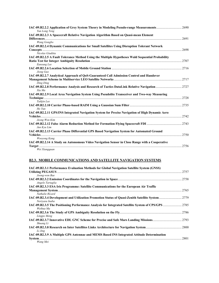| 14C-09.B2.2.2 Application of Grey System Theory in Modeling Pseudo-range Measurements 2690<br>Yun Long Teng          |      |
|----------------------------------------------------------------------------------------------------------------------|------|
| IAC-09.B2.2.3 A Spacecraft Relative Navigation Algorithm Based on Quasi-mean Element                                 | 2691 |
| Wang Gongbo<br>IAC-09.B2.2.4 Dynamic Communications for Small Satellites Using Disruption Tolerant Network           | 2698 |
| Nicolas Giuditta<br>IAC-09.B2.2.5 A Fault Tolerance Method Using the Multiple Hypotheses Wald Sequential Probability | 2707 |
| Eunsung Lee                                                                                                          |      |
| Jiong Guo<br>IAC-09.B2.2.7 Analytical Approach of QoS-Guaranteed Call Admission Control and Handover                 | 2717 |
| Ding Ding<br>Xia Ma                                                                                                  |      |
| IAC-09.B2.2.9 Local Area Navigation System Using Pseudolite Transceiver and Two-way Measuring<br>Taikjin Lee         | 2728 |
| Ho Yun                                                                                                               |      |
| IAC-09.B2.2.11 GPS/INS Integrated Navigation System for Precise Navigation of High Dynamic Aero<br>Jeong Won Kim     | 2742 |
| Jun Kyu Lim                                                                                                          |      |
| IAC-09.B2.2.13 Carrier Phase Differential GPS Based Navigation System for Automated Ground<br>Wooyong Kang           | 2750 |
| IAC-09.B2.2.14 A Study on Autonomous Video Navigation Sensor in Close Range with a Cooperative<br>Wei Xiangquan      | 2756 |

# **B2.3. MOBILE COMMUNICATIONS AND SATELLITE NAVIGATION SYSTEMS**

| IAC-09.B2.3.1 Performance Evaluation Methods for Global Navigation Satellite System (GNSS) |       |
|--------------------------------------------------------------------------------------------|-------|
|                                                                                            | 2757  |
| Joong-won Bae                                                                              |       |
| Angelo Tartaglia                                                                           | .2758 |
| IAC-09.B2.3.3 ESA Iris Programme: Satellite Communications for the European Air Traffic    |       |
| Nathalie Ricard                                                                            | 2765  |
| Norivasu Inaba                                                                             |       |
| Weihua Ma                                                                                  |       |
| Lingpo Meng                                                                                |       |
| Shuang Li                                                                                  |       |
| Li Jing                                                                                    |       |
| IAC-09.B2.3.9 A Multiple GPS Antennae and MEMS Based INS Integrated Attitude Determination | .2801 |
| Wang Mei                                                                                   |       |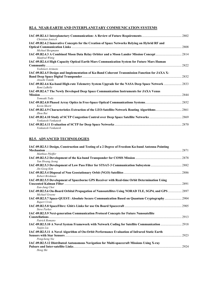## **B2.4. NEAR-EARTH AND INTERPLANETARY COMMUNICATION SYSTEMS**

| Christian Jentsch                                                                                               |      |
|-----------------------------------------------------------------------------------------------------------------|------|
| IAC-09.B2.4.2 Innovative Concepts for the Creation of Space Networks Relying on Hybrid RF and                   | 2808 |
| Michael Bergmann<br>Manfred Wittig                                                                              |      |
| IAC-09.B2.4.4 High Capacity Optical Earth-Mars Communication System for Future Mars Human<br>Yoshinori Arimoto  | 2822 |
| IAC-09.B2.4.5 Design and Implementation of Ka-Band Coherent Transmission Function for JAXA X-<br>Atsushi Tomiki |      |
| 14C-09.B2.4.6 Ka-band High-rate Telemetry System Upgrade for the NASA Deep Space Network  2833<br>Remi LaBelle  |      |
| IAC-09.B2.4.7 The Newly Developed Deep Space Communication Instruments for JAXA Venus                           | 2844 |
| Tomoaki Toda<br>Kevin Shortt                                                                                    |      |
| Zhou Rui                                                                                                        |      |
| Venkatesh Venkatesh                                                                                             |      |
| Venkatesh Venkatesh                                                                                             | 2870 |

## **B2.5. ADVANCED TECHNOLOGIES**

| IAC-09.B2.5.1 Design, Construction and Testing of a 2 Degree of Freedom Ka-band Antenna Pointing               |      |
|----------------------------------------------------------------------------------------------------------------|------|
|                                                                                                                | 2871 |
| Matthias Pfeiffer                                                                                              |      |
| Yun Hwang Jeong                                                                                                | 2878 |
| Jin-Goog Kim                                                                                                   | 2882 |
|                                                                                                                | 2886 |
| Robert Briskman                                                                                                |      |
| IAC-09.B2.5.5 Development of Spaceborne GPS Receiver with Real-time Orbit Determination Using                  |      |
| Unscented Kalman Filter (1996) 1996 (1997) 1997 (1998) 1998 (1998) 1999 (1998) 1999 (1999) 1999 (1999) 1999 (1 | 2891 |
| Eun-Jung Choi                                                                                                  |      |
| IAC-09.B2.5.6 On-Board Orbital Propagation of Nanosatellites Using NORAD TLE, SGP4, and GPS<br>Michael Greene  | 2897 |
| IAC-09.B2.5.7 Space-QUEST: Absolute Secure Communication Based on Quantum Cryptography<br><b>Rupert Ursin</b>  | 2904 |
| <b>Steve Parkes</b>                                                                                            | 2905 |
| IAC-09.B2.5.9 Next-generation Communication Protocol Concepts for Future Nanosatellite                         |      |
| <b>Constellations</b>                                                                                          | 2913 |
| Patrick Romano                                                                                                 |      |
| IAC-09.B2.5.10 A Novel System Framework with Network Coding for Satellite Communication<br>Naijin Liu          | 2918 |
| IAC-09.B2.5.11 A Novel Algorithm of On-Orbit Performance Evaluation of Infrared Static Earth                   |      |
| Pengcheng Nie                                                                                                  | 2923 |
| IAC-09.B2.5.12 Distributed Autonomous Navigation for Multi-spacecraft Missions Using X-ray                     |      |
|                                                                                                                | 2924 |
| Heng Shi                                                                                                       |      |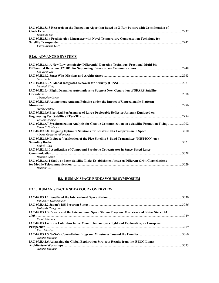| IAC-09.B2.5.13 Research on the Navigation Algorithm Based on X-Ray Pulsars with Consideration of |      |
|--------------------------------------------------------------------------------------------------|------|
|                                                                                                  |      |
| Shouming Sun                                                                                     |      |
| IAC-09.B2.5.14 Predistortion Linearizer with Novel Temperature Compensation Technique for        |      |
|                                                                                                  | 2942 |
| Vinesh Kumar Garg                                                                                |      |

## **B2.6. ADVANCED SYSTEMS**

| IAC-09.B2.6.1 A New Low-complexity Differential Detection Technique, Fractional Multi-bit<br>Kee-Hoon Lee                                                                                                                                              |      |
|--------------------------------------------------------------------------------------------------------------------------------------------------------------------------------------------------------------------------------------------------------|------|
| <b>Steve Parkes</b>                                                                                                                                                                                                                                    |      |
| Manfred Wittig                                                                                                                                                                                                                                         |      |
| IAC-09.B2.6.4 Flight Dynamics Automations to Support Next Generation of SDARS Satellite                                                                                                                                                                |      |
| Christopher Croom                                                                                                                                                                                                                                      | 2978 |
| IAC-09.B2.6.5 Autonomous Antenna Pointing under the Impact of Unpredictable Platform                                                                                                                                                                   |      |
| Movement <b>contract the contract of the contract of the contract of the contract of the contract of the contract of the contract of the contract of the contract of the contract of the contract of the contract of the contrac</b><br>Markus Pietras | 2986 |
| IAC-09.B2.6.6 Electrical Performance of Large Deployable Reflector Antenna Equipped on<br>Teruaki Orikasa                                                                                                                                              | 2994 |
| IAC-09.B2.6.7 Synchronization Analysis for Chaotic Communication on a Satellite Formation Flying  3002<br>Elbert E. N. Macau                                                                                                                           |      |
| Alberto Gonzalez Villafranca                                                                                                                                                                                                                           |      |
| IAC-09.B2.6.9 In Space Verification of the Pico-Satellite S-Band Transmitter "HISPICO" on a                                                                                                                                                            |      |
| Rozbeh Alavi                                                                                                                                                                                                                                           |      |
| IAC-09.B2.6.10 Application of Compound Parabolic Concentrator in Space-Based Laser                                                                                                                                                                     |      |
| Hailiang Zhang                                                                                                                                                                                                                                         | 3028 |
| IAC-09.B2.6.11 Study on Inter-Satellite-Links Establishment between Different Orbit Constellations                                                                                                                                                     |      |
| Hongyan Xu                                                                                                                                                                                                                                             | 3029 |

## **B3. HUMAN SPACE ENDEAVOURS SYMPOSIUM**

## **B3.1. HUMAN SPACE ENDEAVOUR - OVERVIEW**

| William H. Gerstenmaier                                                                         |      |
|-------------------------------------------------------------------------------------------------|------|
|                                                                                                 |      |
| Yoshiyuki Hasegawa                                                                              |      |
| IAC-09.B3.1.3 Canada and the International Space Station Program: Overview and Status Since IAC | 3049 |
| <b>Renoit Marcotte</b>                                                                          |      |
| IAC-09.B3.1.4 From Columbus to the Moon: Human Spaceflight and Exploration, an European         |      |
|                                                                                                 | 3059 |
| Piero Messina                                                                                   |      |
| Jennifer Rhatigan                                                                               |      |
| IAC-09.B3.1.6 Advancing the Global Exploration Strategy: Results from the ISECG Lunar           |      |
| Jennifer Rhatigan                                                                               | 3075 |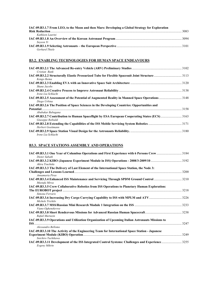| IAC-09.B3.1.7 From LEO, to the Moon and then Mars: Developing a Global Strategy for Exploration |      |
|-------------------------------------------------------------------------------------------------|------|
|                                                                                                 | 3083 |
| Kathleen Laurini                                                                                |      |
|                                                                                                 |      |
| Soveon Yi                                                                                       |      |
|                                                                                                 |      |
| Gerhard Thiele                                                                                  |      |

## **B3.2. ENABLING TECHNOLOGIES FOR HUMAN SPACE ENDEAVOURS**

| Cristian Bank                                                                                                    |  |
|------------------------------------------------------------------------------------------------------------------|--|
| Kengo Ikema                                                                                                      |  |
| Shane Jacobs                                                                                                     |  |
| Irene Lia Schlacht                                                                                               |  |
| Diego Urbina                                                                                                     |  |
| IAC-09.B3.2.6 The Position of Space Sciences in the Developing Countries: Opportunities and<br>Abubakar Babagana |  |
| Giuseppe Reibaldi                                                                                                |  |
| Herbert Goettmann                                                                                                |  |
| Irene Lia Schlacht                                                                                               |  |

## **B3.3. SPACE STATIONS ASSEMBLY AND OPERATIONS**

| Dieter Sabath                                                                                                 | 3184  |
|---------------------------------------------------------------------------------------------------------------|-------|
| Akira Tsuchida                                                                                                |       |
| IAC-09.B3.3.3 The Delivery of Last Element of the International Space Station, the Node 3:<br>Annamaria Piras | 3200  |
| Mustafa Mirza                                                                                                 |       |
| IAC-09.B3.3.5 Crew Collaborative Robotics from ISS Operations to Planetary Human Exploration:                 |       |
| Simona Ferraris                                                                                               |       |
| Michele Trichilo                                                                                              |       |
| Viano Oghenekevwe                                                                                             |       |
| Rafail Murtazin                                                                                               |       |
| IAC-09.B3.3.9 Operations and Utilization Organization of Upcoming Italian Astronauts Missions to              |       |
|                                                                                                               | 32.47 |
| Alessandro Bellomo                                                                                            |       |
| IAC-09.B3.3.10 The Activity of the Engineering Team for International Space Station - Japanese                |       |
|                                                                                                               | 3249  |
| Soichiro Tachikawa                                                                                            |       |
| Evgeny Mikrin                                                                                                 |       |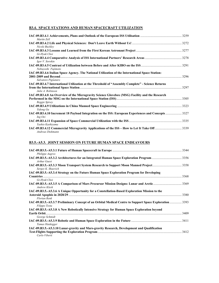## **B3.4. SPACE STATIONS AND HUMAN SPACECRAFT UTILIZATION**

| Martin Zell                                                                                                             | 3259 |
|-------------------------------------------------------------------------------------------------------------------------|------|
| Nicole Buckley                                                                                                          |      |
| Gi-Hyuk Choi                                                                                                            |      |
| Igor V. Sorokin                                                                                                         |      |
| Nobuyoshi Fujimoto                                                                                                      |      |
| IAC-09.B3.4.6 Italian Space Agency. The National Utilization of the International Space Station:<br>Salvatore Pignataro | 3296 |
| IAC-09.B3.4.7 International Utilization at the Threshold of "Assembly Complete" - Science Returns<br>Julie A. Robinson  |      |
| IAC-09.B3.4.8 An Overview of the Microgravity Science Glovebox (MSG) Facility and the Research<br>Reggie Spivey         |      |
| Yidong Gu                                                                                                               |      |
| IAC-09.B3.4.10 Increment 18 Payload Integration on the ISS: European Experiences and Concepts3327<br>Ing Oei            |      |
| Yashio Kashiyama                                                                                                        |      |
| Andreas Diekmann                                                                                                        |      |

## **B3.5.-A5.3. JOINT SESSION ON FUTURE HUMAN SPACE ENDEAVOURS**

| Philippe Augros                                                                                                          |      |
|--------------------------------------------------------------------------------------------------------------------------|------|
| <b>Arthur Guest</b>                                                                                                      |      |
| Sergey K. Shaevich                                                                                                       |      |
| IAC-09.B3.5.-A5.3.4 Strategy on the Future Human Space Exploration Program for Developing                                |      |
| Gi-Hyuk Choi                                                                                                             | 3368 |
| Andrew Klesh                                                                                                             | 3369 |
| IAC-09.B3.5.-A5.3.6 A Unique Opportunity for a Constellation-Based Exploration Mission to the                            |      |
| <b>Florian Renk</b>                                                                                                      |      |
| IAC-09.B3.5.-A5.3.7 Preliminary Concept of an Orbital Medical Centre to Support Space Exploration  3393<br>Filippo Testa |      |
| IAC-09.B3.5.-A5.3.8 A New Robotically Intensive Strategy for Human Space Exploration beyond                              |      |
| <b>Earth Orbit.</b>                                                                                                      |      |
| George Schmidt                                                                                                           |      |
| Tamas Haidegger                                                                                                          |      |
| IAC-09.B3.5.-A5.3.10 Lunar-gravity and Mars-gravity Research, Development and Qualification                              | 3412 |
| Carlo Viberti                                                                                                            |      |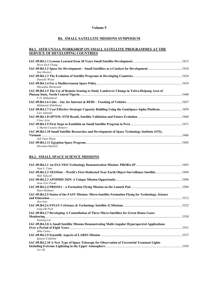## **Volume 5**

## **B4. SMALL SATELLITE MISSIONS SYMPOSIUM**

## **B4.1. 10TH UN/IAA WORKSHOP ON SMALL SATELLITE PROGRAMMES AT THE SERVICE OF DEVELOPING COUNTRIES**

| Hyon Sock Chang                                                                                |  |
|------------------------------------------------------------------------------------------------|--|
| <b>Sias Mostert</b>                                                                            |  |
| Danielle Wood                                                                                  |  |
| Mustapha Masmoudi                                                                              |  |
| IAC-09.B4.1.5 The Use of Remote Sensing to Study Landcover Change in Yelwa-Heipang Area of     |  |
| S. O. Mohammed                                                                                 |  |
| Mahmoud Abdellaoui                                                                             |  |
| Lars Alminde                                                                                   |  |
| César Arza                                                                                     |  |
| J. Martin Canales Romero                                                                       |  |
| IAC-09.B4.1.10 Small Satellite Researches and Development of Space Technology Institute (STI), |  |
|                                                                                                |  |
| Anh Tuan Pham                                                                                  |  |
|                                                                                                |  |
| <b>Mosalam Shaltout</b>                                                                        |  |

## **B4.2. SMALL SPACE SCIENCE MISSIONS**

| Juan L. Cano                                                                                                   | 3493 |
|----------------------------------------------------------------------------------------------------------------|------|
| IAC-09.B4.2.2 NEOSSat - World's First Dedicated Near Earth Object Surveillance Satellite 3494<br>Mak Tafazoli  |      |
| Jean-Yves Prado                                                                                                |      |
| Hans Hellman                                                                                                   |      |
| IAC-09.B4.2.5 Status of the FAST Mission: Micro-Satellite Formation Flying for Technology, Science<br>Jian Guo |      |
| Jong-Oh Park                                                                                                   | 3522 |
| IAC-09.B4.2.7 Developing A Constellation of Three Micro-Satellites for Green House Gases<br>Yunlong Lin        |      |
| IAC-09.B4.2.8 A Small Satellite Mission Demonstrating Multi-Angular Hyperspectral Applications<br>Mike Cutter  |      |
| Ignazio Ciufolini                                                                                              |      |
| IAC-09.B4.2.10 A New Type of Space Telescope for Observation of Terrestrial Transient Lights<br>Lee Jik        |      |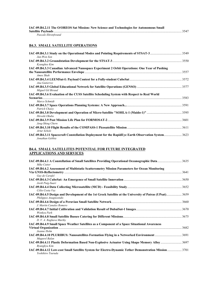| IAC-09.B4.2.11 The O/OREOS Sat Mission: New Science and Technologies for Autonomous Small |  |
|-------------------------------------------------------------------------------------------|--|
|                                                                                           |  |
| Pascale Ehrenfreund                                                                       |  |

## **B4.3. SMALL SATELLITE OPERATIONS**

| Jun-Won Son                                                                                  |      |
|----------------------------------------------------------------------------------------------|------|
| Kyunghee Kim                                                                                 |      |
| IAC-09.B4.3.3 Canadian Advanced Nanospace Experiment 2 Orbit Operations: One Year of Pushing |      |
|                                                                                              | 3557 |
| Amee Shah                                                                                    |      |
|                                                                                              | 3572 |
| Ana Gutierrez                                                                                |      |
| Miguel Gil Biraud                                                                            |      |
| IAC-09.B4.3.6 Evaluation of the CUSS Satellite Scheduling System with Respect to Real World  |      |
|                                                                                              |      |
| Marco Schmidt                                                                                |      |
| Patrick Chaizy                                                                               |      |
|                                                                                              | 3595 |
| Hiroshi Okubo                                                                                |      |
| Jeng-Shing Chern                                                                             |      |
| Artur Scholz                                                                                 |      |
| Jonathan Gebbie                                                                              |      |

#### **B4.4. SMALL SATELLITES POTENTIAL FOR FUTURE INTEGRATED APPLICATIONS AND SERVICES**

| Mike Cutter                                                                                                                        |      |
|------------------------------------------------------------------------------------------------------------------------------------|------|
| IAC-09.B4.4.2 Assessment of Multistatic Scatterometry Mission Parameters for Ocean Monitoring                                      |      |
| Guy de Carufel                                                                                                                     | 3641 |
| Jordi Puig-Suari                                                                                                                   |      |
| Célio Costa Vaz                                                                                                                    |      |
| 14C-09.B4.4.5 Design and Development of the 1st Greek Satellite at the University of Patras (UPsat) 3659<br>Philippos Anagnostidis |      |
| J. Martin Canales Romero                                                                                                           |      |
| Wonkvu Park                                                                                                                        |      |
| D. V. A. Raghava Murthy                                                                                                            |      |
| IAC-09.B4.4.9 Small Space Weather Satellites as a Component of a Space Situational Awareness                                       |      |
| Jeanne Holm                                                                                                                        |      |
| Mugurel Balan                                                                                                                      |      |
| Byungkyu Kim                                                                                                                       |      |
| 14C-09.B4.4.12 Low-cost Small Satellite System for Electro-Dynamic Tether Demonstration Mission  3701<br>Yoshihiro Tsuruda         |      |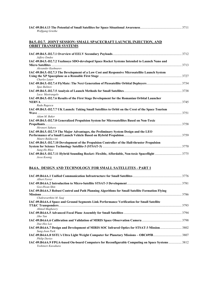| Wolfgang Griethe |  |
|------------------|--|

#### **B4.5.-D2.7. JOINT SESSION: SMALL SPACECRAFT LAUNCH, INJECTION, AND ORBIT TRANSFER SYSTEMS**

| Jeffery Emdee                                                                                     |  |
|---------------------------------------------------------------------------------------------------|--|
| IAC-09.B4.5.-D2.7.2 Yuzhnoye SDO-developed Space Rocket Systems Intended to Launch Nano and       |  |
| Alexander Kushnarev                                                                               |  |
| IAC-09.B4.5.-D2.7.3 The Development of a Low Cost and Responsive Microsatellite Launch System     |  |
| Charles Lauer                                                                                     |  |
| Spas Balinov                                                                                      |  |
| Luca Mastrangelo                                                                                  |  |
| IAC-09.B4.5.-D2.7.6 Results of the First Stage Development for the Romanian Orbital Launcher      |  |
|                                                                                                   |  |
| Radu Rugescu                                                                                      |  |
| IAC-09.B4.5.-D2.7.7 UK Launch: Taking Small Satellites to Orbit on the Crest of the Space Tourism |  |
|                                                                                                   |  |
| Adam M. Baker                                                                                     |  |
| IAC-09.B4.5.-D2.7.8 Generalized Propulsion System for Microsatellites Based on Non-Toxic          |  |
| Hironori Sahara                                                                                   |  |
| IAC-09.B4.5.-D2.7.9 The Major Advantages, the Preliminary System Design and the LEO               |  |
|                                                                                                   |  |
| Mauro Balduccini                                                                                  |  |
| IAC-09.B4.5.-D2.7.10 Development of the Propulsion Controller of the Hall-thruster Propulsion     |  |
| Sung-Ho Rhee                                                                                      |  |
|                                                                                                   |  |
| Jesse Koenig                                                                                      |  |

## **B4.6A. DESIGN AND TECHNOLOGY FOR SMALL SATELLITES - PART 1**

| Albert Ferrer                                                                                                          |  |
|------------------------------------------------------------------------------------------------------------------------|--|
| Goo-Hwan Shin                                                                                                          |  |
| IAC-09.B4.6A.3 Robust Control and Path Planning Algorithms for Small Satellite Formation Flying                        |  |
| Chakravarthini M. Saaj                                                                                                 |  |
| IAC-09.B4.6A.4 Space and Ground Segments Link Performance Verification for Small Satellite<br>Ahmed Maghawry           |  |
| Jiho Yun                                                                                                               |  |
| Dae-Hee Lee                                                                                                            |  |
| Sung-Joon Park                                                                                                         |  |
| <b>Philip Davies</b>                                                                                                   |  |
| 14C-09.B4.6A.9 FPGA-based On-board Computers for Reconfigurable Computing on Space Systems  3812<br>Toshinori Kuwahara |  |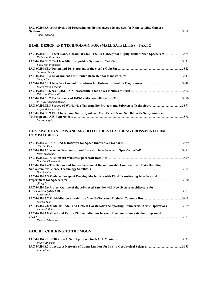**IAC-09.B4.6A.10 Analysis and Processing on Homogeneous Image Sets for Nano-satellite Camera** 

**Systems**............................................................................................................................................................................. 3818 *Anmol Sharma* 

## **B4.6B. DESIGN AND TECHNOLOGY FOR SMALL SATELLITES - PART 2**

| 14C-09.B4.6B.1 Facet Nano, a Modular Star Tracker Concept for Highly Miniaturized Spacecraft3824<br>Eddie van Breukelen |  |
|-------------------------------------------------------------------------------------------------------------------------|--|
|                                                                                                                         |  |
| Eddie van Breukelen                                                                                                     |  |
| Sabrina Corpino                                                                                                         |  |
| Mengu Cho                                                                                                               |  |
| Lisero Perez Lebbink                                                                                                    |  |
| Fabrizio Piergentili                                                                                                    |  |
| D. V. A. Raghava Murthy                                                                                                 |  |
| Jasper Bouwmeester                                                                                                      |  |
| IAC-09.B4.6B.9 The Challenging South Tyrolean 'Max Valier' Nano Satellite with X-ray Amateur                            |  |
| Ludwig Orgler                                                                                                           |  |

## **B4.7. SPACE SYSTEMS AND ARCHITECTURES FEATURING CROSS-PLATFORM COMPATIBILITY**

| Charles Koeck                                                                               |      |
|---------------------------------------------------------------------------------------------|------|
| Peter Mendham                                                                               |      |
| Noushin Khosrodad                                                                           |      |
| IAC-09.B4.7.4 The Design and Implementation of Reconfigurable Command and Data Handling     |      |
|                                                                                             |      |
| Dae Soo Oh                                                                                  |      |
| IAC-09.B4.7.5 Modular Design of Docking Mechanism with Fluid Transferring Interface and     |      |
|                                                                                             |      |
| Oiang Li                                                                                    |      |
| IAC-09.B4.7.6 Project Outline of the Advanced Satellite with New System Architecture for    |      |
|                                                                                             |      |
| Koichi Ijichi                                                                               |      |
|                                                                                             |      |
| Sascha Tietz                                                                                |      |
| Adam M. Baker                                                                               |      |
| IAC-09.B4.7.9 SDS-1 and Future Planned Missions in Small Demonstration Satellite Program of |      |
| JAXA.                                                                                       | 3927 |
| Yosuke Nakamura                                                                             |      |

## **B4.8. HITCHHIKING TO THE MOON**

| Daniel Andrews |  |
|----------------|--|
|                |  |
| John Elliott   |  |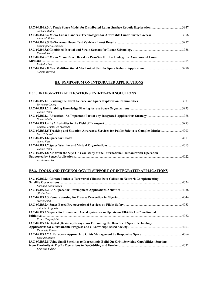| Zachary Bailey                                                                            |  |
|-------------------------------------------------------------------------------------------|--|
| Adam M. Baker                                                                             |  |
| Christopher Boshuizen                                                                     |  |
| Kenneth Hurst                                                                             |  |
| IAC-09.B4.8.7 Micro Moon Rover Based on Pico-Satellite Technology for Assistance of Lunar |  |
| Rozbeh Alavi                                                                              |  |
| Alberto Rovetta                                                                           |  |

## **B5. SYMPOSIUM ON INTEGRATED APPLICATIONS**

## **B5.1. INTEGRATED APPLICATIONS END-TO-END SOLUTIONS**

| So Young Chung                                                                                                         |  |
|------------------------------------------------------------------------------------------------------------------------|--|
| Jeanne Holm                                                                                                            |  |
| Naomi Mathers                                                                                                          |  |
| Gonzalo Martin-de-Mercado                                                                                              |  |
| 1003. IAC-09.B5.1.5 Tracking and Situation Awareness Services for Public Safety: A Complex Market  4003<br>Max Grimard |  |
| James Kass                                                                                                             |  |
| Jeanne Holm                                                                                                            |  |
| IAC-09.B5.1.8 Aid from the Sky: Or Case-study of the International Humanitarian Operation<br>Jakub Ryzenko             |  |

## **B5.2. TOOLS AND TECHNOLOGY IN SUPPORT OF INTEGRATED APPLICATIONS**

| IAC-09.B5.2.1 Climate Links: A Terrestrial Climate Data Collection Network Complementing                                       |  |
|--------------------------------------------------------------------------------------------------------------------------------|--|
|                                                                                                                                |  |
| Farnoud Kazemzadeh                                                                                                             |  |
| Olivier Becu                                                                                                                   |  |
| Mariel John                                                                                                                    |  |
| Antonino Coppola                                                                                                               |  |
| IAC-09.B5.2.5 Space for Unmanned Aerial Systems - an Update on EDA/ESA's Coordinated                                           |  |
|                                                                                                                                |  |
| Frank Zeppenfeldt                                                                                                              |  |
| IAC-09.B5.2.6 Digital (Business) Ecosystems Expanding the Benefits of Space Technology                                         |  |
| Emanuele Barreca                                                                                                               |  |
| Luca del Monte                                                                                                                 |  |
| IAC-09.B5.2.8 Using Small Satellites to Increasingly Build On-Orbit Servicing Capabilities: Starting<br><b>Francois Bulens</b> |  |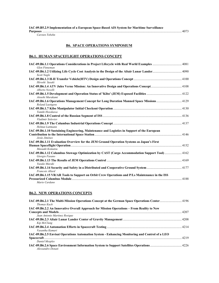## **IAC-09.B5.2.9 Implementation of a European Space-Based AIS System for Maritime Surveillance**

**Purposes** ........................................................................................................................................................................... 4073

*Carsten Tobehn* 

## **B6. SPACE OPERATIONS SYMPOSIUM**

## **B6.1. HUMAN SPACEFLIGHT OPERATIONS CONCEPT**

| Glen Finneman                                                                                                                               |  |
|---------------------------------------------------------------------------------------------------------------------------------------------|--|
| Scott Nagle                                                                                                                                 |  |
| Hiroshi Sasaki                                                                                                                              |  |
| Alberto Novelli                                                                                                                             |  |
| Atsushi Murakami                                                                                                                            |  |
| Roland Luettgens                                                                                                                            |  |
| Tamiki Hosokawa                                                                                                                             |  |
| Vladimir Soloviev                                                                                                                           |  |
| Helmut Luttmann                                                                                                                             |  |
| IAC-09.B6.1.10 Sustaining Engineering, Maintenance and Logistics in Support of the European<br>Jesús Jiménez                                |  |
| IAC-09.B6.1.11 Evaluation Overview for the JEM Ground Operation Systems as Japan's First                                                    |  |
| Masaaki Komatsu<br>1462-19. TAC-09.B6.1.12 Columbus Stowage Optimization by CAST (Cargo Accommodation Support Tool)  4162<br>Giorgio Fasano |  |
| Yusuke Muraki                                                                                                                               |  |
| Francois Allard                                                                                                                             |  |
| IAC-09.B6.1.15 VR/AR Tools to Support on Orbit Crew Operations and P/Ls Maintenance in the ISS<br>Mario Cardano                             |  |
|                                                                                                                                             |  |

## **B6.2. NEW OPERATIONS CONCEPTS**

| <b>Thomas Kuch</b>                                                                             |  |
|------------------------------------------------------------------------------------------------|--|
| IAC-09.B6.2.2 An Innovative Overall Approach for Mission Operations - From Reality to New      |  |
|                                                                                                |  |
| Juan Antonio Martinez Rosique                                                                  |  |
|                                                                                                |  |
| Kip McClung                                                                                    |  |
| Vasantha Kumari                                                                                |  |
| IAC-09.B6.2.5 Envisat Operations Automation System - Enhancing Monitoring and Control of a LEO |  |
|                                                                                                |  |
| Daniel Mesples                                                                                 |  |
| Alessandro Donati                                                                              |  |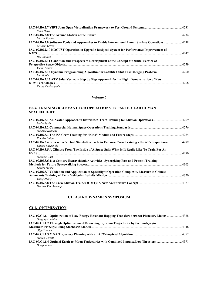| Nuno Duro                                                                                                   |       |
|-------------------------------------------------------------------------------------------------------------|-------|
| Martin Krynitz                                                                                              |       |
| Graham O'Neil                                                                                               |       |
| IAC-09.B6.2.10 KOCUST Operation in Upgrade-Designed System for Performance Improvement of                   |       |
|                                                                                                             |       |
| Hee Jin Bae                                                                                                 |       |
| IAC-09.B6.2.11 Condition and Prospects of Development of the Concept of Orbital Service of                  |       |
| Victor Ivanov                                                                                               |       |
| 14260. LAC-09. B6.2.12 Dynamic Programming Algorithm for Satellite Orbit Task Merging Problem<br>Liu Xiaolu |       |
| IAC-09.B6.2.13 ATV Jules Verne: A Step by Step Approach for In-Flight Demonstration of New                  |       |
| <b>RDV</b> Technologies                                                                                     | 42.68 |
| Emilio De Pasquale                                                                                          |       |

## **Volume 6**

## **B6.3. TRAINING RELEVANT FOR OPERATIONS, IN PARTICULAR HUMAN SPACEFLIGHT**

| Leslie Roche                                                                                                    |  |
|-----------------------------------------------------------------------------------------------------------------|--|
| Maurice Kennedy                                                                                                 |  |
| Kanako Daigo                                                                                                    |  |
| Liliana Ravagnolo                                                                                               |  |
| IAC-09.B6.3.5 A Glimpse From The Inside of A Space Suit: What Is It Really Like To Train For An                 |  |
| Matthew Gast<br>IAC-09.B6.3.6 21st Century Extravehicular Activities: Synergizing Past and Present Training     |  |
| Sandra Moore                                                                                                    |  |
| IAC-09.B6.3.7 Validation and Application of Spaceflight Operation Complexity Measure in Chinese<br>Yijing Zhang |  |
| Heather Van Antwerp                                                                                             |  |

## **C1. ASTRODYNAMICS SYMPOSIUM**

# **C1.1. OPTIMIZATION**

| Gregory Lantoine                                                                         |  |
|------------------------------------------------------------------------------------------|--|
| IAC-09.C1.1.2 Through Optimization of Branching Injection Trajectories by the Pontryagin |  |
|                                                                                          |  |
| Olga Yanova                                                                              |  |
|                                                                                          |  |
| Matteo Ceriotti                                                                          |  |
|                                                                                          |  |
| Donghun Lee                                                                              |  |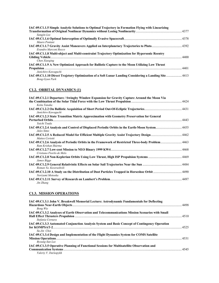| IAC-09.C1.1.5 Simple Analytic Solutions to Optimal Trajectory in Formation Flying with Linearizing |  |
|----------------------------------------------------------------------------------------------------|--|
| Sangjin Lee                                                                                        |  |
|                                                                                                    |  |
| Mauro Pontani                                                                                      |  |
| Evandro Marconi Rocco                                                                              |  |
| IAC-09.C1.1.8 Multi-object and Multi-constraint Trajectory Optimization for Hypersonic Reentry     |  |
|                                                                                                    |  |
| Chen Xiaoging                                                                                      |  |
| IAC-09.C1.1.9 A New Optimized Approach for Ballistic Capture to the Moon Utilizing Low Thrust      |  |
| Junichiro Kawaguchi                                                                                |  |
| <b>Bong-Gyun Park</b>                                                                              |  |

## **C1.2. ORBITAL DYNAMICS (1)**

| IAC-09.C1.2.1 Departure / Swingby Window Expansion for Gravity Capture Around the Moon Via                  |  |
|-------------------------------------------------------------------------------------------------------------|--|
| Keita Tanaka                                                                                                |  |
| Junichiro Kawaguchi                                                                                         |  |
| IAC-09.C1.2.3 State Transition Matrix Approximation with Geometry Preservation for General                  |  |
| Yuichi Tsuda                                                                                                |  |
| IAC-09.C1.2.4 Analysis and Control of Displaced Periodic Orbits in the Earth-Moon System 4455<br>Jules Simo |  |
| Matteo Ceriotti                                                                                             |  |
| Ram Krishan Sharma                                                                                          |  |
| Cristiano Fiorilo de Melo                                                                                   |  |
| James Biggs                                                                                                 |  |
| Roman Ya. Kezerashvili                                                                                      |  |
| Norizumi Motooka                                                                                            |  |
| Jin Zhang                                                                                                   |  |

## **C1.3. MISSION OPERATIONS**

| IAC-09.C1.3.1 John V. Breakwell Memorial Lecture: Astrodynamic Fundamentals for Deflecting      |  |
|-------------------------------------------------------------------------------------------------|--|
|                                                                                                 |  |
| Bong Wie                                                                                        |  |
| IAC-09.C1.3.2 Analyses of Earth Observation and Telecommunications Mission Scenarios with Small |  |
|                                                                                                 |  |
| Stefania Cornara                                                                                |  |
| IAC-09.C1.3.3 Automated Conjunction Analysis System and Basic Concept of Contingency Operation  |  |
|                                                                                                 |  |
| Su-Jin Choi                                                                                     |  |
| IAC-09.C1.3.4 Design and Implementation of the Flight Dynamics System for COMS Satellite        |  |
|                                                                                                 |  |
| Byoung-Sun Lee                                                                                  |  |
| IAC-09.C1.3.5 Operative Planning of Functional Sessions for Multisatellite Observation and      |  |
|                                                                                                 |  |
| Valeriy V. Darnopykh                                                                            |  |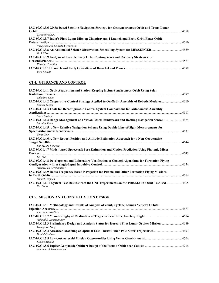| IAC-09.C1.3.6 GNSS-based Satellite Navigation Strategy for Geosynchronous Orbit and Trans-Lunar |  |
|-------------------------------------------------------------------------------------------------|--|
|                                                                                                 |  |
| Gwanghyeok Ju                                                                                   |  |
| IAC-09.C1.3.7 India's First Lunar Mission Chandrayaan-1 Launch and Early Orbit Phase Orbit      |  |
|                                                                                                 |  |
| Narayanasetti Venkata Vighnesam                                                                 |  |
| Teck Choo                                                                                       |  |
| IAC-09.C1.3.9 Analysis of Possible Early Orbit Contingencies and Recovery Strategies for        |  |
|                                                                                                 |  |
| Elisabet Canalias                                                                               |  |
|                                                                                                 |  |
| Uwe Feucht                                                                                      |  |

## **C1.4. GUIDANCE AND CONTROL**

| IAC-09.C1.4.1 Orbit Acquisition and Station-Keeping in Sun-Synchronous Orbit Using Solar                              |       |
|-----------------------------------------------------------------------------------------------------------------------|-------|
| <b>Radiation Pressure</b> 2599                                                                                        |       |
| Takahiro Kato                                                                                                         |       |
| 140. 4610 HAC-09.C1.4.2 Cooperative Control Strategy Applied to On-Orbit Assembly of Robotic Modules<br>Chiara Toglia |       |
| IAC-09.C1.4.3 Tools for Reconfigurable Control System Comparisons for Autonomous Assembly                             |       |
|                                                                                                                       | 4611  |
| Swati Mohan                                                                                                           |       |
| 1402-09. C1.4.4 Range Management of a Vision Based Rendezvous and Docking Navigation Sensor  4624<br>Mathias Benn     |       |
| IAC-09.C1.4.5 A New Relative Navigation Scheme Using Double Line-of-Sight Measurements for                            |       |
|                                                                                                                       | 4631  |
| Tong Chen                                                                                                             |       |
| IAC-09.C1.4.6 A New Robust Position and Attitude Estimation Approach for a Non-Cooperative                            |       |
|                                                                                                                       | 4644  |
| Ijar M. Da Fonseca                                                                                                    |       |
| IAC-09.C1.4.7 Model-based Spacecraft Pose Estimation and Motion Prediction Using Photonic Mixer                       |       |
|                                                                                                                       | 4645  |
| Lei Ma                                                                                                                |       |
| IAC-09.C1.4.8 Development and Laboratory Verification of Control Algorithms for Formation Flying                      |       |
| Michael Yu. Ovchinnikov                                                                                               | 4654  |
| IAC-09.C1.4.9 Radio Frequency Based Navigation for Prisma and Other Formation Flying Missions                         |       |
|                                                                                                                       | .4664 |
| Michel Delpech                                                                                                        |       |
| IAC-09.C1.4.10 System Test Results from the GNC Experiments on the PRISMA In-Orbit Test Bed                           | 4665  |
| Per Bodin                                                                                                             |       |

## **C1.5. MISSION AND CONSTELLATION DESIGN**

| IAC-09.C1.5.1 Methodology and Results of Analysis of Zenit, Cyclone Launch Vehicles Orbital |  |
|---------------------------------------------------------------------------------------------|--|
|                                                                                             |  |
| Alexander Novikov                                                                           |  |
|                                                                                             |  |
| Mikhail S. Konstantinov                                                                     |  |
|                                                                                             |  |
| Young-Joo Song                                                                              |  |
|                                                                                             |  |
| Daniel Grebow                                                                               |  |
|                                                                                             |  |
| Kikuko Miyata                                                                               |  |
|                                                                                             |  |
| Johannes Schoenmaekers                                                                      |  |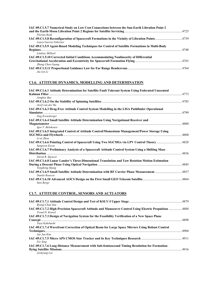| IAC-09.C1.5.7 Numerical Study on Low Cost Connections between the Sun-Earth Libration Point 2   |  |
|-------------------------------------------------------------------------------------------------|--|
|                                                                                                 |  |
| Florian Renk                                                                                    |  |
|                                                                                                 |  |
| Laura Garcia-Taberner                                                                           |  |
| IAC-09.C1.5.9 Agent-Based Modeling Techniques for Control of Satellite Formations in Multi-Body |  |
|                                                                                                 |  |
| Lindsay Millard                                                                                 |  |
| IAC-09.C1.5.10 Corrected Initial Conditions Accommodating Nonlinearity of Differential          |  |
|                                                                                                 |  |
| Zhang Chen Guang                                                                                |  |
|                                                                                                 |  |
| Jiu-ren Li                                                                                      |  |

## **C1.6. ATTITUDE DYNAMICS, MODELLING AND DETERMINATION**

| IAC-09.C1.6.1 Attitude Determination for Satellite Fault Tolerant System Using Federated Unscented |      |
|----------------------------------------------------------------------------------------------------|------|
|                                                                                                    | 4773 |
| Jonghee Bae                                                                                        |      |
| Jozef van der Ha                                                                                   |      |
| IAC-09.C1.6.3 Drag-Free Attitude Control System Modelling in the LISA Pathfinder Operational       |      |
|                                                                                                    |      |
| Dag Evensberget                                                                                    |      |
| IAC-09.C1.6.4 Small Satellite Attitude Determination Using Navigational Receiver and               |      |
|                                                                                                    |      |
| Igor V. Belokonov                                                                                  |      |
| IAC-09.C1.6.5 Integrated Control of Attitude Control/Momentum Management/Power Storage Using       |      |
| Li-ni Zhou                                                                                         |      |
| Sangwon Kwon                                                                                       |      |
| IAC-09.C1.6.7 Preliminary Analysis of a Spacecraft Attitude Control System Using a Shifting Mass   |      |
|                                                                                                    |      |
| David B. Spencer                                                                                   |      |
| IAC-09.C1.6.8 Lunar Lander's Three-Dimensional Translation and Yaw Rotation Motion Estimation      |      |
|                                                                                                    |      |
| Yongheng Shang                                                                                     |      |
|                                                                                                    |      |
| Danilo Roascio                                                                                     |      |
| Sten Berge                                                                                         |      |

## **C1.7. ATTITUDE CONTROL, SENSORS AND ACTUATORS**

| Byung-Chan Sun                                                                                  |  |
|-------------------------------------------------------------------------------------------------|--|
| Trond D. Krøvel                                                                                 |  |
| IAC-09.C1.7.3 Design of Navigation System for the Feasibility Verification of a New Space Plane |  |
| Yuva Kakehashi                                                                                  |  |
| IAC-09.C1.7.4 Wavefront Correction of Optical Beam for Large Space Mirrors Using Robust Control |  |
| Jae Jun Kim                                                                                     |  |
| Fei Xing                                                                                        |  |
| IAC-09.C1.7.6 Long Distance Measurement with Sub-femtosecond Timing Resolution for Formation-   |  |
| Joohyung Lee                                                                                    |  |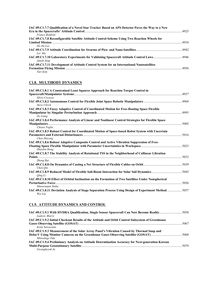| IAC-09.C1.7.7 Qualification of a Novel Star Tracker Based on APS Detector Paves the Way to a New |  |
|--------------------------------------------------------------------------------------------------|--|
|                                                                                                  |  |
| Franco Boldrini                                                                                  |  |
| IAC-09.C1.7.8 Reconfigurable Satellite Attitude Control Scheme Using Two Reaction Wheels for     |  |
|                                                                                                  |  |
| Ho Jin Lee                                                                                       |  |
|                                                                                                  |  |
| Lei Ma                                                                                           |  |
|                                                                                                  |  |
| Junoh Jung                                                                                       |  |
| IAC-09.C1.7.11 Development of Attitude Control System for an International Nanosatellites        |  |
|                                                                                                  |  |
| Yuri Kim                                                                                         |  |

## **C1.8. MULTIBODY DYNAMICS**

| IAC-09.C1.8.1 A Constrained Least Squares Approach for Reaction Torque Control in                          |      |
|------------------------------------------------------------------------------------------------------------|------|
|                                                                                                            | 4957 |
| Silvio Cocuzza                                                                                             |      |
| Steve Ulrich                                                                                               |      |
| IAC-09.C1.8.3 Fuzzy Adaptive Control of Coordinated Motion for Free-floating Space Flexible                |      |
|                                                                                                            |      |
| Jie Liang                                                                                                  |      |
| IAC-09.C1.8.4 Performance Analysis of Linear and Nonlinear Control Strategies for Flexible Space           |      |
|                                                                                                            | 5005 |
| Chiara Toglia                                                                                              |      |
| IAC-09.C1.8.5 Robust Control for Coordinated Motion of Space-based Robot System with Uncertain             |      |
| Chen Zhivong                                                                                               | 5016 |
| IAC-09.C1.8.6 Robust Adaptive Composite Control and Active Vibration Suppression of Free-                  |      |
| Zhaobin Hong                                                                                               |      |
| IAC-09.C1.8.7 The Stability Analysis of Rotational TSS in the Neighborhood of Collinear Libration          |      |
| Points.                                                                                                    | 5032 |
| Zhong Rui                                                                                                  |      |
| Chen Oin                                                                                                   |      |
|                                                                                                            |      |
| Oing Li                                                                                                    |      |
| IAC-09.C1.8.10 Effect of Orbital Inclination on the Formation of Two Satellites Under Nonspherical         |      |
|                                                                                                            | 5056 |
| Manoranjan Sinha                                                                                           |      |
| IAC-09.C1.8.11 Deviation Analysis of Stage Separation Process Using Design of Experiment Method<br>Wei Liu | 5057 |

## **C1.9. ATTITUDE DYNAMICS AND CONTROL**

| Ludovic Blarre                                                                                   |      |
|--------------------------------------------------------------------------------------------------|------|
| IAC-09.C1.9.2 Initial Checkout Results of the Attitude and Orbit Control Subsystem of Greenhouse |      |
| Keita Sawayama                                                                                   | 5067 |
| IAC-09.C1.9.3 Measurement of the Solar Array Panel's Vibration Caused by Thermal Snap and        |      |
| Mitsushige Oda                                                                                   |      |
| IAC-09.C1.9.4 Preliminary Analysis on Attitude Determination Accuracy for Next-generation Korean |      |
| Gwanghyeok Ju                                                                                    |      |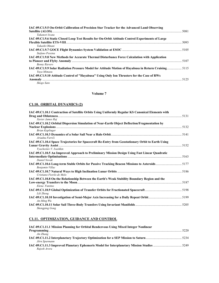| IAC-09.C1.9.5 On-Orbit Calibration of Precision Star Tracker for the Advanced Land Observing         |  |
|------------------------------------------------------------------------------------------------------|--|
| Takanori Iwata                                                                                       |  |
| IAC-09.C1.9.6 Static Closed Loop Test Results for On-Orbit Attitude Control Experiments of Large     |  |
|                                                                                                      |  |
| Takashi Ohtani                                                                                       |  |
|                                                                                                      |  |
| Stefano Pessina                                                                                      |  |
| IAC-09.C1.9.8 New Methods for Accurate Thermal Disturbance Force Calculation with Application        |  |
|                                                                                                      |  |
| <b>Benny Rievers</b>                                                                                 |  |
| IAC-09.C1.9.9 Solar Radiation Pressure Model for Attitude Motion of Hayabusa in Return Cruising 5115 |  |
| Yuva Mimasu                                                                                          |  |
| IAC-09.C1.9.10 Attitude Control of "Havabusa" Using Only Ion Thrusters for the Case of RWs           |  |
|                                                                                                      |  |
| Shogo Sato                                                                                           |  |

#### **Volume 7**

## **C1.10. ORBITAL DYNAMICS (2)**

| IAC-09.C1.10.1 Contraction of Satellite Orbits Using Uniformly Regular KS Canonical Elements with |      |
|---------------------------------------------------------------------------------------------------|------|
| Xavier James Raj                                                                                  |      |
| IAC-09.C1.10.2 Orbital Dispersion Simulation of Near-Earth Object Deflection/Fragmentation by     |      |
| <b>Brian Kaplinger</b>                                                                            |      |
| Ariadna Farrés                                                                                    |      |
| IAC-09.C1.10.4 Space Trajectories for Spacecraft Re-Entry from Geostationary Orbit to Earth Using |      |
| Vyacheslav V. Ivashkin                                                                            | 5152 |
| IAC-09.C1.10.5 An Improved Approach to Preliminary Mission Design Using Fast Linear Quadratic     |      |
| Daniel Novak                                                                                      |      |
| Benjamin Villac                                                                                   |      |
| Cristiano Fiorilo de Melo                                                                         |      |
| IAC-09.C1.10.8 On the Relationship Between the Earth's Weak Stability Boundary Region and the     | 5187 |
| Elena Fantino                                                                                     |      |
| Lili Zheng                                                                                        |      |
| $An$ -Ming Wu                                                                                     |      |
| <b>Shengping Gong</b>                                                                             |      |

## **C1.11. OPTIMIZATION, GUIDANCE AND CONTROL**

| IAC-09.C1.11.1 Mission Planning for Orbital Rendezvous Using Mixed Integer Nonlinear |      |
|--------------------------------------------------------------------------------------|------|
|                                                                                      | 5220 |
| Jin Zhang                                                                            |      |
|                                                                                      |      |
| Jörn Spurmann                                                                        |      |
|                                                                                      |      |
| Rajesh Arora                                                                         |      |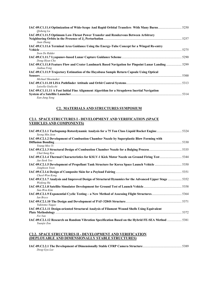| Oisheng Lu                                                                                                       |      |
|------------------------------------------------------------------------------------------------------------------|------|
| IAC-09.C1.11.5 Optimum Low-Thrust Power Transfer and Rendezvous Between Arbitrary                                |      |
| Juan Zhang                                                                                                       | 5257 |
| IAC-09.C1.11.6 Terminal Area Guidance Using the Energy-Tube Concept for a Winged Re-entry                        |      |
|                                                                                                                  | 5275 |
| Sven De Ridder                                                                                                   |      |
| Dong-Hyun Cho                                                                                                    |      |
| 140.09.01.11.8 Feature Flow and Crater Landmark Based Navigation for Pinpoint Lunar Landing  5299<br>Junhua Feng |      |
| IAC-09.C1.11.9 Trajectory Estimation of the Hayabusa Sample Return Capsule Using Optical                         |      |
|                                                                                                                  |      |
| Michael Shoemaker                                                                                                |      |
| Luisella Giulicchi                                                                                               |      |
| IAC-09.C1.11.11 A Fast Initial Fine Alignment Algorithm for a Strapdown Inertial Navigation                      |      |
|                                                                                                                  |      |
| Eun-Jung Song                                                                                                    |      |

### **C2. MATERIALS AND STRUCTURES SYMPOSIUM**

#### **C2.1. SPACE STRUCTURES I - DEVELOPMENT AND VERIFICATION (SPACE VEHICLES AND COMPONENTS)**

| Seong Min Jeon                                                                                                     |  |
|--------------------------------------------------------------------------------------------------------------------|--|
| IAC-09.C2.1.2 Development of Combustion Chamber Nozzle by Superplastic Blow Forming with                           |  |
|                                                                                                                    |  |
| Young-Moo Yi                                                                                                       |  |
| Chul-Sung Ryu                                                                                                      |  |
| Jae-Seok Yoo                                                                                                       |  |
| Jonghoon Yoon                                                                                                      |  |
| Cheol-Won Kong                                                                                                     |  |
| IAC-09.C2.1.7 Analysis and Improved Design of Structural Dynamics for the Advanced Upper Stage  5352<br>Weifeng Hu |  |
| Sun-Won Kim                                                                                                        |  |
| Ian Bryce                                                                                                          |  |
| Yukitomo Nagao                                                                                                     |  |
| IAC-09.C2.1.11 Design-oriented Structural Analysis of Filament Wound Shells Using Equivalent                       |  |
|                                                                                                                    |  |
| Fei Yan                                                                                                            |  |
| 14C-09.C2.1.12 Research on Random Vibration Specification Based on the Hybrid FE-SEA Method  5381<br>Yuanjie Zou   |  |

#### **C2.2. SPACE STRUCTURES II - DEVELOPMENT AND VERIFICATION (DEPLOYABLE AND DIMENSIONALLY STABLE STRUCTURES)**

| Deog-Gyu Lee |  |  |
|--------------|--|--|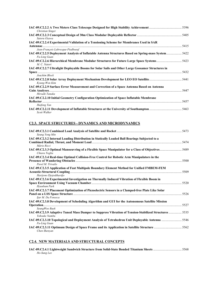| Christian Singer                                                                                                    |      |
|---------------------------------------------------------------------------------------------------------------------|------|
| Satoru Ozawa                                                                                                        |      |
| IAC-09.C2.2.4 Experimental Validation of a Tensioning Scheme for Membranes Used in SAR                              |      |
|                                                                                                                     | 5415 |
| Jean-François Labrecque-Piedboeuf                                                                                   |      |
| IAC-09.C2.2.5 Deployment Analysis of Inflatable Antenna Structures Based on Spring-mass System 5422<br>Fu-Ling Guan |      |
| M. C. Natori                                                                                                        |      |
| IAC-09.C2.2.7 Ultralight Deployable Booms for Solar Sails and Other Large Gossamer Structures in                    |      |
| Joachim Block                                                                                                       | 5432 |
| Kyung-Won Kim                                                                                                       |      |
| IAC-09.C2.2.9 Surface Error Measurement and Correction of a Space Antenna Based on Antenna                          |      |
| Hiroaki Tanaka                                                                                                      |      |
| IAC-09.C2.2.10 Initial Geometry Configuration Optimization of Space Inflatable Membrane                             |      |
|                                                                                                                     |      |
| Huifeng Tan                                                                                                         |      |
| Scott Walker                                                                                                        |      |

### **C2.3. SPACE STRUCTURES - DYNAMICS AND MICRODYNAMICS**

| Seung Yong Min                                                                                                   |      |
|------------------------------------------------------------------------------------------------------------------|------|
| IAC-09.C2.3.2 Internal Loading Distribution in Statically Loaded Ball Bearings Subjected to a                    |      |
|                                                                                                                  | 5474 |
| Mário Ricci                                                                                                      |      |
| Chiara Toglia                                                                                                    |      |
| IAC-09.C2.3.4 Real-time Optimal Collision-Free Control for Robotic Arm Manipulators in the                       |      |
|                                                                                                                  | 5500 |
| Pavel M. Trivailo                                                                                                |      |
| IAC-09.C2.3.5 Application of Fast Multipole Boundary Element Method for Unified FMBEM-FEM                        |      |
|                                                                                                                  | 5509 |
| Harijono Djojodihardjo                                                                                           |      |
| IAC-09.C2.3.6 Experimental Investigation on Thermally Induced Vibration of Flexible Boom in                      |      |
|                                                                                                                  | 5520 |
| Hyunbum Park                                                                                                     |      |
| IAC-09.C2.3.7 Placement Optimization of Piezoelectric Sensors in a Clamped-free Plate Like Solar                 |      |
|                                                                                                                  | 5526 |
| Ijar M. Da Fonseca                                                                                               |      |
| IAC-09.C2.3.8 Development of Scheduling Algorithm and GUI for the Autonomous Satellite Mission                   |      |
|                                                                                                                  | 5527 |
| SeungWoo Baek                                                                                                    |      |
| IAC-09.C2.3.9 Adaptive Tuned Mass Damper to Suppress Vibration of Tension-Stabilized Structures<br>Yohsuke Nambu | 5535 |
| 14C-09.C2.3.10 Topological and Deployment Analysis of Tetrahedron Unit Deployable Antenna 5546<br>Fu-Ling Guan   |      |
| IAC-09.C2.3.11 Optimum Design of Space Frame and its Application in Satellite Structure 5562<br>Chen Shenyan     |      |

## **C2.4. NEW MATERIALS AND STRUCTURAL CONCEPTS**

**IAC-09.C2.4.1 Lightweight Sandwich Structure from Solid-State Bonded Titanium Sheets** ................................... 5568 *Ho-Sung Lee*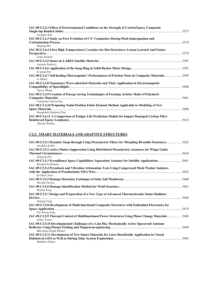| IAC-09.C2.4.2 Effect of Environmental Conditions on the Strength of Carbon/Epoxy Composite    | 5573 |
|-----------------------------------------------------------------------------------------------|------|
| Joongjin Kim                                                                                  |      |
| IAC-09.C2.4.3 Study on Pore Evolution of C/C Composites During Pitch Impregnation and         |      |
| Shufeng Wu                                                                                    |      |
| IAC-09.C2.4.4 Ultra High Temperatures Ceramics for Hot Structures: Lesson Learned And Future  |      |
| Luigi Scatteia                                                                                | 5579 |
|                                                                                               |      |
| Antonio Paolozzi                                                                              |      |
|                                                                                               |      |
| Li-gang Sun                                                                                   |      |
| Li Zhang                                                                                      |      |
| IAC-09.C2.4.8 Nanometer Wave-adsorbed Materials and Their Application in Electromagnetic      |      |
| Xueao Zhang                                                                                   | 5600 |
| IAC-09.C2.4.9 Creation of Energy-saving Technologies of Forming Articles Made of Polymeric    |      |
| Volodymyr Slyvyns'kyy                                                                         | 5601 |
| IAC-09.C2.4.10 Proposing Nodal Position Finite Element Method Applicable to Modeling of New   |      |
|                                                                                               | 5608 |
| Banafsheh Hashemi Pour                                                                        |      |
| IAC-09.C2.4.11 A Comparison of Fatigue Life Prediction Models for Impact Damaged Carbon Fibre |      |
|                                                                                               | 5614 |
| <b>Alastair Komus</b>                                                                         |      |

## **C2.5. SMART MATERIALS AND ADAPTIVE STRUCTURES**

| IAC-09.C2.5.1 Dynamic Snap-through Using Piezoelectric Fibers for Morphing Bi-stable Structures<br>Atsuhiko Senba | 5625 |
|-------------------------------------------------------------------------------------------------------------------|------|
| IAC-09.C2.5.2 Active Flutter Suppression Using Distributed Piezoelectric Actuators for Wings Under                |      |
| Junpeng Hui                                                                                                       | 5634 |
| <b>Bernard Lallemant</b>                                                                                          | 5641 |
| IAC-09.C2.5.4 Pyroshock and Vibration Attenuation Tests Using Compressed Mesh Washer Isolators<br>Se-Hyun Youn    | 5652 |
| Hiroshi Furuva                                                                                                    | 5660 |
| Weibin Peng                                                                                                       | 5661 |
| IAC-09.C2.5.7 Design and Preparation of a New Type of Advanced Thermochromic Smart Radiator                       |      |
|                                                                                                                   | 5668 |
| Yudong Feng                                                                                                       |      |
| IAC-09.C2.5.8 Development of Multi-functional Composite Structures with Embedded Electronics for                  | 5679 |
| Tae Seong Jang                                                                                                    |      |
| IAC-09.C2.5.9 Thermal Control of Multifunctional Power Structures Using Phase Change Materials<br>James Foster    | 5688 |
| IAC-09.C2.5.10 Developmental Challenges of a 1.2m Dia. Mechanically Active Spacecraft Antenna                     |      |
| <b>Bhawdeep Singh Munjal</b>                                                                                      |      |
| IAC-09.C2.5.11 Development of New Smart Materials for Later Beneficially Application in Closed                    |      |
|                                                                                                                   | 5695 |
| Matthias Dünne                                                                                                    |      |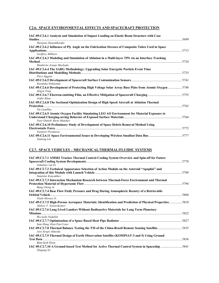### **C2.6. SPACE ENVIRONMENTAL EFFECTS AND SPACECRAFT PROTECTION**

| IAC-09.C2.6.1 Analysis and Simulation of Impact Loading on Elastic Beam Structure with Case                         | 5699 |
|---------------------------------------------------------------------------------------------------------------------|------|
| Harijono Djojodihardjo                                                                                              |      |
| IAC-09.C2.6.2 Influence of Ply Angle on the Fabrication Stresses of Composite Tubes Used in Space                   |      |
|                                                                                                                     |      |
| Geoffrey Milburn                                                                                                    |      |
| IAC-09.C2.6.3 Modeling and Simulation of Ablation in a Multi-layer TPS via an Interface Tracking                    |      |
|                                                                                                                     |      |
| Humberto Araujo Machado                                                                                             |      |
| IAC-09.C2.6.4 The SARG Methodology: Upgrading Solar Energetic Particle Event Time                                   |      |
| Piers Jiggens                                                                                                       |      |
|                                                                                                                     |      |
| Kazutaka Nishiyama                                                                                                  |      |
| IAC-09.C2.6.6 Development of Protecting High Voltage Solar Array Base Plate from Atomic Oxygen  5748<br>Jingvu Tong |      |
| Arifur Khan                                                                                                         |      |
| IAC-09.C2.6.8 The Sectional Optimization Design of High Speed Aircraft at Ablation Thermal                          |      |
|                                                                                                                     |      |
| Yin LianHua                                                                                                         |      |
| IAC-09.C2.6.9 Atomic Oxygen Facility Simulating LEO AO Environment for Material Exposure to                         |      |
| Noor Danish Ahrar Mundari                                                                                           |      |
| IAC-09.C2.6.10 Preliminary Study of Development of Space Debris Removal Method Using                                |      |
|                                                                                                                     |      |
| Yasunori Furukawa                                                                                                   |      |
| Yunlong Lin                                                                                                         |      |

## **C2.7. SPACE VEHICLES – MECHANICAL/THERMAL/FLUIDIC SYSTEMS**

| IAC-09.C2.7.1 AMS02 Tracker Thermal Control Cooling System Overview and Spin-off for Future                                                                                                                                                                                                                                       |      |
|-----------------------------------------------------------------------------------------------------------------------------------------------------------------------------------------------------------------------------------------------------------------------------------------------------------------------------------|------|
| Johannes van Es                                                                                                                                                                                                                                                                                                                   |      |
| IAC-09.C2.7.2 Technical Appearance Selection of Action Module on the Asteroid "Apophis" and                                                                                                                                                                                                                                       | 5789 |
| Stanislav Konyukhov                                                                                                                                                                                                                                                                                                               |      |
| IAC-09.C2.7.3 Interaction Mechanism Research between Thermal-Force Environment and Thermal                                                                                                                                                                                                                                        | 5794 |
| Bang Cheng Ai                                                                                                                                                                                                                                                                                                                     |      |
| IAC-09.C2.7.4 Base Flow Field, Pressure and Drag During Atmospheric Reentry of a Retrievable<br>Paulo Moraes Jr.                                                                                                                                                                                                                  | 5804 |
| IAC-09.C2.7.5 High-Porous Aerospace Materials: Identification and Prediction of Physical Properties<br>Aleksey V. Nenarokomov                                                                                                                                                                                                     | 5810 |
| IAC-09.C2.7.6 Long Lived Landers Without Radioactive Materials for Long Term Planetary                                                                                                                                                                                                                                            |      |
|                                                                                                                                                                                                                                                                                                                                   | 5822 |
| Riccardo Nadalini<br>Sam Hung, Kien Fan Cesar                                                                                                                                                                                                                                                                                     |      |
| Jose Sergio Almeida                                                                                                                                                                                                                                                                                                               | 5835 |
| IAC-09.C2.7.9 Thermal Design of Earth Observation Satellite (KOMPSAT-3 and 5) Using Ground<br>Test Data <u>communications</u> and the contract of the contract of the contract of the contract of the contract of the contract of the contract of the contract of the contract of the contract of the contract of the contract of | 5836 |
| <b>Bum-Seok Hyun</b>                                                                                                                                                                                                                                                                                                              |      |
| Xingang Yu                                                                                                                                                                                                                                                                                                                        |      |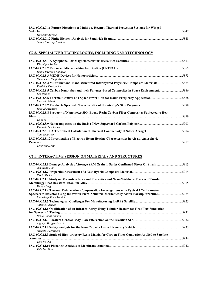| IAC-09.C2.7.11 Future Directions of Multi-use Reentry Thermal Protection Systems for Winged                                                                                                                                         |      |
|-------------------------------------------------------------------------------------------------------------------------------------------------------------------------------------------------------------------------------------|------|
| Vehicles <b>Example 2018</b> The contract of the contract of the contract of the contract of the contract of the contract of the contract of the contract of the contract of the contract of the contract of the contract of the co | 5847 |
| Slawomir Zdybski                                                                                                                                                                                                                    |      |
|                                                                                                                                                                                                                                     | 5848 |
| Shanti Swaroop Kandala                                                                                                                                                                                                              |      |

### **C2.8. SPECIALIZED TECHNOLOGIES, INCLUDING NANOTECHNOLOGY**

| Véronique Rochus                                                                                   |  |
|----------------------------------------------------------------------------------------------------|--|
|                                                                                                    |  |
| Shanti Swaroop Kandala                                                                             |  |
|                                                                                                    |  |
| Ramandeep Singh Kukreja                                                                            |  |
| Vasileios Drakonakis                                                                               |  |
| Leo Daniel                                                                                         |  |
| Riccardo Monti                                                                                     |  |
| Shao Zhengzheng                                                                                    |  |
| $IAC-09.C2.8.8$ Property of Nanometer $SiO2$ Epoxy Resin Carbon Fiber Composites Subjected to Heat |  |
|                                                                                                    |  |
| Ya-di Li                                                                                           |  |
| Vladimir Levchenko                                                                                 |  |
| Xian-zhou Yao                                                                                      |  |
| IAC-09.C2.8.12 Investigation of Electron Beam Heating Characteristics in Air at Atmospheric        |  |
|                                                                                                    |  |
| Yongfeng Deng                                                                                      |  |

## **C2.I. INTERACTIVE SESSION ON MATERIALS AND STRUCTURES**

| Jun Liang Tian                                                                                    |      |
|---------------------------------------------------------------------------------------------------|------|
| Florin Tache                                                                                      |      |
| IAC-09.C2.I.3 Study on Microstructures and Properties and Near-Net-Shape Process of Powder        |      |
|                                                                                                   |      |
| Wang Liang                                                                                        |      |
| IAC-09.C2.I.4 Thermal Deformation Compensation Investigations on a Typical 1.2m Diameter          |      |
|                                                                                                   |      |
| <b>Bhawdeep Singh Munjal</b>                                                                      |      |
|                                                                                                   |      |
| Antonio Paolozzi                                                                                  |      |
| IAC-09.C2.I.6 Qualification of an Infrared Array Using Tubular Heaters for Heat Flux Simulation   |      |
|                                                                                                   | 5931 |
| Denio Lemos Panissi                                                                               |      |
|                                                                                                   |      |
| Algacyr Morgenstern Jr.                                                                           |      |
|                                                                                                   |      |
| Michele Ferraiuolo                                                                                |      |
| IAC-09.C2.I.9 Study of High-property Resin Matrix for Carbon Fiber Composite Applied to Satellite |      |
|                                                                                                   |      |
| Ying-jie Oin                                                                                      |      |
|                                                                                                   | 5942 |
| Zhi-chao Han                                                                                      |      |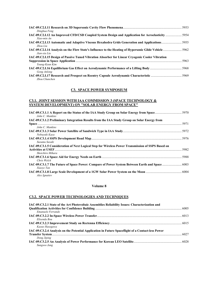| Dinghua Feng                                                                                                      |       |
|-------------------------------------------------------------------------------------------------------------------|-------|
| IAC-09.C2.I.12 An Improved CFD/CSD Coupled System Design and Application for Aeroelasticity  5954<br>Xiao-min An  |       |
| Zhou Liu                                                                                                          |       |
| Jian-xia Liu                                                                                                      |       |
| IAC-09.C2.I.15 Design of Passive Tuned Vibration Absorber for Linear Cryogenic Cooler Vibration<br>Young-Keun Kim | 5963  |
| Gong Anlong                                                                                                       |       |
| Zhou Chunchen                                                                                                     | .5969 |

#### **C3. SPACE POWER SYMPOSIUM**

### **C3.1. JOINT SESSION WITH IAA COMMISSION 3 (SPACE TECHNOLOGY & SYSTEM DEVELOPMENT) ON "SOLAR ENERGY FROM SPACE"**

| John C. Mankins                                                                                   |  |
|---------------------------------------------------------------------------------------------------|--|
| IAC-09.C3.1.2 Preliminary Integration Results from the IAA Study Group on Solar Energy from       |  |
| John C. Mankins                                                                                   |  |
| Nobuyuki Kaya                                                                                     |  |
| Susumu Sasaki                                                                                     |  |
| IAC-09.C3.1.5 Consideration of Next Logical Step for Wireless Power Transmission of SSPS Based on |  |
| Shoichiro Mihara                                                                                  |  |
| Chris Welch                                                                                       |  |
| Xiaove Tan                                                                                        |  |
| Alex Ignatiev                                                                                     |  |

#### **Volume 8**

### **C3.2. SPACE POWER TECHNOLOGIES AND TECHNIQUES**

| IAC-09.C3.2.1 State of the Art Photovoltaic Assemblies Reliability Issues: Characterization and    |  |
|----------------------------------------------------------------------------------------------------|--|
|                                                                                                    |  |
| Emanuele Ferrando                                                                                  |  |
|                                                                                                    |  |
| Elisenda Bou                                                                                       |  |
|                                                                                                    |  |
| Kazuo Hasegawa                                                                                     |  |
| IAC-09. C3.2.4 Analysis on the Potential Application in Future Spaceflight of a Contact-less Power |  |
|                                                                                                    |  |
| Dong Jiping                                                                                        |  |
|                                                                                                    |  |
| Sungsoo Jang                                                                                       |  |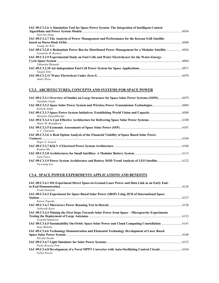| IAC-09. C3.2.6 A Simulation Tool for Space Power System: The Integration of Intelligent Control    |  |
|----------------------------------------------------------------------------------------------------|--|
|                                                                                                    |  |
| Xiao-bin Deng                                                                                      |  |
| IAC-09.C3.2.7 The Analysis of Power Management and Performance for the Korean SAR Satellite        |  |
|                                                                                                    |  |
| Young-Jin Won                                                                                      |  |
| 140.09.03.2.8 A Redundant Power Bus for Distributed Power Management for a Modular Satellite  6056 |  |
| Leonardo M. Revneri                                                                                |  |
| IAC-09.C3.2.9 Experimental Study on Fuel Cells and Water Electrolyzers for the Water-Energy-       |  |
|                                                                                                    |  |
| Takanobu Shimada                                                                                   |  |
|                                                                                                    |  |
| Taegvu Kim                                                                                         |  |
|                                                                                                    |  |
| Andre Weiss                                                                                        |  |

## **C3.3. ARCHITECTURES, CONCEPTS AND SYSTEMS FOR SPACE POWER**

| Tatsuhito Fujita                                                                           |  |
|--------------------------------------------------------------------------------------------|--|
| Kenichi Anma                                                                               |  |
| Harijono Djojodihardjo                                                                     |  |
| Henry W. Brandhorst                                                                        |  |
| A. C. Charania                                                                             |  |
| IAC-09.C3.3.6 A Real Option Analysis of the Financial Viability of Space Based Solar Power |  |
| Roger X. Lenard                                                                            |  |
| Keunsu Ma                                                                                  |  |
| Gaia Fusco                                                                                 |  |
| Na-voung Lee                                                                               |  |

## **C3.4. SPACE POWER EXPERIMENTS APPLICATIONS AND BENEFITS**

| IAC-09.C3.4.1 ISS Experiment Direct Space-to-Ground Laser Power and Data Link as an Early End-       |  |
|------------------------------------------------------------------------------------------------------|--|
|                                                                                                      |  |
| <b>Frank Steinsiek</b>                                                                               |  |
| IAC-09.C3.4.2 Experiment for Space Based Solar Power (SBSP) Using JEM of International Space         |  |
|                                                                                                      |  |
| Satoru Togashi                                                                                       |  |
|                                                                                                      |  |
| Nobuvuki Kava                                                                                        |  |
| IAC-09. C3.4.4 Making the First Steps Towards Solar Power from Space – Microgravity Experiments      |  |
|                                                                                                      |  |
| Leopold Summerer                                                                                     |  |
| 141 IAC-09.C3.4.5 Sustainability On-Orbit: Space Solar Power and Cloud Computing Constellation  6141 |  |
| Sean Mobilia                                                                                         |  |
| IAC-09.C3.4.6 Technology Demonstration and Elemental Technology Development of Laser Based           |  |
|                                                                                                      |  |
| Hiroaki Suzuki                                                                                       |  |
|                                                                                                      |  |
| Paolo Rosazza Prin                                                                                   |  |
| <b>Gabor Kocsis</b>                                                                                  |  |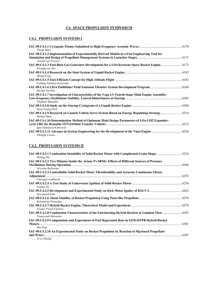## **C4. SPACE PROPULSION SYMPOSIUM**

### **C4.1. PROPULSION SYSTEMS I**

| Yoann Mery                                                                                                             |  |
|------------------------------------------------------------------------------------------------------------------------|--|
| IAC-09.C4.1.2 Implementation of Experimentally Derived Models in a Fast Engineering Tool for<br>Arnold van Foreest     |  |
| 14C-09.C4.1.3 Fuel-Rich Gas Generator Development for a LOx/kerosene Space Rocket Engine 6172<br>Seonghyeon Seo        |  |
| Zhang Feng                                                                                                             |  |
| Venkata Sandeep Katrevula                                                                                              |  |
| Davide Nicolini                                                                                                        |  |
| IAC-09.C4.1.7 Investigation of Characteristics of the Vega LV Fourth Stage Main Engine Assembly:                       |  |
| Vladimir Shnyakin                                                                                                      |  |
| Soon-Young Park                                                                                                        |  |
| Haikuo Shen                                                                                                            |  |
| IAC-09.C4.1.10 Determination Method of Optimum Main Design Parameters of LOx-LH2 Expander-<br>Igor Nikolaevich Borovik |  |
| Philippe Caisso                                                                                                        |  |

## **C4.2. PROPULSION SYSTEMS II**

| Daning Hu                                                                                                            |  |
|----------------------------------------------------------------------------------------------------------------------|--|
| IAC-09.C4.2.2 Two Minutes Inside the Ariane 5's SRMs: Effects of Different Sources of Pressure<br>Séverine Ballereau |  |
| IAC-09.C4.2.3 Controllable Solid Rocket Motor Throttleability and Accurate Continuous Thrust                         |  |
| Giuseppe Lombardo<br>Youjun Jia                                                                                      |  |
| Hyeonseok Koh                                                                                                        |  |
| Konstantin Prisniakov                                                                                                |  |
| Teodor-Viorel Chelaru                                                                                                |  |
| Tsuneyoshi Matsuoka<br>IAC-09.C4.2.9 Computation and Experiment of Fuel Regression Rate in GOX-HTPB Hybrid Rocket    |  |
| Hui Tian                                                                                                             |  |
| IAC-09.C4.2.10 An Experimental Study on Rocket Propulsion by Reaction of Mg-based Propellant<br>Li-ya Huang          |  |
|                                                                                                                      |  |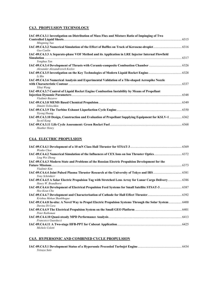## **C4.3. PROPULSION TECHNOLOGY**

| IAC-09.C4.3.1 Investigation on Distribution of Mass Flux and Mixture Ratio of Impinging of Two                       |      |
|----------------------------------------------------------------------------------------------------------------------|------|
| Mingming Yao                                                                                                         |      |
| Guo Canlin                                                                                                           |      |
| IAC-09.C4.3.3 A Separate-phase VOF Method and its Application in LRE Injector Internal Flowfield                     |      |
| Yonghua Tan                                                                                                          |      |
| Alexander Alexandrovich Kozlov                                                                                       |      |
| Li Bin                                                                                                               |      |
| IAC-09.C4.3.6 Numerical Analysis and Experimental Validation of a Tile-shaped Aerospike Nozzle<br>Yibai Wang         |      |
| IAC-09.C4.3.7 Control of Liquid Rocket Engine Combustion Instability by Means of Propellant                          | 6348 |
| Vladimir Bazarov                                                                                                     |      |
| Dimitri Telitschkin                                                                                                  |      |
| Yiyong Huang                                                                                                         |      |
| 14C-09.C4.3.10 Design, Construction and Evaluation of Propellant Supplying Equipment for KSLV-1  6362<br>Su-nil Kang |      |
| Heather Henry                                                                                                        | 6368 |

## **C4.4. ELECTRIC PROPULSION**

| Wonho Choe                                                                                                                     |  |
|--------------------------------------------------------------------------------------------------------------------------------|--|
| Ling Wei Zhong                                                                                                                 |  |
| IAC-09.C4.4.3 Modern State and Problems af the Russian Electric Propulsion Development for the                                 |  |
|                                                                                                                                |  |
| Vladimir Kim                                                                                                                   |  |
| Tony Schönherr                                                                                                                 |  |
| 140.09. C4.4.5 A Solar Electric Propulsion Tug with Stretched Lens Array for Lunar Cargo Delivery  6386<br>Henry W. Brandhorst |  |
| Hee-Keun Cho                                                                                                                   |  |
| Krishna Mohan Shanbhogue                                                                                                       |  |
| 1400 LAC-09.C4.4.8 In-situ: A Novel Way to Propel Electric Propulsion Systems Through the Solar System  6400<br>Davina Di Cara |  |
| Peter Rathsman                                                                                                                 |  |
| Francesco Guarducci                                                                                                            |  |
| Michele Coletti                                                                                                                |  |

## **C4.5. HYPERSONIC AND COMBINED CYCLE PROPULSION**

| Tetsuva Sato |  |
|--------------|--|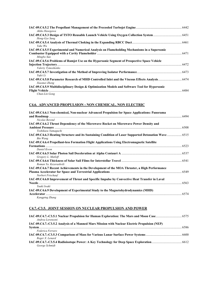| Akiko Hasegawa                                                                                                    |  |
|-------------------------------------------------------------------------------------------------------------------|--|
| Hong-Gye Sung                                                                                                     |  |
| Yake Wu                                                                                                           |  |
| IAC-09.C4.5.5 Experimental and Numerical Analysis on Flameholding Mechanisms in a Supersonic<br>Mingbo Sun        |  |
| IAC-09.C4.5.6 Problems of Ramjet Use on the Hypersonic Segment of Prospective Space Vehicle<br>Valeriy Tymoshenko |  |
| Yufei Li                                                                                                          |  |
| Xiaomei Zheng                                                                                                     |  |
| IAC-09.C4.5.9 Multidisciplinary Design & Optimization Models and Software Tool for Hypersonic<br>Chun-Lin Gong    |  |

## **C4.6. ADVANCED PROPULSION : NON CHEMICAL, NON ELECTRIC**

| IAC-09.C4.6.1 Non-chemical, Non-nuclear Advanced Propulsion for Space Applications: Panorama                      |  |
|-------------------------------------------------------------------------------------------------------------------|--|
| Nicolas Berend                                                                                                    |  |
| IAC-09.C4.6.2 Thrust Dependency of the Microwave Rocket on Microwave Power Density and                            |  |
|                                                                                                                   |  |
| Toshikazu Yamaguchi                                                                                               |  |
| 14C-09.C4.6.3 Heating Structure and its Sustaining Condition of Laser Supported Detonation Wave  6515<br>Bin Wang |  |
| IAC-09.C4.6.4 Propellant-less Formation Flight Applications Using Electromagnetic Satellite                       |  |
|                                                                                                                   |  |
| Daniel Kwon                                                                                                       |  |
| Gregory L. Matloff                                                                                                |  |
| Roman Ya. Kezerashvili                                                                                            |  |
| IAC-09.C4.6.7 Recent Achievements in the Development of the MOA Thruster, a High Performance                      |  |
| Norbert Frischauf                                                                                                 |  |
| IAC-09.C4.6.8 Improvement of Thrust and Specific Impulse by Convective Heat Transfer in Laval                     |  |
|                                                                                                                   |  |
| Yuuki Iwaki                                                                                                       |  |
| IAC-09.C4.6.9 Development of Experimental Study to the Magnetohydrodynamics (MHD)                                 |  |
|                                                                                                                   |  |
| Kangping Zhang                                                                                                    |  |

## **C4.7.-C3.5. JOINT SESSION ON NUCLEAR PROPULSION AND POWER**

| Andrea Lorenzoni                                                                             |  |
|----------------------------------------------------------------------------------------------|--|
| IAC-09.C4.7.-C3.5.2 Analysis of a Manned Mars Mission with Nuclear Electric Propulsion (NEP) |  |
|                                                                                              |  |
| Federica Ferraro                                                                             |  |
|                                                                                              |  |
| Roger X. Lenard                                                                              |  |
| George Schmidt                                                                               |  |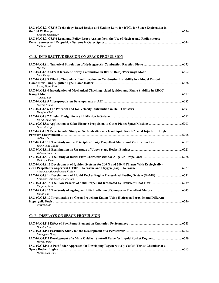| IAC-09.C4.7.-C3.5.5 Technology-Based Design and Scaling Laws for RTGs for Space Exploration in |      |
|------------------------------------------------------------------------------------------------|------|
|                                                                                                | 6634 |
| Leopold Summerer                                                                               |      |
| IAC-09.C4.7.-C3.5.6 Legal and Policy Issues Arising from the Use of Nuclear and Radioisotopic  |      |
|                                                                                                |      |
| Ricky J. Lee                                                                                   |      |

## **C4.8. INTERACTIVE SESSION ON SPACE PROPULSION**

| Pan Sha                                                                                                                         |  |
|---------------------------------------------------------------------------------------------------------------------------------|--|
| Man Zhang                                                                                                                       |  |
| IAC-09.C4.8.3 Effect of Secondary Fuel Injection on Combustion Instability in a Model Ramjet<br><b>Byung Hoon Park</b>          |  |
| IAC-09.C4.8.4 Investigation of Mechanical Chocking Aided Ignition and Flame Stability in RBCC                                   |  |
|                                                                                                                                 |  |
| Xiaowei Liu<br>Martin Tajmar                                                                                                    |  |
| Yongjun Choi                                                                                                                    |  |
| <b>Bernd Dachwald</b>                                                                                                           |  |
| Garri A. Popov                                                                                                                  |  |
| IAC-09.C4.8.9 Experimental Study on Self-pulsation of a Gas/Liquid Swirl Coaxial Injector in High                               |  |
| <b>Pressure Environment</b> 6708<br>Ji-Hyuk Im                                                                                  |  |
| Sheng-yong Zhang                                                                                                                |  |
| Tatsuva Komaru                                                                                                                  |  |
| Taehoon Kwon                                                                                                                    |  |
| IAC-09.C4.8.13 Development of Ignition Systems for 200 N and 500 N Thrusts With Ecologically-<br>Alexander Alexandrovich Kozlov |  |
| Francisco das Chagas Carvalho                                                                                                   |  |
| <b>Baojiang Nan</b>                                                                                                             |  |
| <b>Baolin Sha</b>                                                                                                               |  |
| IAC-09.C4.8.17 Investigation on Green Propellant Engine Using Hydrogen Peroxide and Different                                   |  |
| Oingguo Lin                                                                                                                     |  |

## **C4.P. DISPLAYS ON SPACE PROPULSION**

| Dae-Jin Kim                                                                                  |  |
|----------------------------------------------------------------------------------------------|--|
|                                                                                              |  |
| Moongeun Hong                                                                                |  |
|                                                                                              |  |
| Hovoul Park                                                                                  |  |
| IAC-09.C4.P.4 A Pathfinder Approach for Developing Regeneratively Cooled Thrust Chamber of a |  |
|                                                                                              |  |
| Hwan-Seok Choi                                                                               |  |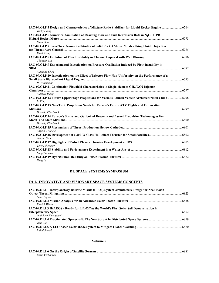| 14C-09.C4.P.5 Design and Characteristics of Mixture Ratio Stabilizer for Liquid Rocket Engine  6764<br>Taekvu Jung                        |             |
|-------------------------------------------------------------------------------------------------------------------------------------------|-------------|
| IAC-09.C4.P.6 Numerical Simulation of Reacting Flow and Fuel Regression Rate in N <sub>2</sub> O/HTPB                                     | 6773        |
| Fanli Shan<br>IAC-09.C4.P.7 Two-Phase Numerical Studies of Solid Rocket Motor Nozzles Using Fluidic Injection                             | 6785        |
| Yibai Wang                                                                                                                                |             |
| Changjin Lee                                                                                                                              |             |
| IAC-09.C4.P.9 Experimental Investigation on Pressure Oscillation Induced by Flow Instability in                                           | 6787        |
| Xiaolong Chen<br>IAC-09.C4.P.10 Investigation on the Effect of Injector Flow Non-Uniformity on the Performance of a                       | 6793        |
| P. Arunkumar<br>IAC-09.C4.P.11 Combustion Flowfield Characteristics in Single-element GH2/GO2 Injector                                    | 6797        |
| Xiaowei Wang<br>14C-09.C4.P.12 Future Upper Stage Propulsions for Various Launch Vehicle Architectures in China  6798<br>Li Ping          |             |
| IAC-09.C4.P.13 Non-Toxic Propulsion Needs for Europe's Future ATV Flights and Exploration                                                 | 6799        |
| Hartwig Ellerbrock<br>IAC-09.C4.P.14 Europe's Status and Outlook of Descent- and Ascent Propulsion Technologies For<br>Hartwig Ellerbrock | $\dots6800$ |
| Angelo Grubisic                                                                                                                           |             |
| Jongho Seon                                                                                                                               |             |
| Tony Schönherr                                                                                                                            |             |
| Ling-Yun Hou                                                                                                                              |             |
| Yang Le                                                                                                                                   |             |

## **D1. SPACE SYSTEMS SYMPOSIUM**

## **D1.1. INNOVATIVE AND VISIONARY SPACE SYSTEMS CONCEPTS**

| IAC-09.D1.1.1 Interplanetary Ballistic Missile (IPBM) System Architecture Design for Near-Earth |  |
|-------------------------------------------------------------------------------------------------|--|
|                                                                                                 |  |
| Sam Wagner                                                                                      |  |
|                                                                                                 |  |
| Patrick Wurm                                                                                    |  |
| IAC-09.D1.1.3 IKAROS - Ready for Lift-Off as the World's First Solar Sail Demonstration in      |  |
|                                                                                                 |  |
| Junichiro Kawaguchi                                                                             |  |
|                                                                                                 |  |
| Jian Guo                                                                                        |  |
|                                                                                                 |  |
| Rahul Suresh                                                                                    |  |

#### **Volume 9**

| Chris Verhoeven |  |
|-----------------|--|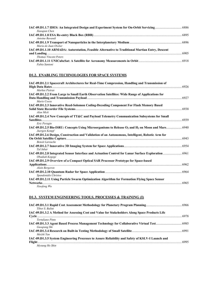| Xiaogian Chen                                                                                   |  |
|-------------------------------------------------------------------------------------------------|--|
|                                                                                                 |  |
| Antoine Bayandi                                                                                 |  |
| Maria de Juan Ovelar                                                                            |  |
| IAC-09.D1.1.10 ARMADA: Autorotation, Feasible Alternative to Traditional Martian Entry, Descent |  |
|                                                                                                 |  |
| <b>Thomas Vincent Peters</b>                                                                    |  |
| Fabio Santoni                                                                                   |  |

## **D1.2. ENABLING TECHNOLOGIES FOR SPACE SYSTEMS**

| IAC-09.D1.2.1 Spacecraft Architectures for Real-Time Compression, Handling and Transmission of                        |      |
|-----------------------------------------------------------------------------------------------------------------------|------|
|                                                                                                                       |      |
| Markus Pietras                                                                                                        |      |
| IAC-09.D1.2.2 From Large to Small Earth Observation Satellites: Wide Range of Applications for                        |      |
|                                                                                                                       |      |
| Mario Cossu                                                                                                           |      |
| IAC-09.D1.2.3 Innovative Reed-Solomon Coding-Decoding Component For Flash Memory Based                                |      |
|                                                                                                                       |      |
| Alan Mick                                                                                                             |      |
| IAC-09.D1.2.4 New Concepts of TT&C and Payload Telemetry Communication Subsystems for Small                           |      |
|                                                                                                                       | 6939 |
| Eric Peragin                                                                                                          |      |
| Juergen Kempf                                                                                                         |      |
| IAC-09.D1.2.6 Design, Construction and Validation of an Autonomous, Intelligent, Robotic Arm for                      |      |
|                                                                                                                       |      |
| <b>Benoit Larouche</b>                                                                                                |      |
|                                                                                                                       |      |
| Tal Inbar                                                                                                             |      |
| 14C-09.D1.2.8 Integrated Sensor Interface and Actuation Control for Lunar Surface Exploration  6961<br>Obadiah Kegege |      |
| IAC-09.D1.2.9 Overview of a Compact Optical SAR Processor Prototype for Space-based                                   |      |
|                                                                                                                       |      |
| Alain Bergeron                                                                                                        |      |
|                                                                                                                       |      |
| Spandonidis Christos                                                                                                  |      |
| IAC-09.D1.2.11 Using Particle Swarm Optimization Algorithm for Formation Flying Space Sensor                          |      |
| Networks                                                                                                              | 6965 |
| Xiaofeng Wu                                                                                                           |      |

## **D1.3. SYSTEM ENGINEERING TOOLS, PROCESSES & TRAINING (I)**

| Tibor S. Balint                                                                                  |  |
|--------------------------------------------------------------------------------------------------|--|
| IAC-09.D1.3.2 A Method for Assessing Cost and Value for Stakeholders Along Space Products Life   |  |
| Tertuliano Pinto                                                                                 |  |
| Guogiang Shi                                                                                     |  |
| Meizhi Yan                                                                                       |  |
| IAC-09.D1.3.5 System Engineering Processes to Assure Reliability and Safety of KSLV-I Launch and |  |
| Myoung Ho Shin                                                                                   |  |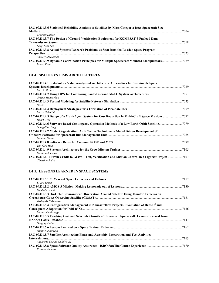| IAC-09.D1.3.6 Statistical Reliability Analysis of Satellites by Mass Category: Does Spacecraft Size | 7004 |
|-----------------------------------------------------------------------------------------------------|------|
| <b>Gregory Dubos</b>                                                                                |      |
| IAC-09.D1.3.7 The Design of Ground Verification Equipment for KOMPSAT-3 Payload Data                |      |
|                                                                                                     |      |
| Sang-Taek Lee                                                                                       |      |
| IAC-09.D1.3.8 Actual Systems Research Problems as Seen from the Russian Space Program               |      |
|                                                                                                     | 7023 |
| Anatoly Malchenko                                                                                   |      |
|                                                                                                     |      |
| Isacco Pretto                                                                                       |      |

## **D1.4. SPACE SYSTEMS ARCHITECTURES**

| IAC-09.D1.4.1 Stakeholder Value Analysis of Architecture Alternatives for Sustainable Space                                     |  |
|---------------------------------------------------------------------------------------------------------------------------------|--|
|                                                                                                                                 |  |
| Márcio Branco                                                                                                                   |  |
| Gregor Hanuschak                                                                                                                |  |
|                                                                                                                                 |  |
| Oi Lin                                                                                                                          |  |
| Marco Sabatini                                                                                                                  |  |
| <b>Stuart Grev</b>                                                                                                              |  |
| Seung-Eun Yang                                                                                                                  |  |
| IAC-09.D1.4.7 Model Organization: An Effective Technique in Model Driven Development of                                         |  |
| Santanu Sarma                                                                                                                   |  |
|                                                                                                                                 |  |
| Yun-Goo Huh                                                                                                                     |  |
| Matthew Johnson                                                                                                                 |  |
| 107 IAC-09.D1.4.10 From Cradle to Grave – Test, Verification and Mission Control in a Lightsat Project  7107<br>Christian Svärd |  |

### **D1.5. LESSONS LEARNED IN SPACE SYSTEMS**

| E. Joe Tomei                                                                                              |  |
|-----------------------------------------------------------------------------------------------------------|--|
| Meidad Pariente                                                                                           |  |
| IAC-09.D1.5.3 On-Orbit Environment Observation Around Satellite Using Monitor Cameras on                  |  |
| Toshiyuki Nakamura                                                                                        |  |
| IAC-09.D1.5.4 Configuration Management in Nanosatellites Projects: Evaluation of Delfi-C <sup>3</sup> and |  |
| Mattias Genbrugge                                                                                         |  |
| IAC-09.D1.5.5 Tracking Cost and Schedule Growth of Unmanned Spacecraft: Lessons Learned from              |  |
| <b>Gregory Dubos</b>                                                                                      |  |
| Munir Kundawala                                                                                           |  |
| IAC-09.D1.5.7 Satellite Architecting Phase and Assembly, Integration and Test Activities                  |  |
| Adalberto Coelho da Silva Jr.                                                                             |  |
| Prasada Kumari                                                                                            |  |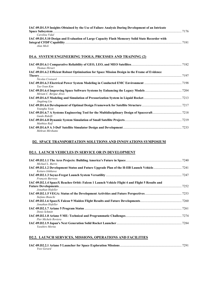| IAC-09.D1.5.9 Insights Obtained by the Use of Failure Analysis During Development of an Intricate |  |
|---------------------------------------------------------------------------------------------------|--|
|                                                                                                   |  |
| Carolina Vidal                                                                                    |  |
| IAC-09.D1.5.10 Design and Evaluation of Large Capacity Flash Memeory Solid State Recorder with    |  |
|                                                                                                   |  |
| Alan Mick                                                                                         |  |

#### **D1.6. SYSTEM ENGINEERING TOOLS, PRCESSES AND TRAINING (2)**

| <b>Thomas Hiriart</b>                                                                         |  |
|-----------------------------------------------------------------------------------------------|--|
| IAC-09.D1.6.2 Efficient Robust Optimisation for Space Mission Design in the Frame of Evidence |  |
|                                                                                               |  |
| Nicolas Croisard                                                                              |  |
| Tae-Youn Kim                                                                                  |  |
| Miriam C. Bergue Alves                                                                        |  |
| Jingdong Liu                                                                                  |  |
| Youngha Yoon                                                                                  |  |
| Guido Ridolfi                                                                                 |  |
| Matthias Raif                                                                                 |  |
| Mehran Mirshams                                                                               |  |

### **D2. SPACE TRANSPORTATION SOLUTIONS AND INNOVATIONS SYMPOSIUM**

#### **D2.1. LAUNCH VEHICLES IN SERVICE OR IN DEVELOPMENT**

| Michael L. Burris                                                                             |  |
|-----------------------------------------------------------------------------------------------|--|
|                                                                                               |  |
| Keitaro Ishikawa                                                                              |  |
| Francois Barreau                                                                              |  |
| IAC-09.D2.1.4 SpaceX Reaches Orbit: Falcon 1 Launch Vehicle Flight 4 and Flight 5 Results and |  |
| Jonathan Hofeller                                                                             |  |
| Stefano Bianchi                                                                               |  |
| Jonathan Hofeller                                                                             |  |
| Denis Schmitt                                                                                 |  |
| Pier Michele Roviera                                                                          |  |
| Yasuhiro Morita                                                                               |  |

### **D2.2. LAUNCH SERVICES, MISSIONS, OPERATIONS AND FACILITIES**

| <i>Yves Gerard</i> |  |
|--------------------|--|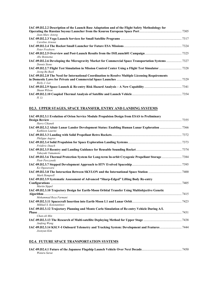| IAC-09.D2.2.2 Description of the Launch Base Adaptation and of the Flight Safety Methodology for |  |
|--------------------------------------------------------------------------------------------------|--|
|                                                                                                  |  |
| Jean-Marc Astorg                                                                                 |  |
|                                                                                                  |  |
| Caroline Arnoux                                                                                  |  |
|                                                                                                  |  |
| Peter Freeborn                                                                                   |  |
| Abe Bonnema                                                                                      |  |
| Dennis Stone                                                                                     |  |
| Jeong Bu Baek                                                                                    |  |
| IAC-09.D2.2.8 The Need for International Coordination to Resolve Multiple Licensing Requirements |  |
| Ricky J. Lee                                                                                     |  |
| Shaun Wilson                                                                                     |  |
|                                                                                                  |  |
| H. Li                                                                                            |  |

## **D2.3. UPPER STAGES, SPACE TRANSFER, ENTRY AND LANDING SYSTEMS**

| IAC-09.D2.3.1 Evolution of Orion Service Module Propulsion Design from ESAS to Preliminary    |      |
|-----------------------------------------------------------------------------------------------|------|
|                                                                                               |      |
| Harry Cikanek                                                                                 |      |
| Kathleen Laurini                                                                              |      |
| Philippe Augros                                                                               |      |
| Frédéric Dauch                                                                                |      |
| Takavuki Yamamoto                                                                             |      |
| Piotr Perczynski                                                                              |      |
| Ko Ogasawara                                                                                  |      |
| Mark Hempsell                                                                                 |      |
| IAC-09.D2.3.9 Systematic Assessment of Advanced "Sharp-Edged" Lifting Body Re-entry           |      |
| Martin Sippel                                                                                 | 7405 |
| IAC-09.D2.3.10 Trajectory Design for Earth-Moon Orbital Transfer Using Multiobjective Genetic |      |
| Mohammad Reza Farmani                                                                         |      |
| Mikhail S. Konstantinov                                                                       |      |
| IAC-09.D2.3.12 Trajectory Planning and Monte Carlo Simulation of Re-entry Vehicle During A/L  |      |
|                                                                                               | 7431 |
| Chan-oh Min                                                                                   |      |
| Junfeng Wang                                                                                  |      |
| Joonyun Kim                                                                                   |      |

## **D2.4. FUTURE SPACE TRANSPORTATION SYSTEMS**

| Wataru Sarae |  |
|--------------|--|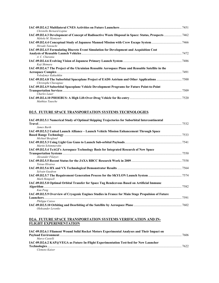| Christelle Bernard-Lepine                                                                         |      |
|---------------------------------------------------------------------------------------------------|------|
| Mykola M. Slvunyaev                                                                               |      |
| Hiroaki Tanouchi                                                                                  |      |
| IAC-09.D2.4.5 Formulating Discrete Event Simulation for Development and Acquisition Cost          |      |
| A. C. Charania                                                                                    | 7472 |
| Koji Shimura                                                                                      |      |
| IAC-09.D2.4.7 The Project of the Ukrainian Reusable Aerospace Plane and Reusable Satellite in the |      |
| Volodymyr Kukushkin                                                                               |      |
| Christophe Chavagnac                                                                              |      |
| IAC-09.D2.4.9 Suborbital Spaceplane Vehicle Development Programs for Future Point-to-Point        |      |
|                                                                                                   |      |
| Charles Lauer                                                                                     |      |
|                                                                                                   |      |
| Matthias Tausche                                                                                  |      |

## **D2.5. FUTURE SPACE TRANSPORTATION SYSTEMS TECHNOLOGIES**

| IAC-09.D2.5.1 Numerical Study of Optimal Skipping Trajectories for Suborbital Intercontinental    |       |
|---------------------------------------------------------------------------------------------------|-------|
|                                                                                                   | .7532 |
| James Barth                                                                                       |       |
| IAC-09.D2.5.2 United Launch Alliance - Launch Vehicle Mission Enhancement Through Space           |       |
|                                                                                                   | 7533  |
| Michael Berglund                                                                                  |       |
|                                                                                                   |       |
| Martin Schimmerohn                                                                                |       |
| IAC-09.D2.5.4 TsAGI's Aerospace Technology Basis for Integrated Research of New Space             |       |
|                                                                                                   | 7550  |
| Alexander Filatvev                                                                                |       |
|                                                                                                   |       |
| Tetsuo Hiraiwa                                                                                    |       |
|                                                                                                   |       |
| Sylvain Guedron                                                                                   |       |
|                                                                                                   |       |
| Mark Hempsell                                                                                     |       |
| IAC-09.D2.5.8 Optimal Orbital Transfer for Space Tug Rendezvous Based on Artificial Immune        |       |
|                                                                                                   |       |
| Kun Peng                                                                                          |       |
| IAC-09.D2.5.9 Overview of Cryogenic Engines Studies in France for Main Stage Propulsion of Future |       |
|                                                                                                   | 7591  |
| Philippe Caisso                                                                                   |       |
|                                                                                                   |       |
| Oleksander Levenko                                                                                |       |

#### **D2.6. FUTURE SPACE TRANSPORTATION SYSTEMS VERIFICATION AND IN-FLIGHT EXPERIMENTATION**

| IAC-09.D2.6.1 Filament Wound Solid Rocket Motors Experimental Analyses and Their Impact on |      |
|--------------------------------------------------------------------------------------------|------|
|                                                                                            | 7606 |
| Marco Castelli                                                                             |      |
| IAC-09.D2.6.2 KAP@VEGA as Future In-Flight Experimentation Test-bed for New Launcher       |      |
|                                                                                            |      |
| Clemens Kaiser                                                                             |      |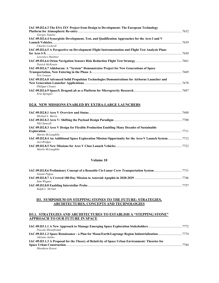| IAC-09.D2.6.3 The ESA IXV Project from Design to Development: The European Technology<br>Giorgio Tumino | 7632 |
|---------------------------------------------------------------------------------------------------------|------|
| IAC-09.D2.6.4 Synergistic Development, Test, and Qualification Approaches for the Ares I and V          |      |
| Charles Cockrell                                                                                        |      |
| IAC-09.D2.6.5 A Perspective on Development Flight Instrumentation and Flight Test Analysis Plans        |      |
| Lawrence Huebner                                                                                        | 7650 |
| Patrick McKenzie                                                                                        |      |
| IAC-09.D2.6.7 Aldebaran: A "System" Demonstrator Project for New Generations of Space                   |      |
| Eric Lougas                                                                                             | 7669 |
| IAC-09.D2.6.8 Advanced Solid Propulsion Technologies Demonstrations for Airborne Launcher and           |      |
| Philippe Cloutet                                                                                        |      |
| Erin Spengler                                                                                           |      |

#### **D2.8. NEW MISSIONS ENABLED BY EXTRA-LARGE LAUNCHERS**

| Michael L. Burris                                                                        |  |
|------------------------------------------------------------------------------------------|--|
| Phil Sumrall                                                                             |  |
| IAC-09.D2.8.3 Ares V Design for Flexible Production Enabling Many Decades of Sustainable |  |
|                                                                                          |  |
| Martin McLaughlin                                                                        |  |
| Joel Bridges                                                                             |  |
|                                                                                          |  |
| Martin McLaughlin                                                                        |  |

#### **Volume 10**

| Gianni Pippia   |  |
|-----------------|--|
|                 |  |
| Sam Wagner      |  |
|                 |  |
| Ralph L. McNutt |  |

### **D3. SYMPOSIUM ON STEPPING STONES TO THE FUTURE: STRATEGIES, ARCHITECTURES, CONCEPTS AND TECHNOLOGIES**

#### **D3.1. STRATEGIES AND ARCHITECTURES TO ESTABLISH A "STEPPING STONE" APPROACH TO OUR FUTURE IN SPACE**

| Pascale Ehrenfreund                                                                            |      |
|------------------------------------------------------------------------------------------------|------|
|                                                                                                |      |
| Adriano Autino                                                                                 |      |
| IAC-09.D3.1.3 A Proposal for the Theory of Relativity of Space Urban Environment: Theories for |      |
|                                                                                                | 7784 |
| Masakazu Kawai                                                                                 |      |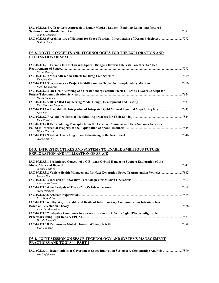| IAC-09.D3.1.4 A Near-term Approach to Lunar MagLev Launch: Enabling Lunar-manfactured |  |
|---------------------------------------------------------------------------------------|--|
|                                                                                       |  |
| John C. Mankins                                                                       |  |
|                                                                                       |  |
| Ondrej Doule                                                                          |  |

#### **D3.2. NOVEL CONCEPTS AND TECHNOLOGIES FOR THE EXPLORATION AND UTILIZATION OF SPACE**

| IAC-09.D3.2.1 Turning Heads Towards Space: Bringing Diverse Interests Together To Meet           |  |
|--------------------------------------------------------------------------------------------------|--|
|                                                                                                  |  |
| Nicole Buckley                                                                                   |  |
| Zhenfeng Gu                                                                                      |  |
| Rushi Ghadawala                                                                                  |  |
| IAC-09.D3.2.4 On-Orbit Servicing of a Geostationary Satellite Fleet: OLEV as a Novel Concept for |  |
|                                                                                                  |  |
| <b>Baard Eilertsen</b>                                                                           |  |
| Pier Giovanni Magnani                                                                            |  |
| Saro Lee                                                                                         |  |
| Yury Korotky                                                                                     |  |
| IAC-09.D3.2.8 Extrapolating Principles from the Creative Commons and Free Software Schemes       |  |
| Diane Howard                                                                                     |  |
| Jesse Koenig                                                                                     |  |

#### **D3.3. INFRASTRUCTURES AND SYSTEMS TO ENABLE AMBITIOUS FUTURE EXPLORATION AND UTILIZATION OF SPACE**

| IAC-09.D3.3.1 Preliminary Concept of a CIS-lunar Orbital Hangar to Support Exploration of the |      |
|-----------------------------------------------------------------------------------------------|------|
|                                                                                               |      |
| Jacopo Gottlieb                                                                               |      |
| Yu-nan Han                                                                                    |      |
| Alessandro Donati                                                                             |      |
| Mark Hempsell                                                                                 |      |
| R. J. Slobodrian                                                                              |      |
| IAC-09.D3.3.6 Silky Way: Scalable and Resilient Interplanetary Communication Infrastructure   |      |
| Ali Azimi Bolourian                                                                           | 7876 |
| IAC-09.D3.3.7 Adaptive Computers in Space - a Framework for In-flight HW-reconfigurable       |      |
|                                                                                               |      |
| Harald Michalik                                                                               |      |
| <b>Bijal Thakore</b>                                                                          |      |

#### **D3.4. JOINT SESSION ON SPACE TECHNOLOGY AND SYSTEMS MANAGEMENT PRACTICES AND TOOLS" – PART I**

**IAC-09.D3.4.1 Instantiations of Government Space Innovation Systems: A Comparative Analysis** ....................... 7899 *Zoe Szajnfarber*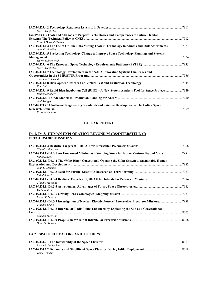| Marco Guglielmi                                                                             |      |
|---------------------------------------------------------------------------------------------|------|
| Iac-09.d3.4.3 Tools and Methods to Prepare Technologies and Competences of Future Orbital   |      |
|                                                                                             |      |
| <b>Franck Durand-Carrier</b>                                                                |      |
| John C. Mankins                                                                             |      |
| IAC-09.D3.4.5 Projecting Technology Change to Improve Space Technology Planning and Systems |      |
|                                                                                             |      |
| Steven Robert Walk                                                                          |      |
|                                                                                             |      |
| Marco Guglielmi                                                                             |      |
| IAC-09.D3.4.7 Technology Development in the NASA Innovation System: Challenges and          |      |
|                                                                                             |      |
| Abraham T. Grindle                                                                          |      |
|                                                                                             |      |
| Kun Dai                                                                                     |      |
|                                                                                             |      |
| Daniel Schubert                                                                             |      |
|                                                                                             |      |
| Joel Bridges                                                                                |      |
| IAC-09.D3.4.11 Software Engineering Standards and Satellite Development – The Indian Space  |      |
| <b>Research Scenario.</b>                                                                   | 7959 |
| Prasada Kumari                                                                              |      |

### **D4. FAR FUTURE**

#### **D4.1.-D4.3. HUMAN EXPLORATION BEYOND MARS/INTERSTELLAR PRECURSORS MISSIONS**

| Claudio Maccone                                                                                |  |
|------------------------------------------------------------------------------------------------|--|
| Rahul Suresh                                                                                   |  |
| IAC-09.D4.1.-D4.3.2 The "Mag-Ring" Concept and Opening the Solar System to Sustainable Human   |  |
|                                                                                                |  |
| John C. Mankins                                                                                |  |
| Rahul Suresh                                                                                   |  |
|                                                                                                |  |
| Claudio Maccone                                                                                |  |
| Vaibhav Kotla                                                                                  |  |
|                                                                                                |  |
| Roger X. Lenard<br>Claudio Bruno                                                               |  |
| IAC-09.D4.1.-D4.3.8 Interstellar Radio Links Enhanced by Exploiting the Sun as a Gravitational |  |
|                                                                                                |  |
| Claudio Maccone                                                                                |  |
| Dana G. Andrews                                                                                |  |

### **D4.2. SPACE ELEVATORS AND TETHERS**

|                    | 8017 |
|--------------------|------|
| Brvan E. Laubscher |      |
|                    |      |
| Tetsuo Yasaka      |      |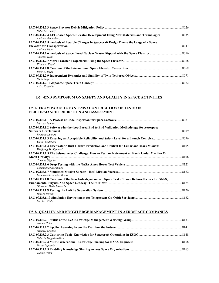| Robert E. Penny                                                                             |  |
|---------------------------------------------------------------------------------------------|--|
| Andrew Meulenberg                                                                           |  |
| IAC-09.D4.2.5 Analysis of Possible Changes in Spacecraft Design Due to the Usage of a Space |  |
| Andreas Hein                                                                                |  |
| Andreas Hein                                                                                |  |
| Kilian A. Engel                                                                             |  |
|                                                                                             |  |
| Peter A. Swan                                                                               |  |
|                                                                                             |  |
| Radu Rugescu                                                                                |  |
|                                                                                             |  |
| Akira Tsuchida                                                                              |  |

### **D5. 42ND SYMPOSIUM ON SAFETY AND QUALITY IN SPACE ACTIVITIES**

#### **D5.1. FROM PARTS TO SYSTEMS : CONTRIBUTION OF TESTS ON PERFORMANCE PREDICTION AND ASSESSMENT**

| Marcos Romani                                                                                     |  |
|---------------------------------------------------------------------------------------------------|--|
| IAC-09.D5.1.2 Software-in-the-loop Based End to End Validation Methodology for Aerospace          |  |
|                                                                                                   |  |
| Prasada Kumari                                                                                    |  |
| Vadim Kadzhaev                                                                                    |  |
| Wolfgang M. Sigmund                                                                               |  |
| IAC-09.D5.1.5 The Seismometer Challenge: How to Test an Instrument on Earth Under Martian Or      |  |
| Corinne Ségalas                                                                                   |  |
| Christopher Boshuizen                                                                             |  |
| Leandro Hernandez Martin                                                                          |  |
| IAC-09.D5.1.8 Creation of the New Industry-standard Space Test of Laser Retroreflectors for GNSS, |  |
| Giovanni Delle Monache                                                                            |  |
| Isidoro Peroni                                                                                    |  |
| Markus Wilde                                                                                      |  |

### **D5.2. QUALITY AND KNOWLEDGE MANAGEMENT IN AEROSPACE COMPANIES**

| Jeanne Holm           |  |
|-----------------------|--|
| Michael Grabois       |  |
| Roberta Mugellesi-Dow |  |
| Daria Topousis        |  |
| Jeanne Holm           |  |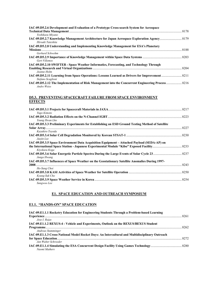| IAC-09.D5.2.6 Development and Evaluation of a Prototype Cross-search System for Aerospace |  |
|-------------------------------------------------------------------------------------------|--|
| Yoshikazu Miyano                                                                          |  |
| Hiroaki Tateshita                                                                         |  |
| IAC-09.D5.2.8 Understanding and Implementing Knowledge Management for ESA's Planetary     |  |
|                                                                                           |  |
| Gerhard Schwehm                                                                           |  |
| <b>Gert Villemos</b>                                                                      |  |
| IAC-09.D5.2.10 SWIFTER - Space Weather Informatics, Forecasting, and Technology Through   |  |
|                                                                                           |  |
| Jeanne Holm                                                                               |  |
| Stefano Scaglioni                                                                         |  |
| Andre Weiss                                                                               |  |

### **D5.3. PREVENTING SPACECRAFT FAILURE FROM SPACE ENVIRONMENT EFFECTS**

| Yugo Kimoto                                                                                                 |  |
|-------------------------------------------------------------------------------------------------------------|--|
| Young Hwan Lho                                                                                              |  |
| IAC-09.D5.3.3 Preliminary Experiments for Establishing an ESD Ground Testing Method of Satellite            |  |
| Kazuhiro Tovoda                                                                                             |  |
| Jaejin Lee                                                                                                  |  |
| IAC-09.D5.3.5 Space Environment Data Acquisition Equipment – Attached Payload (SEDA-AP) on<br>Kiyokazu Koga |  |
| Junga Hwang                                                                                                 |  |
| IAC-09.D5.3.7 Influences of Space Weather on the Geostationary Satellite Anomalies During 1997-             |  |
| 2008.<br>Ho-Sung Choi                                                                                       |  |
| Kyung-Suk Cho                                                                                               |  |
| Sangwoo Lee                                                                                                 |  |

### **E1. SPACE EDUCATION AND OUTREACH SYMPOSIUM**

## **E1.1. "HANDS-ON" SPACE EDUCATION**

| IAC-09.E1.1.1 Rocketry Education for Engineering Students Through a Problem-based Learning      |  |
|-------------------------------------------------------------------------------------------------|--|
|                                                                                                 |  |
| Jose I. Roias                                                                                   |  |
| IAC-09.E1.1.2 REXUS-4 - Vehicle and Experiments, Outlook on the REXUS/BEXUS Student             |  |
|                                                                                                 |  |
| Andreas Stamminger                                                                              |  |
| IAC-09.E1.1.3 Cross-National Model Rocket Days: An Intercultural and Multidisciplinary Outreach |  |
|                                                                                                 |  |
| Jan Walter Schroeder                                                                            |  |
|                                                                                                 |  |
| Naomi Mathers                                                                                   |  |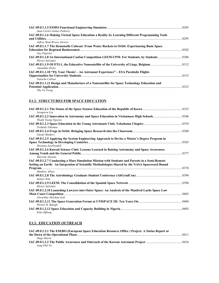| Juan Carlos Gomez Pallares                                                                     |      |
|------------------------------------------------------------------------------------------------|------|
| IAC-09.E1.1.6 Making Virtual Space Education a Reality by Learning Different Programming Tools |      |
| Jeffrey Raul Rivera Alvarez                                                                    |      |
| IAC-09.E1.1.7 The Demoiselle Cubesat: From Water Rockets to Orbit: Experiencing Basic Space    |      |
| Guy Pignolet                                                                                   | 8302 |
| Héctor Salvador                                                                                |      |
| Amandine Denis                                                                                 |      |
| IAC-09.E1.1.10 "Fly Your Thesis! – An Astronaut Experience" – ESA Parabolic Flights            |      |
| Natacha Callens                                                                                |      |
| IAC-09.E1.1.11 Design and Manufacture of a Nanosatellite for Space Technology Education and    |      |
| Thu Vu Trong                                                                                   |      |

## **E1.2. STRUCTURES FOR SPACE EDUCATION**

| Jeongwon Lee                                                                                                                                                                                     |      |
|--------------------------------------------------------------------------------------------------------------------------------------------------------------------------------------------------|------|
| Thanh Tuong Nguyen                                                                                                                                                                               |      |
| Toshiaki Takemae                                                                                                                                                                                 |      |
| Naomi Mathers                                                                                                                                                                                    |      |
| IAC-09.E1.2.5 Applying the System Engineering Approach to Devise a Master's Degree Program in<br>Hooman Jazebizadeh                                                                              |      |
| IAC-09.E1.2.6 Kuwait Science Club: Lessons Learned in Raising Astronomy and Space Awareness<br>Maryam Aljoaan                                                                                    |      |
| IAC-09.E1.2.7 Conducting a Mars Simulation Mission with Students and Parents in a Semi-Remote<br>Setting on Earth: An Integration of Scientific Methodologies Shared by the NASA Spaceward Bound | 8378 |
| Matthew Allner                                                                                                                                                                                   |      |
| Sanjoy Som                                                                                                                                                                                       |      |
| Héctor Salvador<br>IAC-09.E1.2.10 Launching Lawyers into Outer Space: An Analysis of the Manfred Lachs Space Law                                                                                 | 8403 |
| Gérardine Meishan Goh                                                                                                                                                                            |      |
| Werner R. Balogh                                                                                                                                                                                 |      |
| Etim Offiong                                                                                                                                                                                     |      |

## **E1.3. EDUCATION OUTREACH**

| IAC-09.E1.3.1 The ESERO (European Space Education Resource Office) Project: A Status Report at |      |
|------------------------------------------------------------------------------------------------|------|
|                                                                                                | 8411 |
| Hugo Marée                                                                                     |      |
|                                                                                                |      |
| Jong Phil Yu                                                                                   |      |
|                                                                                                |      |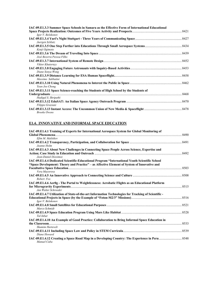| IAC-09.E1.3.3 Summer Space Schools in Samara as the Effective Form of International Educational |  |
|-------------------------------------------------------------------------------------------------|--|
|                                                                                                 |  |
| Igor V. Belokonov                                                                               |  |
| Juergen Schlutz                                                                                 |  |
| Kenji Ogimoto                                                                                   |  |
| José Bezerra Pessoa Filho                                                                       |  |
| Viktor Khutornyy                                                                                |  |
| Diane Sonya Wong                                                                                |  |
| Massimo Sabbatini                                                                               |  |
| Yean Joo Chong                                                                                  |  |
| IAC-09.E1.3.11 Space Science-reaching the Students of High School by the Students of            |  |
| Hadigal S. Shripathi                                                                            |  |
| Filippo Graziani                                                                                |  |
| <b>Brooke Owens</b>                                                                             |  |

# **E1.4. INNOVATIVE AND INFORMAL SPACE EDUCATION**

| IAC-09.E1.4.1 Training of Experts for International Aerospace System for Global Monitoring of                                                                                                |      |
|----------------------------------------------------------------------------------------------------------------------------------------------------------------------------------------------|------|
|                                                                                                                                                                                              | 8490 |
| Efim M. Malitikov                                                                                                                                                                            |      |
| Jeanne Holm                                                                                                                                                                                  |      |
| IAC-09.E1.4.3 About New Challenges in Connecting Space People Across Science, Expertise and<br>Jean-Daniel Dessimoz                                                                          | 8492 |
| IAC-09.E1.4.4 Dedicated Scientific-Educational Program "International Youth Scientific School<br>"Space Development: Theory and Practice" – as Affective Element of System of Innovative and |      |
| Vera Mayorova                                                                                                                                                                                | 8503 |
| Robert Fox                                                                                                                                                                                   |      |
| IAC-09.E1.4.6 Aer0g - The Portal to Weightlessness: Aerobatic Flights as an Educational Platform<br>Jan Walter Schroeder                                                                     |      |
| IAC-09.E1.4.7 Utilization of State-of-the-art Information Technologies for Tracking of Scientific -                                                                                          |      |
| Igor V. Belokonov                                                                                                                                                                            |      |
| Marco Schmidt                                                                                                                                                                                |      |
| Tal Inbar                                                                                                                                                                                    |      |
| IAC-09.E1.4.10 An Example of Good Practice: Collaboration to Bring Informal Space Education in                                                                                               | 8533 |
| <b>Shamim Hartevelt</b>                                                                                                                                                                      |      |
| Diane Howard                                                                                                                                                                                 | 8539 |
| Manuel Cuba                                                                                                                                                                                  |      |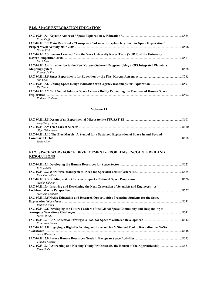## **E1.5. SPACE EXPLORATION EDUCATION**

| <b>Brian Duffy</b>                                                                             |       |
|------------------------------------------------------------------------------------------------|-------|
| IAC-09.E1.5.2 Main Results of a "European Cis-Lunar Interplanetary Port for Space Exploration" |       |
| Nicole Viola                                                                                   | .8556 |
| IAC-09.E1.5.3 Lessons Learned from the York University Rover Team (YURT) at the University     |       |
| Mark Post                                                                                      | 8567  |
| IAC-09.E1.5.4 Introduction to the New Korean Outreach Program Using a GIS Integrated Planetary |       |
|                                                                                                |       |
| Kyeong Ja Kim                                                                                  |       |
| Min Chae                                                                                       |       |
| <b>Ed Chester</b>                                                                              |       |
| IAC-09.E1.5.7 Next Gen at Johnson Space Center - Boldly Expanding the Frontiers of Human Space |       |
| Kathleen Coderre                                                                               |       |

#### **Volume 11**

| Jeng-Shing Chern                                                                            |      |
|---------------------------------------------------------------------------------------------|------|
|                                                                                             | 8610 |
| Olga Zhdanovich                                                                             |      |
| IAC-09.E1.5.10 The Blue Marble: A Symbol for a Sustained Exploration of Space In and Beyond |      |
| Low-Earth Orbit                                                                             | 8618 |
| <b>Sanjov Som</b>                                                                           |      |

#### **E1.7. SPACE WORKFORCE DEVELOPMENT - PROBLEMS ENCOUNTERED AND RESOLUTIONS**

| B. N. Suresh                                                                                   |      |
|------------------------------------------------------------------------------------------------|------|
| René Oosterlinck                                                                               |      |
| Mazlan Othman                                                                                  |      |
| IAC-09.E1.7.4 Inspiring and Developing the Next Generation of Scientists and Engineers $-A$    |      |
| Marijean Seelbach                                                                              | 8627 |
| IAC-09.E1.7.5 NASA Education and Research Opportunities Preparing Students for the Space       |      |
| Danielle Wood                                                                                  |      |
| IAC-09.E1.7.6 Developing the Future Leaders of the Global Space Community and Responding to    |      |
|                                                                                                | 8641 |
| Steven Brody                                                                                   |      |
| Francesco Emma                                                                                 |      |
| IAC-09.E1.7.8 Engaging a High-Performing and Diverse Gen Y Student Pool to Revitalize the NASA |      |
|                                                                                                |      |
| Joyce Winterton                                                                                |      |
|                                                                                                |      |
| Claudia Kessler                                                                                |      |
| Kevin Stube                                                                                    |      |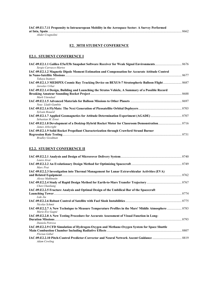**IAC-09.E1.7.11 Propensity to Intraeuropean Mobility in the Aerospace Sector: A Survey Performed** 

**at Inta, Spain**.................................................................................................................................................................... 8662

*Alider Cragnolini* 

### **E2. 38TH STUDENT CONFERENCE**

### **E2.1. STUDENT CONFERENCE I**

| Sergio Carrasco-Martos                                                                                            |  |
|-------------------------------------------------------------------------------------------------------------------|--|
| IAC-09.E2.1.2 Magnetic Dipole Moment Estimation and Compensation for Accurate Attitude Control                    |  |
|                                                                                                                   |  |
| Takava Inamori                                                                                                    |  |
| 1887 - IAC-09.E2.1.3 MEDIPIX Cosmic Ray Tracking Device on BEXUS-7 Stratospheric Balloon Flight<br>Jaroslav Urbar |  |
| IAC-09.E2.1.4 Design, Building and Launching the Stratos Vehicle, A Summary of a Possible Record                  |  |
|                                                                                                                   |  |
| Mark Uitendaal                                                                                                    |  |
| Neus Lladó-Gambín                                                                                                 |  |
| Sylvain Rouard                                                                                                    |  |
| Sebastian M. Ernst                                                                                                |  |
| James Arkwright                                                                                                   |  |
| IAC-09.E2.1.9 Solid Rocket Propellant Characterization through Crawford Strand Burner                             |  |
|                                                                                                                   |  |
| <b>Bradley Goodman</b>                                                                                            |  |

### **E2.2. STUDENT CONFERENCE II**

| Laura Aivar                                                                                   |      |
|-----------------------------------------------------------------------------------------------|------|
| Marc Prat                                                                                     |      |
| IAC-09.E2.2.3 Investigation into Thermal Management for Lunar Extravehicular Activities (EVA) | 8762 |
| Alexey Makhnutin                                                                              |      |
| Chen Chunliang                                                                                |      |
| IAC-09.E2.2.5 Fracture Analysis and Optimal Design of the Umbilical Bar of the Spacecraft     |      |
|                                                                                               |      |
| Lide Jia                                                                                      |      |
| Nicolas Schmit                                                                                |      |
| Marie-Ève Gagné                                                                               |      |
| IAC-09.E2.2.8 A New Testing Procedure for Accurate Assessment of Visual Function in Long-     |      |
| Daniela Petrova                                                                               |      |
|                                                                                               |      |
| IAC-09.E2.2.9 CFD Simulation of Hydrogen-Oxygen and Methane-Oxygen System for Space Shuttle   |      |
| Florian Göbel                                                                                 |      |
| <b>Adam Cowling</b>                                                                           |      |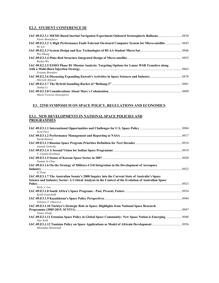## **E2.3. STUDENT CONFERENCE III**

| Paolo Montefusco                                                                                                   |  |
|--------------------------------------------------------------------------------------------------------------------|--|
| 1483. IAC-09.E2.3.2 A High Performance Fault-Tolerant On-board Computer System for Micro-satellite  8845<br>Bo Lee |  |
| Wei Zhang                                                                                                          |  |
| Ruilan Wu                                                                                                          |  |
| IAC-09.E2.3.5 ESMO Phase B1 Mission Analysis: Targeting Options for Lunar WSB Transfers along<br>Evianne Brandon   |  |
| Marvam Aljoaan                                                                                                     |  |
| Junhai Li                                                                                                          |  |
| Maria Victoria Alonsopérez                                                                                         |  |

#### **E3. 22ND SYMPOSIUM ON SPACE POLICY, REGULATIONS AND ECONOMICS**

#### **E3.1. NEW DEVELOPMENTS IN NATIONAL SPACE POLICIES AND PROGRAMMES**

| Scott Pace                                                                                                     |  |
|----------------------------------------------------------------------------------------------------------------|--|
| Sarah Ramsey                                                                                                   |  |
| Anatoly Golovko                                                                                                |  |
| V. Gopala Krishnan                                                                                             |  |
| Nammi Jo Choe                                                                                                  |  |
| IAC-09.E3.1.6 On the Strategy of Military-Civil Integration in the Development of Aerospace                    |  |
|                                                                                                                |  |
| Li Zeng                                                                                                        |  |
| IAC-09.E3.1.7 The Australian Senate's 2008 Inquiry into the Current State of Australia's Space                 |  |
| Science and Industry Sector: A Critical Analysis in the Context of the Evolution of Australian Space           |  |
|                                                                                                                |  |
| Ricky J. Lee                                                                                                   |  |
| Keith Gottschalk                                                                                               |  |
| Gulnara T. Omarova                                                                                             |  |
|                                                                                                                |  |
| IAC-09.E3.1.10 Türkiye's Strategic Role in Space: Highlights from National Space Research                      |  |
| Tamer Ozalp                                                                                                    |  |
| 14C-09.E3.1.11 Estonian Space Policy in Global Space Community: New Space Nation is Emerging 8948<br>Alar Kolk |  |
| Mustapha Masmoudi                                                                                              |  |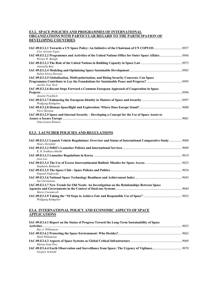### **E3.2. SPACE POLICIES AND PROGRAMMES OF INTERNATIONAL ORGANIZATIONS WITH PARTICULAR REGARD TO THE PARTICIPATION OF DEVELOPING COUNTRIES**

| Ciro Arévalo-Yepes                                                                              |  |
|-------------------------------------------------------------------------------------------------|--|
| Werner R. Balogh                                                                                |  |
| Antonella Bini                                                                                  |  |
| Ruben Elvira Herranz                                                                            |  |
| IAC-09.E3.2.5 Globalization, Multi-polarization, and Rising Security Concerns: Can Space        |  |
| Aurélie Trur Nicli                                                                              |  |
| IAC-09.E3.2.6 Recent Steps Forward a Common European Approach of Cooperation in Space           |  |
|                                                                                                 |  |
| Annette Froehlich                                                                               |  |
| Wolfgang Rathgeber                                                                              |  |
| Piero Messina                                                                                   |  |
| IAC-09.E3.2.9 Space and Internal Security – Developing a Concept for the Use of Space Assets to |  |
| Nina-Louisa Remuss                                                                              |  |

### **E3.3. LAUNCHER POLICIES AND REGULATIONS**

| 1908  9008 IAC-09.E3.3.1 Launch Vehicle Regulations: Overview and Status of International Comparative Study  9008<br>Henry Hertzfeld |  |
|--------------------------------------------------------------------------------------------------------------------------------------|--|
| K. R. Sridhara Murthi                                                                                                                |  |
| Joon Lee                                                                                                                             |  |
| Stephanie Bednarek                                                                                                                   |  |
| Deganit Paikowsky                                                                                                                    |  |
| Ian Christensen                                                                                                                      |  |
| IAC-09.E3.3.7 New Trends for Old Needs: An Investigation on the Relationships Between Space<br>Mario Ciaramicoli                     |  |
| Wolfgang Rathgeber                                                                                                                   |  |

#### **E3.4. INTERNATIONAL POLICY AND ECONOMIC ASPECTS OF SPACE APPLICATIONS**

| IAC-09.E3.4.1 Report on the Status of Progress Toward the Long-Term Sustainability of Space |  |
|---------------------------------------------------------------------------------------------|--|
|                                                                                             |  |
| Ray A. Williamson                                                                           |  |
|                                                                                             |  |
| Mark Williamson                                                                             |  |
|                                                                                             |  |
| Marius-Ioan Piso                                                                            |  |
|                                                                                             |  |
| Jacques Arnould                                                                             |  |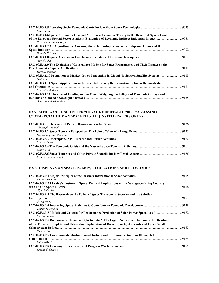| Claire Jolly                                                                                                               |      |
|----------------------------------------------------------------------------------------------------------------------------|------|
| IAC-09.E3.4.6 Space Economics Original Approach: Economic Theory to the Benefit of Space: Case<br>Bertrand de Hauteclocque |      |
| IAC-09.E3.4.7 An Algorithm for Assessing the Relationship between the Subprime Crisis and the                              |      |
| Daniela Petrova                                                                                                            | 9092 |
| Mariel John                                                                                                                |      |
| IAC-09.E3.4.9 The Evolution of Governance Models for Space Programmes and Their Impact on the                              |      |
|                                                                                                                            |      |
| <b>Steve Bochinger</b>                                                                                                     |      |
| <b>Scott Pace</b>                                                                                                          |      |
| IAC-09.E3.4.11 Space Applications in Europe: Addressing the Transition Between Demonstration                               |      |
| Charlotte Mathieu                                                                                                          |      |
| IAC-09.E3.4.12 The Cost of Landing on the Moon: Weighing the Policy and Economic Outlays and                               | 9135 |
| Gérardine Meishan Goh                                                                                                      |      |

#### **E3.5. 24TH IAA/IISL SCIENTIFIC/LEGAL ROUNDTABLE 2009 : "ASSESSING COMMERCIAL HUMAN SPACEFLIGHT" (INVITED PAPERS ONLY)**

| Christophe Bonnal      |  |
|------------------------|--|
|                        |  |
| Hugues Laporte-Weywada |  |
|                        |  |
| Charles Lauer          |  |
|                        |  |
| Claire Jolly           |  |
|                        |  |
| Frans G. von der Dunk  |  |

## **E3.P. DISPLAYS ON SPACE POLICY, REGULATIONS AND ECONOMICS**

| <b>Anatoly Konorev</b>                                                                             |  |
|----------------------------------------------------------------------------------------------------|--|
| IAC-09.E3.P.2 Ukraine's Posture in Space: Political Implications of the New Space-faring Country   |  |
| Olga Stelmakh                                                                                      |  |
| IAC-09.E3.P.3 The Research on the Policy of Space Transport's Security and the Solution            |  |
|                                                                                                    |  |
| Oiong Wang                                                                                         |  |
| Toshiki Hasegawa                                                                                   |  |
| Marija Iurchenko                                                                                   |  |
| IAC-09.E3.P.6 Do Asteroids Have the Right to Exist? The Legal, Political and Economic Implications |  |
| of the Possible Complete and Exhaustive Exploitation of Dwarf Planets, Asteroids and Other Small   |  |
|                                                                                                    |  |
| Ricky J. Lee                                                                                       |  |
| IAC-09.E3.P.7 Environmental Justice, Social Justice, and the Space Sector - an Ill-assorted        |  |
|                                                                                                    |  |
| Lotta Viikari                                                                                      |  |
|                                                                                                    |  |
| Simona di Ciaccio                                                                                  |  |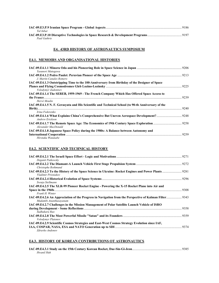| Tal Inbar    |  |
|--------------|--|
|              |  |
| Paul Guthrie |  |

### **E4. 43RD HISTORY OF ASTRONAUTICS SYMPOSIUM**

### **E4.1. MEMOIRS AND ORGANISATIONAL HISTORIES**

| Yasunori Matogawa                                                                                  |      |
|----------------------------------------------------------------------------------------------------|------|
| J. Martin Canales Romero                                                                           |      |
| IAC-09.E4.1.3 Outstripping Time to the 100-Anniversary from Birthday of the Designer of Space      |      |
| Volodymyr Zadontsev                                                                                |      |
| IAC-09.E4.1.4 The SEREB, 1959-1969 - The French Company Which Has Offered Space Access to          |      |
| Hervé Moulin                                                                                       |      |
| IAC-09.E4.1.5 N. F. Gerasyuta and His Scientific and Technical School (to 90-th Anniversary of the |      |
|                                                                                                    | 9240 |
| Irina Fedorenko                                                                                    |      |
| Andrew Erickson                                                                                    |      |
| Alexander MacDonald                                                                                |      |
| IAC-09.E4.1.8 Japanese Space Policy during the 1980s: A Balance between Autonomy and               |      |
|                                                                                                    |      |
| Hirotaka Watanabe                                                                                  |      |

### **E4.2. SCIENTIFIC AND TECHNICAL HISTORY**

| Deganit Paikowsky                                                                                                |  |
|------------------------------------------------------------------------------------------------------------------|--|
| Christophe Rothmund                                                                                              |  |
| Vladimir Prisniakov                                                                                              |  |
| Svenja Stellmann                                                                                                 |  |
| IAC-09.E4.2.5 The XLR-99 Pioneer Rocket Engine - Powering the X-15 Rocket Plane into Air and<br>Frank H. Winter  |  |
| Mudambi Ananthasayanam                                                                                           |  |
| IAC-09.E4.2.7 Challenges in the Mission Management of Polar Satellite Launch Vehicle of ISRO<br>Sudhakara Rao    |  |
| Volodymyr Platonov                                                                                               |  |
| IAC-09.E4.2.9 Scientific Cosmos Strategies and East-West Cosmos Strategy Evolution since IAF,<br>Zdravko Andonov |  |

### **E4.3. HISTORY OF KOREAN CONTRIBUTIONS OT ASTRONAUTICS**

| Hwanil Huh |  |
|------------|--|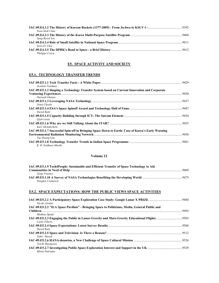| Yeon Seok Chae |  |
|----------------|--|
|                |  |
| Sang-Ryool Lee |  |
| Soon D. Choi   |  |
| Philippe Cosyn |  |

### **E5. SPACE ACTIVITY AND SOCIETY**

## **E5.1. TECHNOLOGY TRANSFER TRENDS**

| Jwalant Vaishnay                                                                                 |  |
|--------------------------------------------------------------------------------------------------|--|
| IAC-09.E5.1.2 Shaping a Technology Transfer System based on Current Innovation and Corporate     |  |
| Dariush Ghatan                                                                                   |  |
| Nona Cheeks                                                                                      |  |
| David Raitt                                                                                      |  |
| Gialt Loots                                                                                      |  |
| Karl Abendschein                                                                                 |  |
| IAC-09.E5.1.7 Successful Spin-off in Bringing Space Down to Earth: Case of Korea's Early Warning |  |
|                                                                                                  |  |
| Tae Hyung Lim                                                                                    |  |
| K. R. Sridhara Murthi                                                                            |  |

### **Volume 12**

| IAC-09.E5.1.9 Tech4People: Sustainable and Efficient Transfer of Space Technology to Aid |      |
|------------------------------------------------------------------------------------------|------|
|                                                                                          | 9469 |
| Jorge Fuentes                                                                            |      |
|                                                                                          |      |
| Douglas Comstock                                                                         |      |

### **E5.2. SPACE EXPECTATIONS: HOW THE PUBLIC VIEWS SPACE ACTIVITIES**

| Nicole Jordan                                                                                 |  |
|-----------------------------------------------------------------------------------------------|--|
| IAC-09.E5.2.2 "ILA Space Pavilion" - Bringing Space to Politicians, Media, General Public and |  |
|                                                                                               |  |
| Mathias Spude                                                                                 |  |
| Carlo Viberti                                                                                 |  |
| David Raitt                                                                                   |  |
| Tahir Merali                                                                                  |  |
| Yoichi Hasegawa                                                                               |  |
| Marta Entradas                                                                                |  |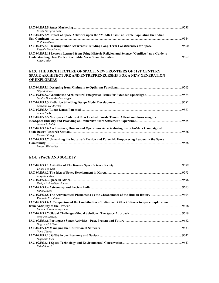| Cristo Peregrín Buldó                                                                             |  |
|---------------------------------------------------------------------------------------------------|--|
| IAC-09.E5.2.9 Impact of Space Activities upon the "Middle Class" of People Populating the Indian  |  |
|                                                                                                   |  |
| P. R. Goutham                                                                                     |  |
|                                                                                                   |  |
| Pascale Ehrenfreund                                                                               |  |
| IAC-09.E5.2.11 Lessons Learned from Using Historic Religion and Science "Conflicts" as a Guide to |  |
|                                                                                                   |  |
| Kevin Stube                                                                                       |  |

### **E5.3. THE ARCHITECTURE OF SPACE: NEW FRONTIERS OF 21ST CENTURY SPACE ARCHITECTURE AND ENTREPRENEURSHIP FOR A NEW GENERATION OF EXPLORERS**

| Olga Bannova                                                                                                         |  |
|----------------------------------------------------------------------------------------------------------------------|--|
| Sandra Haeuplik-Meusburger                                                                                           |  |
| Giovanni De Angelis                                                                                                  |  |
| James Burke                                                                                                          |  |
| IAC-09.E5.3.5 NewSpace Center – A New Central Florida Tourist Attraction Showcasing the<br>Joseph E. Palaia          |  |
| IAC-09.E5.3.6 Architecture, Human and Operations Aspects during EuroGeoMars Campaign at<br><b>Bernard Foing</b>      |  |
| IAC-09.E5.3.7 Unleashing the Industry's Passion and Potential: Empowering Leaders in the Space<br>Loretta Whitesides |  |

### **E5.4. SPACE AND SOCIETY**

| Young-Soo Kim                                                                                                              |      |
|----------------------------------------------------------------------------------------------------------------------------|------|
| Jong-Bum Kim                                                                                                               |      |
| Tariq Al-Marahleh Montes                                                                                                   |      |
| Rahul Suresh                                                                                                               | 9603 |
| Vladimir Prisniakov                                                                                                        |      |
| IAC-09.E5.4.6 A Comparison of the Contribution of Indian and Other Cultures to Space Exploration<br>Mudambi Ananthasayanam |      |
| Oleg Ventskovsky                                                                                                           |      |
| Hugo André Costa                                                                                                           |      |
| Nona Cheeks                                                                                                                |      |
| Stephanie Wan                                                                                                              | 9642 |
| Rahul Suresh                                                                                                               |      |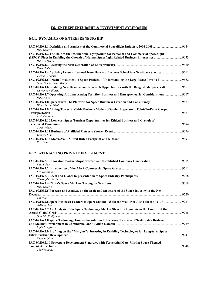# **E6. ENTREPRENEURSHIP & INVESTMENT SYMPOSIUM**

### **E6.1. DYNAMICS OF ENTREPRENEURSHIP**

| Paul Guthrie                                                                                                           |      |
|------------------------------------------------------------------------------------------------------------------------|------|
| IAC-09.E6.1.2 The Role of the International Symposium for Personal and Commercial Spaceflight<br>Patricia Hynes        |      |
| Kevin Stube                                                                                                            |      |
| 146-09.E6.1.4 Applying Lessons Learned from Harvard Business School to a NewSpace Startup 9661<br>Joseph E. Palaia     |      |
| Sethu Nandakumar Menon                                                                                                 |      |
| IAC-09.E6.1.6 Enabling New Business and Research Opportunities with the DragonLab Spacecraft 9663<br>Lawrence Williams |      |
| 146-09.E6.1.7 Operating A Lunar Analog Test Site: Business and Entrepreneurial Considerations  9667<br>Robert Fox      |      |
| Didac Zurita Piñol                                                                                                     |      |
| IAC-09.E6.1.9 Aiming Towards Viable Business Models of Global Hypersonic Point-To-Point Cargo<br>A. C. Charania        |      |
| IAC-09.E6.1.10 Low-cost Space Tourism Opportunities for Ethical Business and Growth of                                 | 9694 |
| Carlo Viberti                                                                                                          |      |
| Yeongju Kim<br>Erik Laan                                                                                               |      |

### **E6.2. ATTRACTING PRIVATE INVESTMENT**

| Paul Eckert                                                                                                          |      |
|----------------------------------------------------------------------------------------------------------------------|------|
| Ken Davidian                                                                                                         |      |
| Christopher Boshuizen                                                                                                |      |
| Paul Guthrie                                                                                                         |      |
| IAC-09.E6.2.5 Forecast and Analyze on the Scale and Structure of the Space Industry in the Next                      |      |
| Cai Hua                                                                                                              |      |
| 14C-09.E6.2.6 Space Business: Leaders in Space Should "Walk the Walk Not Just Talk the Talk"  9737<br>Ji-Young Lee   |      |
| IAC-09.E6.2.7 An Analysis of the Space Technology Market Structure Dynamic in the Context of the                     | 9738 |
| Gabriela Prelipcean                                                                                                  |      |
| IAC-09.E6.2.8 Space Technology Innovative Solution to Increase the Scope of Sustainable Business<br>Bipin B. Agravat |      |
| IAC-09.E6.2.9 Profiting on the "Margins": Investing in Enabling Technologies for Long-term Space                     | 9747 |
| Thomas Olson                                                                                                         |      |
| IAC-09.E6.2.10 Spaceport Development Synergies with Terrestrial Mass-Market Space Themed                             |      |
|                                                                                                                      | 9748 |
| Charles Lauer                                                                                                        |      |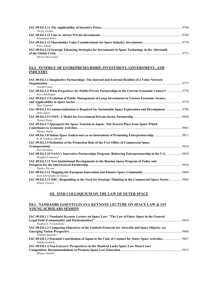| Nicole Jordan                                                                                     |  |
|---------------------------------------------------------------------------------------------------|--|
|                                                                                                   |  |
| Fatoumata Kebe                                                                                    |  |
|                                                                                                   |  |
| Paivi Jukola                                                                                      |  |
| IAC-09.E6.2.14 Synergic Financing Strategies for Investments in Space Technology in the Aftermath |  |
|                                                                                                   |  |
| Mircea Boscoianu                                                                                  |  |

### **E6.3. SYNERGY OF ENTREPRENEURSHIP, INVESTMENT, GOVERNMENT, AND INDUSTRY**

| IAC-09.E6.3.1 Imaginative Partnerships: The Internal and External Realities of a Value Network                                  |  |
|---------------------------------------------------------------------------------------------------------------------------------|--|
|                                                                                                                                 |  |
| Joseph Casas                                                                                                                    |  |
| 14C-09.E6.3.2 What Perpectives for Public-Private Partnerships in the Current Economic Context? 9778<br><b>Steve Bochinger</b>  |  |
| IAC-09.E6.3.3 Evolution of Public Management of Large Investments in Various Economic Sectors,                                  |  |
| Max Grimard                                                                                                                     |  |
| John Olson                                                                                                                      |  |
|                                                                                                                                 |  |
| Dennis Stone                                                                                                                    |  |
| IAC-09.E6.3.7 Spaceports for Space Tourism in Japan –The Nearest Place from Space Which                                         |  |
|                                                                                                                                 |  |
| Misuzu Onuki                                                                                                                    |  |
| K. R. Sridhara Murthi                                                                                                           |  |
| IAC-09.E6.3.9 Definition of the Promotion Role of the FAA Office of Commercial Space                                            |  |
|                                                                                                                                 |  |
| Ken Davidian                                                                                                                    |  |
| 14C-09.E6.3.10 NASA's Innovative Partnerships Program: Bolstering Entrepreneurship in the U.S 9829<br>Douglas Comstock          |  |
| IAC-09.E6.3.11 New Institutional Developments in the Russian Space Program of Today and                                         |  |
| Dmitry Payson                                                                                                                   |  |
| Jean-Christophe de Tauzia                                                                                                       |  |
| 14C-09.E6.3.13 IISC: Responding to the Need for Strategic Thinking in the Commercial Space Sector 9845<br><b>Walter Peeters</b> |  |

### **E8. 52ND COLLOQUIUM ON THE LAW OF OUTER SPACE**

#### **E8.1. NANDASIRI JASENTULIYANA KEYNOTE LECTURE ON SPACE LAW & 1ST YOUNG SCHOLARS SESSION**

| IAC-09.E8.1.1 Nandasiri Keynote Lecture on Space Law: "The Law of Outer Space in the General<br>Vladlen S. Vereshchetin |  |
|-------------------------------------------------------------------------------------------------------------------------|--|
| IAC-09.E8.1.2 Comparing Objectives of the Unidroit Protocols for Aircrafts and Space Objects: An                        |  |
|                                                                                                                         |  |
| Timiebi Aganaba                                                                                                         |  |
| Yukiko Kodachi                                                                                                          |  |
| IAC-09.E8.1.4 Non-Lawyers' Perspectives on the Manfred Lachs Space Law Moot Court                                       |  |
|                                                                                                                         |  |
| Megan Ansdell                                                                                                           |  |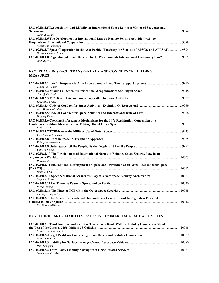| IAC-09.E8.1.5 Responsibility and Liability in International Space Law as a Matter of Sequence and |  |
|---------------------------------------------------------------------------------------------------|--|
|                                                                                                   |  |
| Jason R. Bonin                                                                                    |  |
| IAC-09.E8.1.6 The Development of International Law on Remote Sensing Activities with the          |  |
|                                                                                                   |  |
| Masatoshi Fukunaga                                                                                |  |
|                                                                                                   |  |
| David Kuan-Wei Chen                                                                               |  |
|                                                                                                   |  |
| Jingjing Nie                                                                                      |  |

## **E8.2. PEACE IN SPACE: TRANSPARENCY AND CONFIDENCE BUILDING MEASURES**

| James Rendleman                                                                                 |  |
|-------------------------------------------------------------------------------------------------|--|
| Carl O. Christol                                                                                |  |
| Sang-Myon Rhee                                                                                  |  |
| José Monserrat Filho                                                                            |  |
| Haifeng Zhao                                                                                    |  |
| IAC-09.E8.2.6 Creating Enforcement Mechanisms for the 1976 Registration Convention as a         |  |
| Ricky J. Lee                                                                                    |  |
| Yuri Takaya-Umehara                                                                             |  |
| V. Gopala Krishnan                                                                              |  |
| Valnora Leister                                                                                 |  |
| IAC-09.E8.2.10 The Development of International Norms to Enhance Space Security Law in an       |  |
|                                                                                                 |  |
| P. J. Blount                                                                                    |  |
| IAC-09.E8.2.11 International Development of Space and Prevention of an Arms Race in Outer Space |  |
|                                                                                                 |  |
| Hong Je Cho                                                                                     |  |
| Stefan A. Kaiser                                                                                |  |
| Sylvia Ospina                                                                                   |  |
| Anatoly Y. Kapustin                                                                             |  |
| IAC-09.E8.2.15 Is Current International Humanitarian Law Sufficient to Regulate a Potential     |  |
|                                                                                                 |  |
| Ben Baselev-Walker                                                                              |  |

### **E8.3. THIRD PARTY LIABILITY ISSUES IN COMMERCIAL SPACE ACTIVITIES**

| IAC-09.E8.3.1 Too-Close Encounters of the Third-Party Kind: Will the Liability Convention Stand |  |
|-------------------------------------------------------------------------------------------------|--|
|                                                                                                 |  |
| Frans G. von der Dunk                                                                           |  |
|                                                                                                 |  |
| Doo Hwan Kim                                                                                    |  |
|                                                                                                 |  |
| Paul Dempsey                                                                                    |  |
|                                                                                                 |  |
| Souichirou Kozuka                                                                               |  |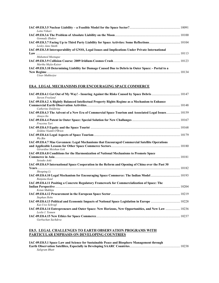| Lotta Viikari                                                                                      |  |
|----------------------------------------------------------------------------------------------------|--|
|                                                                                                    |  |
| Gennady Zhukov<br>Lesley Jane Smith                                                                |  |
| IAC-09.E8.3.8 Interoperability of GNSS, Legal Issues and Implications Under Private International  |  |
| Muhamed Mustaque                                                                                   |  |
| Martha Mejía-Kaiser                                                                                |  |
| IAC-09.E8.3.10 Determining Liability for Damage Caused Due to Debris in Outer Space: - Portal to a |  |
| Utsav Mukherjee                                                                                    |  |

### **E8.4. LEGAL MECHANISMS FOR ENCOURAGING SPACE COMMERCE**

| 10147 IAC-09.E8.4.1 Get Out of My Way! - Insuring Against the Risks Caused by Space Debris  10147<br><b>Steven Freeland</b> |  |
|-----------------------------------------------------------------------------------------------------------------------------|--|
| IAC-09.E8.4.2 A Rightly Balanced Intellectual Property Rights Regime as a Mechanism to Enhance                              |  |
|                                                                                                                             |  |
| Catherine Doldirina                                                                                                         |  |
| IAC-09.E8.4.3 The Advent of a New Era of Commercial Space Tourism and Associated Legal Issues 10159<br>Atsuyo Ito           |  |
| Fruzsina Tari                                                                                                               |  |
| Zeldine Niamh O'Brien                                                                                                       |  |
| Wu Bin                                                                                                                      |  |
| IAC-09.E8.4.7 Mae Govannen: Legal Mechanisms that Encouraged Commercial Satellite Operations<br>Gérardine Meishan Goh       |  |
| IAC-09.E8.4.8 Conditions for the Harmonization of National Mechanisms to Promote Space                                      |  |
| Setsuko Aoki                                                                                                                |  |
| IAC-09.E8.4.9 International Space Cooperation in the Reform and Opening of China over the Past 30                           |  |
|                                                                                                                             |  |
| Shouping Li                                                                                                                 |  |
| Ranjana Kaul                                                                                                                |  |
| IAC-09.E8.4.11 Positing a Concrete Regulatory Framework for Commercialization of Space: The                                 |  |
|                                                                                                                             |  |
| Ketan Mukhija                                                                                                               |  |
| Stephan Hobe                                                                                                                |  |
|                                                                                                                             |  |
| Kai-Uwe Schrogl                                                                                                             |  |
| Leslie I. Tennen                                                                                                            |  |
| Gurbachan Sachdeva                                                                                                          |  |

### **E8.5. LEGAL CHALLENGES TO EARTH OBSERVATION PROGRAMS WITH PARTICULAR EMPHASIS ON DEVELOPING COUNTRIES**

| IAC-09.E8.5.1 Space Law and Science for Sustainable Peace and Biosphere Management through |  |
|--------------------------------------------------------------------------------------------|--|
|                                                                                            |  |
| Saligram Bhatt                                                                             |  |